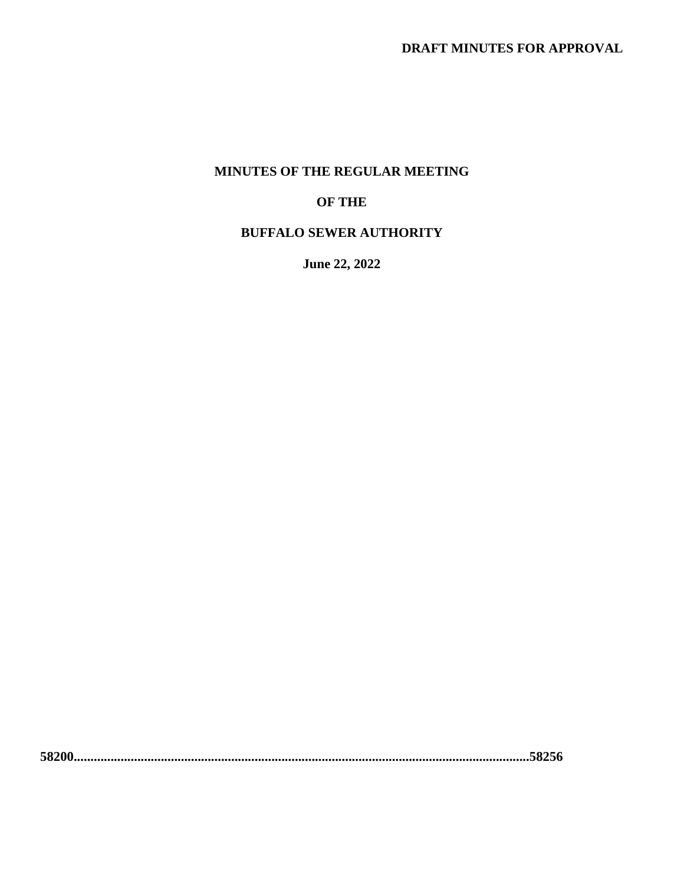#### **MINUTES OF THE REGULAR MEETING**

#### **OF THE**

#### **BUFFALO SEWER AUTHORITY**

**June 22, 2022**

**58200........................................................................................................................................58256**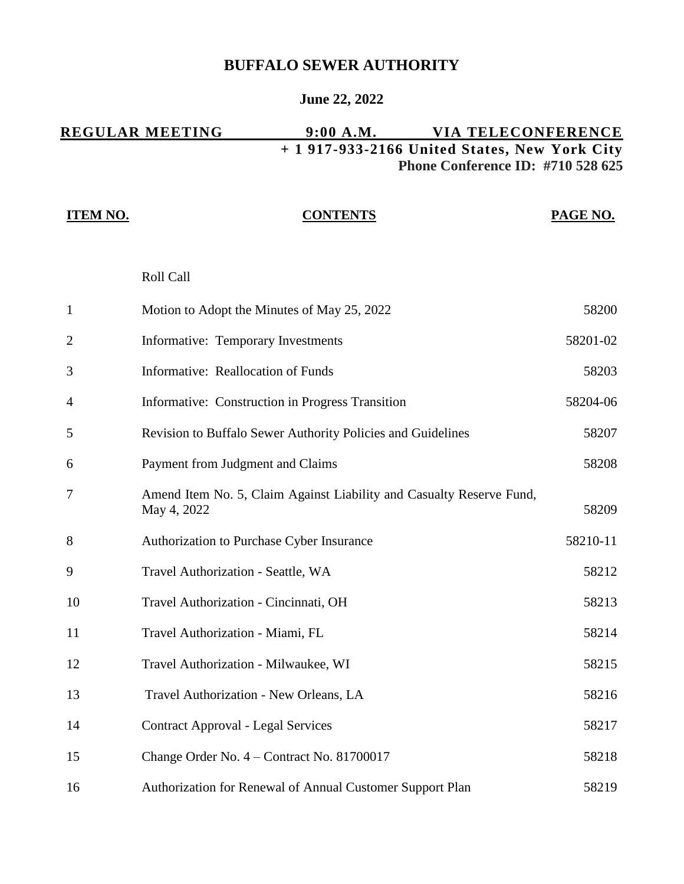### **BUFFALO SEWER AUTHORITY**

#### **June 22, 2022**

#### **REGULAR MEETING 9:00 A.M. VIA TELECONFERENCE + 1 917-933-2166 United States, New York City Phone Conference ID: #710 528 625**

| <b>ITEM NO.</b> | <b>CONTENTS</b>                                                                     | PAGE NO. |
|-----------------|-------------------------------------------------------------------------------------|----------|
|                 | Roll Call                                                                           |          |
| $\mathbf{1}$    | Motion to Adopt the Minutes of May 25, 2022                                         | 58200    |
| $\overline{2}$  | Informative: Temporary Investments                                                  | 58201-02 |
| 3               | <b>Informative: Reallocation of Funds</b>                                           | 58203    |
| 4               | Informative: Construction in Progress Transition                                    | 58204-06 |
| 5               | Revision to Buffalo Sewer Authority Policies and Guidelines                         | 58207    |
| 6               | Payment from Judgment and Claims                                                    | 58208    |
| 7               | Amend Item No. 5, Claim Against Liability and Casualty Reserve Fund,<br>May 4, 2022 | 58209    |
| 8               | Authorization to Purchase Cyber Insurance                                           | 58210-11 |
| 9               | Travel Authorization - Seattle, WA                                                  | 58212    |
| 10              | Travel Authorization - Cincinnati, OH                                               | 58213    |
| 11              | Travel Authorization - Miami, FL                                                    | 58214    |
| 12              | Travel Authorization - Milwaukee, WI                                                | 58215    |
| 13              | Travel Authorization - New Orleans, LA                                              | 58216    |
| 14              | <b>Contract Approval - Legal Services</b>                                           | 58217    |
| 15              | Change Order No. 4 - Contract No. 81700017                                          | 58218    |
| 16              | Authorization for Renewal of Annual Customer Support Plan                           | 58219    |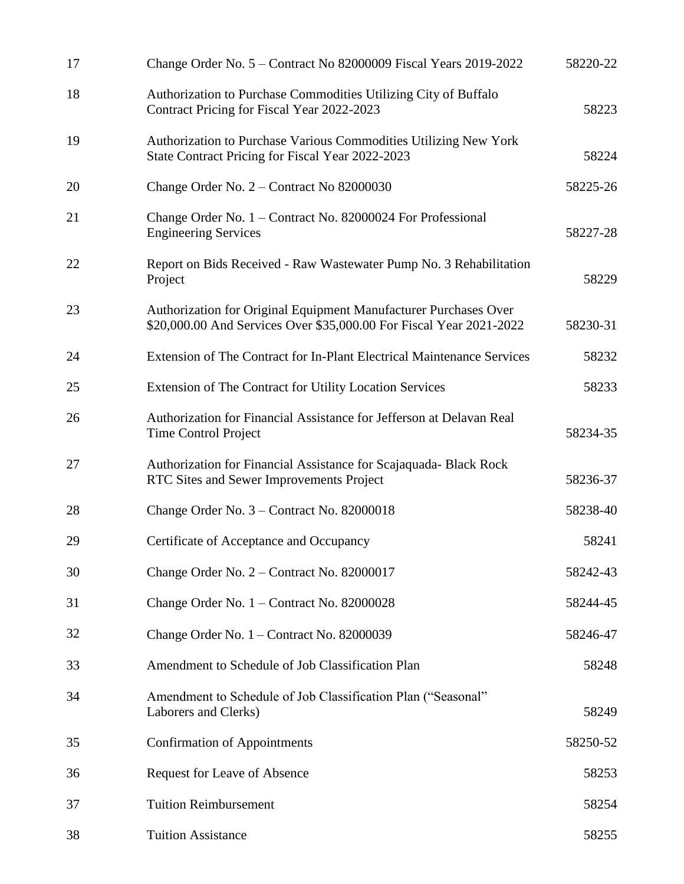| 17 | Change Order No. 5 – Contract No 82000009 Fiscal Years 2019-2022                                                                        | 58220-22 |
|----|-----------------------------------------------------------------------------------------------------------------------------------------|----------|
| 18 | Authorization to Purchase Commodities Utilizing City of Buffalo<br>Contract Pricing for Fiscal Year 2022-2023                           | 58223    |
| 19 | Authorization to Purchase Various Commodities Utilizing New York<br>State Contract Pricing for Fiscal Year 2022-2023                    | 58224    |
| 20 | Change Order No. 2 – Contract No 82000030                                                                                               | 58225-26 |
| 21 | Change Order No. 1 – Contract No. 82000024 For Professional<br><b>Engineering Services</b>                                              | 58227-28 |
| 22 | Report on Bids Received - Raw Wastewater Pump No. 3 Rehabilitation<br>Project                                                           | 58229    |
| 23 | Authorization for Original Equipment Manufacturer Purchases Over<br>\$20,000.00 And Services Over \$35,000.00 For Fiscal Year 2021-2022 | 58230-31 |
| 24 | Extension of The Contract for In-Plant Electrical Maintenance Services                                                                  | 58232    |
| 25 | Extension of The Contract for Utility Location Services                                                                                 | 58233    |
| 26 | Authorization for Financial Assistance for Jefferson at Delavan Real<br><b>Time Control Project</b>                                     | 58234-35 |
| 27 | Authorization for Financial Assistance for Scajaquada- Black Rock<br>RTC Sites and Sewer Improvements Project                           | 58236-37 |
| 28 | Change Order No. 3 – Contract No. 82000018                                                                                              | 58238-40 |
| 29 | Certificate of Acceptance and Occupancy                                                                                                 | 58241    |
| 30 | Change Order No. 2 – Contract No. 82000017                                                                                              | 58242-43 |
| 31 | Change Order No. 1 – Contract No. 82000028                                                                                              | 58244-45 |
| 32 | Change Order No. 1 – Contract No. 82000039                                                                                              | 58246-47 |
| 33 | Amendment to Schedule of Job Classification Plan                                                                                        | 58248    |
| 34 | Amendment to Schedule of Job Classification Plan ("Seasonal"<br>Laborers and Clerks)                                                    | 58249    |
| 35 | <b>Confirmation of Appointments</b>                                                                                                     | 58250-52 |
| 36 | Request for Leave of Absence                                                                                                            | 58253    |
| 37 | <b>Tuition Reimbursement</b>                                                                                                            | 58254    |
| 38 | <b>Tuition Assistance</b>                                                                                                               | 58255    |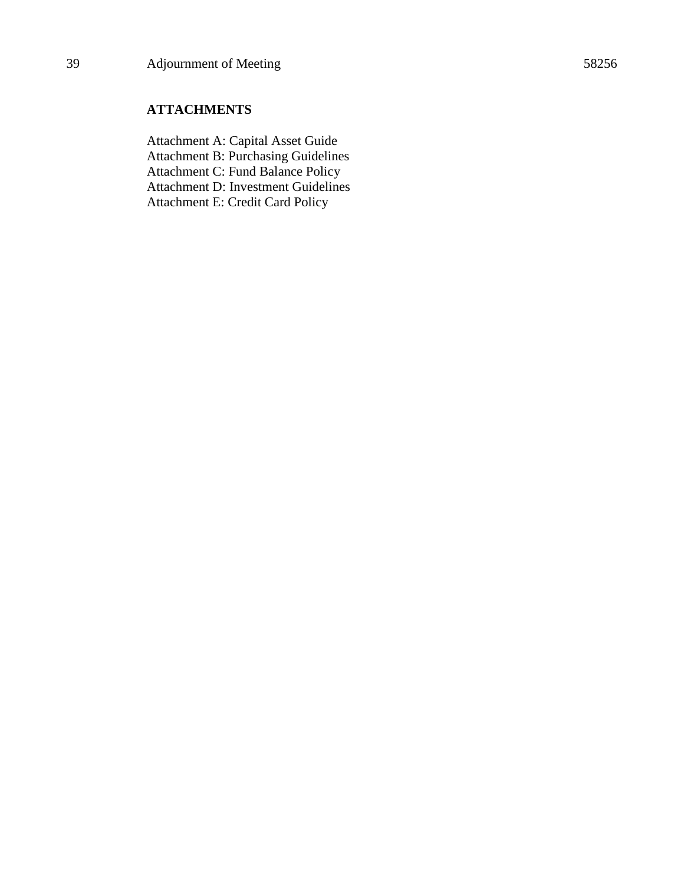#### **ATTACHMENTS**

Attachment A: Capital Asset Guide Attachment B: Purchasing Guidelines Attachment C: Fund Balance Policy Attachment D: Investment Guidelines Attachment E: Credit Card Policy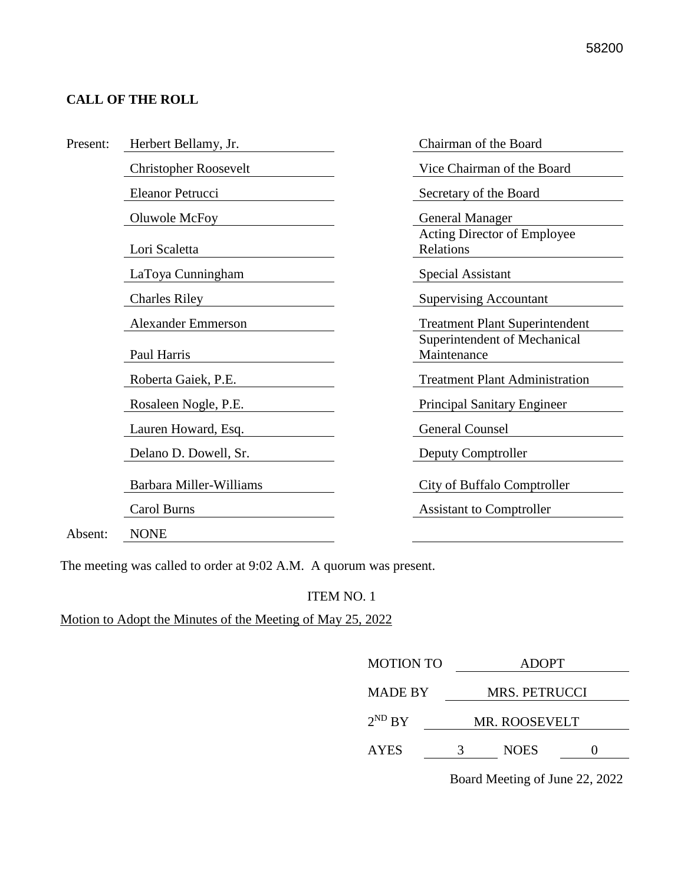#### **CALL OF THE ROLL**

| Present: | Herbert Bellamy, Jr.           | Chairman of the Board                       |
|----------|--------------------------------|---------------------------------------------|
|          | <b>Christopher Roosevelt</b>   | Vice Chairman of the Board                  |
|          | Eleanor Petrucci               | Secretary of the Board                      |
|          | Oluwole McFoy                  | <b>General Manager</b>                      |
|          | Lori Scaletta                  | Acting Director of Employee<br>Relations    |
|          | LaToya Cunningham              | <b>Special Assistant</b>                    |
|          | <b>Charles Riley</b>           | <b>Supervising Accountant</b>               |
|          | <b>Alexander Emmerson</b>      | <b>Treatment Plant Superintendent</b>       |
|          | Paul Harris                    | Superintendent of Mechanical<br>Maintenance |
|          | Roberta Gaiek, P.E.            | <b>Treatment Plant Administration</b>       |
|          | Rosaleen Nogle, P.E.           | <b>Principal Sanitary Engineer</b>          |
|          | Lauren Howard, Esq.            | <b>General Counsel</b>                      |
|          | Delano D. Dowell, Sr.          | Deputy Comptroller                          |
|          | <b>Barbara Miller-Williams</b> | City of Buffalo Comptroller                 |
|          | Carol Burns                    | <b>Assistant to Comptroller</b>             |
| Absent:  | <b>NONE</b>                    |                                             |

The meeting was called to order at 9:02 A.M. A quorum was present.

#### ITEM NO. 1

Motion to Adopt the Minutes of the Meeting of May 25, 2022

| <b>MOTION TO</b> | <b>ADOPT</b>         |                      |  |  |
|------------------|----------------------|----------------------|--|--|
| <b>MADE BY</b>   | <b>MRS. PETRUCCI</b> |                      |  |  |
| $2^{ND} BY$      |                      | <b>MR. ROOSEVELT</b> |  |  |
| <b>AYES</b>      | 3                    | <b>NOES</b>          |  |  |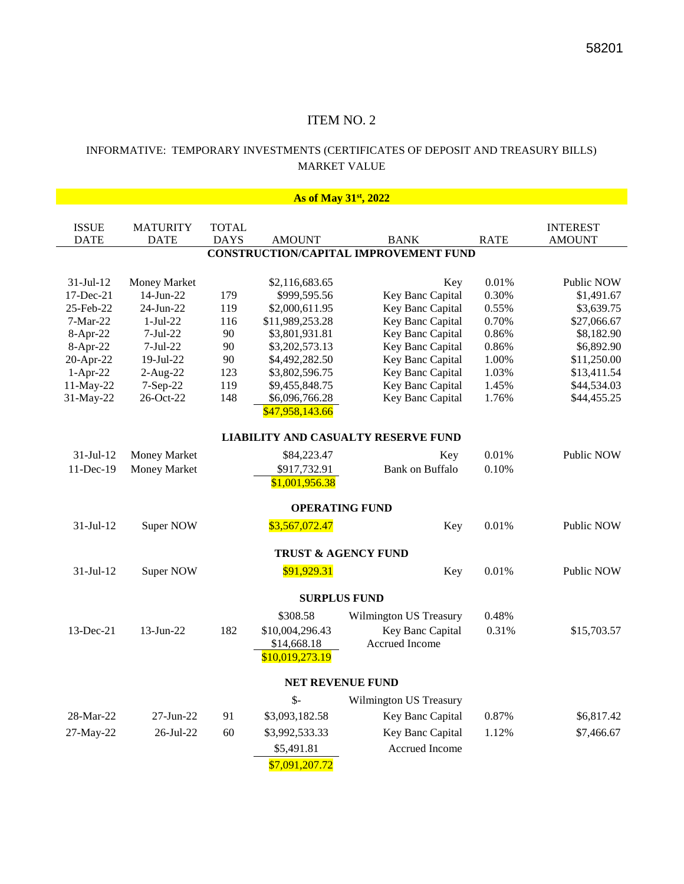#### INFORMATIVE: TEMPORARY INVESTMENTS (CERTIFICATES OF DEPOSIT AND TREASURY BILLS) MARKET VALUE

| As of May 31 <sup>st</sup> , 2022 |                     |              |                 |                                              |             |                 |  |
|-----------------------------------|---------------------|--------------|-----------------|----------------------------------------------|-------------|-----------------|--|
|                                   |                     |              |                 |                                              |             |                 |  |
| <b>ISSUE</b>                      | <b>MATURITY</b>     | <b>TOTAL</b> |                 |                                              |             | <b>INTEREST</b> |  |
| <b>DATE</b>                       | <b>DATE</b>         | <b>DAYS</b>  | <b>AMOUNT</b>   | <b>BANK</b>                                  | <b>RATE</b> | <b>AMOUNT</b>   |  |
|                                   |                     |              |                 | <b>CONSTRUCTION/CAPITAL IMPROVEMENT FUND</b> |             |                 |  |
|                                   |                     |              |                 |                                              |             |                 |  |
| $31-Jul-12$                       | <b>Money Market</b> |              | \$2,116,683.65  | Key                                          | 0.01%       | Public NOW      |  |
| 17-Dec-21                         | 14-Jun-22           | 179          | \$999,595.56    | Key Banc Capital                             | 0.30%       | \$1,491.67      |  |
| 25-Feb-22                         | 24-Jun-22           | 119          | \$2,000,611.95  | Key Banc Capital                             | 0.55%       | \$3,639.75      |  |
| $7-Mar-22$                        | $1-Jul-22$          | 116          | \$11,989,253.28 | Key Banc Capital                             | 0.70%       | \$27,066.67     |  |
| 8-Apr-22                          | $7-Jul-22$          | 90           | \$3,801,931.81  | Key Banc Capital                             | 0.86%       | \$8,182.90      |  |
| 8-Apr-22                          | $7-Jul-22$          | 90           | \$3,202,573.13  | Key Banc Capital                             | 0.86%       | \$6,892.90      |  |
| 20-Apr-22                         | 19-Jul-22           | 90           | \$4,492,282.50  | Key Banc Capital                             | 1.00%       | \$11,250.00     |  |
| $1-Apr-22$                        | $2-Aug-22$          | 123          | \$3,802,596.75  | Key Banc Capital                             | 1.03%       | \$13,411.54     |  |
| 11-May-22                         | 7-Sep-22            | 119          | \$9,455,848.75  | Key Banc Capital                             | 1.45%       | \$44,534.03     |  |
| 31-May-22                         | 26-Oct-22           | 148          | \$6,096,766.28  | Key Banc Capital                             | 1.76%       | \$44,455.25     |  |
|                                   | \$47,958,143.66     |              |                 |                                              |             |                 |  |
|                                   |                     |              |                 | <b>LIABILITY AND CASUALTY RESERVE FUND</b>   |             |                 |  |
| 31-Jul-12                         | Money Market        |              | \$84,223.47     | Key                                          | 0.01%       | Public NOW      |  |
| 11-Dec-19                         | Money Market        |              | \$917,732.91    | <b>Bank on Buffalo</b>                       | 0.10%       |                 |  |
|                                   |                     |              | \$1,001,956.38  |                                              |             |                 |  |
|                                   |                     |              |                 | <b>OPERATING FUND</b>                        |             |                 |  |
|                                   |                     |              |                 |                                              |             |                 |  |
| $31-Jul-12$                       | Super NOW           |              | \$3,567,072.47  | Key                                          | 0.01%       | Public NOW      |  |
|                                   |                     |              |                 | TRUST & AGENCY FUND                          |             |                 |  |
| $31-Jul-12$                       | Super NOW           |              | \$91,929.31     | Key                                          | 0.01%       | Public NOW      |  |
|                                   |                     |              |                 |                                              |             |                 |  |
|                                   |                     |              |                 | <b>SURPLUS FUND</b>                          |             |                 |  |
|                                   |                     |              | \$308.58        | <b>Wilmington US Treasury</b>                | 0.48%       |                 |  |
| 13-Dec-21                         | 13-Jun-22           | 182          | \$10,004,296.43 | Key Banc Capital                             | 0.31%       | \$15,703.57     |  |
|                                   |                     |              | \$14,668.18     | Accrued Income                               |             |                 |  |
|                                   |                     |              | \$10,019,273.19 |                                              |             |                 |  |
|                                   |                     |              |                 | NET REVENUE FUND                             |             |                 |  |
|                                   |                     |              | $\mathsf{S}$ -  | Wilmington US Treasury                       |             |                 |  |
| 28-Mar-22                         | 27-Jun-22           | 91           | \$3,093,182.58  | Key Banc Capital                             | 0.87%       | \$6,817.42      |  |
| 27-May-22                         | 26-Jul-22           | 60           | \$3,992,533.33  | Key Banc Capital                             | 1.12%       | \$7,466.67      |  |
|                                   |                     |              | \$5,491.81      | Accrued Income                               |             |                 |  |
|                                   |                     |              | \$7,091,207.72  |                                              |             |                 |  |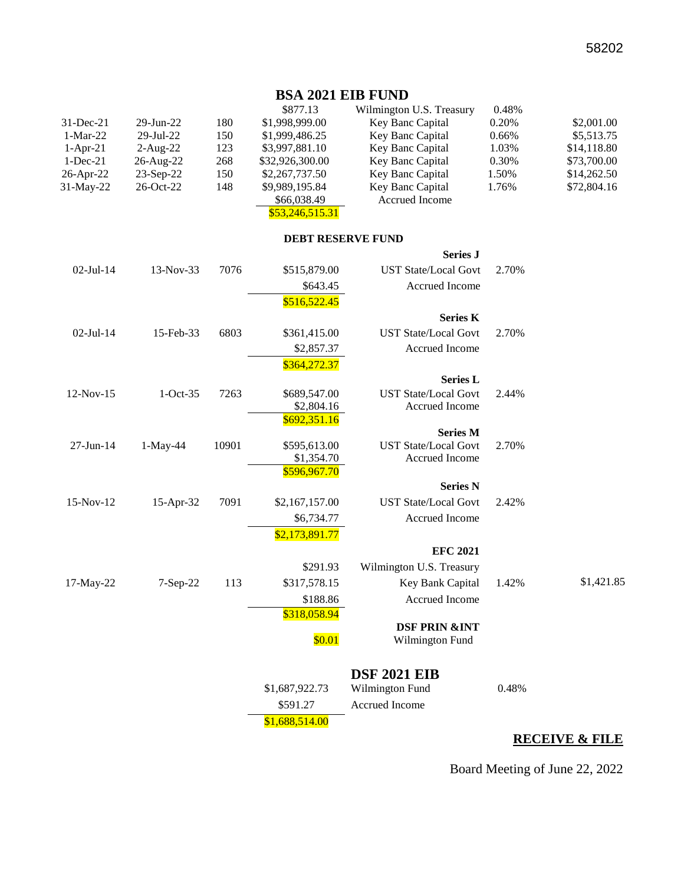#### **BSA 2021 EIB FUND**

|              |                        |     | \$877.13        | Wilmington U.S. Treasury | 0.48%    |             |
|--------------|------------------------|-----|-----------------|--------------------------|----------|-------------|
| $31$ -Dec-21 | $29$ -Jun- $22$        | 180 | \$1,998,999.00  | Key Banc Capital         | 0.20%    | \$2,001.00  |
| $1-Mar-22$   | $29 - \text{Jul} - 22$ | 150 | \$1,999,486.25  | Key Banc Capital         | $0.66\%$ | \$5,513.75  |
| $1-Apr-21$   | $2-Au$ g-22            | 123 | \$3,997,881.10  | Key Banc Capital         | 1.03%    | \$14,118.80 |
| $1 - Dec-21$ | 26-Aug-22              | 268 | \$32,926,300.00 | Key Banc Capital         | 0.30%    | \$73,700.00 |
| 26-Apr-22    | $23$ -Sep-22           | 150 | \$2,267,737.50  | Key Banc Capital         | 1.50%    | \$14,262.50 |
| $31$ -May-22 | $26$ -Oct-22           | 148 | \$9,989,195.84  | <b>Key Banc Capital</b>  | 1.76%    | \$72,804.16 |
|              |                        |     | \$66,038.49     | Accrued Income           |          |             |

#### \$53,246,515.31

#### **DEBT RESERVE FUND**

|                 |            |       |                | <b>Series J</b>                                |       |            |
|-----------------|------------|-------|----------------|------------------------------------------------|-------|------------|
| $02$ -Jul-14    | 13-Nov-33  | 7076  | \$515,879.00   | <b>UST State/Local Govt</b>                    | 2.70% |            |
|                 |            |       | \$643.45       | Accrued Income                                 |       |            |
|                 |            |       | \$516,522.45   |                                                |       |            |
|                 |            |       |                | <b>Series K</b>                                |       |            |
| $02$ -Jul-14    | 15-Feb-33  | 6803  | \$361,415.00   | <b>UST State/Local Govt</b>                    | 2.70% |            |
|                 |            |       | \$2,857.37     | Accrued Income                                 |       |            |
|                 |            |       | \$364,272.37   |                                                |       |            |
|                 |            |       |                | <b>Series L</b>                                |       |            |
| 12-Nov-15       | $1-Oct-35$ | 7263  | \$689,547.00   | <b>UST State/Local Govt</b>                    | 2.44% |            |
|                 |            |       | \$2,804.16     | Accrued Income                                 |       |            |
|                 |            |       | \$692,351.16   |                                                |       |            |
| $27 - Jun - 14$ | 1-May-44   | 10901 | \$595,613.00   | <b>Series M</b><br><b>UST State/Local Govt</b> | 2.70% |            |
|                 |            |       | \$1,354.70     | Accrued Income                                 |       |            |
|                 |            |       | \$596,967.70   |                                                |       |            |
|                 |            |       |                | <b>Series N</b>                                |       |            |
| 15-Nov-12       | 15-Apr-32  | 7091  | \$2,167,157.00 | <b>UST State/Local Govt</b>                    | 2.42% |            |
|                 |            |       | \$6,734.77     | Accrued Income                                 |       |            |
|                 |            |       | \$2,173,891.77 |                                                |       |            |
|                 |            |       |                | <b>EFC 2021</b>                                |       |            |
|                 |            |       | \$291.93       | Wilmington U.S. Treasury                       |       |            |
| 17-May-22       | 7-Sep-22   | 113   | \$317,578.15   | Key Bank Capital                               | 1.42% | \$1,421.85 |
|                 |            |       | \$188.86       | Accrued Income                                 |       |            |
|                 |            |       | \$318,058.94   |                                                |       |            |
|                 |            |       |                | <b>DSF PRIN &amp;INT</b>                       |       |            |
|                 |            |       | \$0.01         | Wilmington Fund                                |       |            |
|                 |            |       |                | <b>DSF 2021 EIB</b>                            |       |            |
|                 |            |       | \$1,687,922.73 | Wilmington Fund                                | 0.48% |            |
|                 |            |       | \$591.27       | Accrued Income                                 |       |            |
|                 |            |       |                |                                                |       |            |
|                 |            |       | \$1,688,514.00 |                                                |       |            |

#### **RECEIVE & FILE**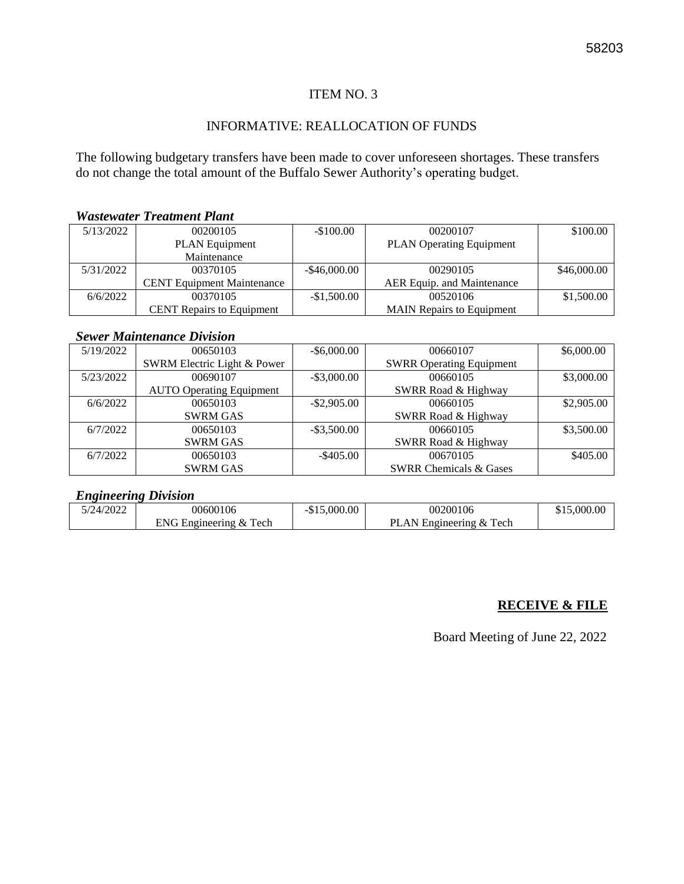#### INFORMATIVE: REALLOCATION OF FUNDS

The following budgetary transfers have been made to cover unforeseen shortages. These transfers do not change the total amount of the Buffalo Sewer Authority's operating budget.

#### *Wastewater Treatment Plant*

| 5/13/2022 | 00200105                          | $-$100.00$      | 00200107                         | \$100.00    |
|-----------|-----------------------------------|-----------------|----------------------------------|-------------|
|           | <b>PLAN</b> Equipment             |                 | <b>PLAN Operating Equipment</b>  |             |
|           | Maintenance                       |                 |                                  |             |
| 5/31/2022 | 00370105                          | $-$ \$46,000.00 | 00290105                         | \$46,000.00 |
|           | <b>CENT</b> Equipment Maintenance |                 | AER Equip. and Maintenance       |             |
| 6/6/2022  | 00370105                          | $-$1,500.00$    | 00520106                         | \$1,500.00  |
|           | <b>CENT</b> Repairs to Equipment  |                 | <b>MAIN</b> Repairs to Equipment |             |

#### *Sewer Maintenance Division*

| 5/19/2022 | 00650103                        | $-$ \$6,000.00                  | 00660107                          | \$6,000.00 |
|-----------|---------------------------------|---------------------------------|-----------------------------------|------------|
|           | SWRM Electric Light & Power     | <b>SWRR Operating Equipment</b> |                                   |            |
| 5/23/2022 | 00690107                        | $-$ \$3,000.00                  | 00660105                          | \$3,000.00 |
|           | <b>AUTO Operating Equipment</b> |                                 | SWRR Road & Highway               |            |
| 6/6/2022  | 00650103                        | $-$ \$2,905.00                  | 00660105                          | \$2,905.00 |
|           | <b>SWRM GAS</b>                 |                                 | SWRR Road & Highway               |            |
| 6/7/2022  | 00650103                        | $-$ \$3,500.00                  | 00660105                          | \$3,500.00 |
|           | <b>SWRM GAS</b>                 |                                 | SWRR Road & Highway               |            |
| 6/7/2022  | 00650103                        | $-$ \$405.00                    | 00670105                          | \$405.00   |
|           | <b>SWRM GAS</b>                 |                                 | <b>SWRR Chemicals &amp; Gases</b> |            |

#### *Engineering Division*

| /2022<br>24, | 00600106                                             | 0.000<br>$-DL$ | 00200106                                          | .000.00 |
|--------------|------------------------------------------------------|----------------|---------------------------------------------------|---------|
|              | –<br>$\blacksquare$<br>¤ineering<br>Tech<br>$\alpha$ |                | <b>DI</b><br>–<br>&<br>.AN<br>Tech<br>zngineering |         |

#### **RECEIVE & FILE**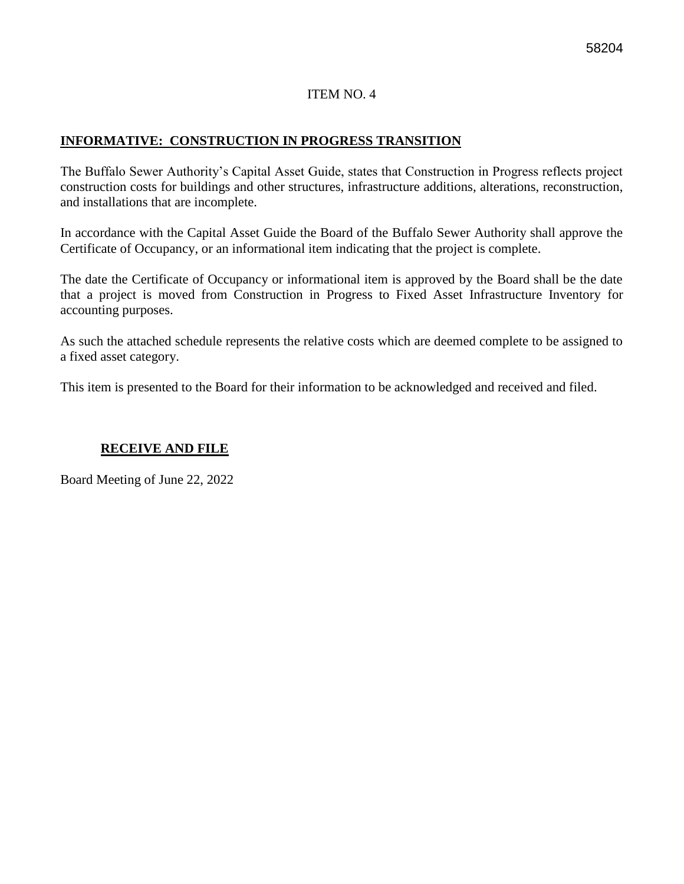#### **INFORMATIVE: CONSTRUCTION IN PROGRESS TRANSITION**

The Buffalo Sewer Authority's Capital Asset Guide, states that Construction in Progress reflects project construction costs for buildings and other structures, infrastructure additions, alterations, reconstruction, and installations that are incomplete.

In accordance with the Capital Asset Guide the Board of the Buffalo Sewer Authority shall approve the Certificate of Occupancy, or an informational item indicating that the project is complete.

The date the Certificate of Occupancy or informational item is approved by the Board shall be the date that a project is moved from Construction in Progress to Fixed Asset Infrastructure Inventory for accounting purposes.

As such the attached schedule represents the relative costs which are deemed complete to be assigned to a fixed asset category.

This item is presented to the Board for their information to be acknowledged and received and filed.

#### **RECEIVE AND FILE**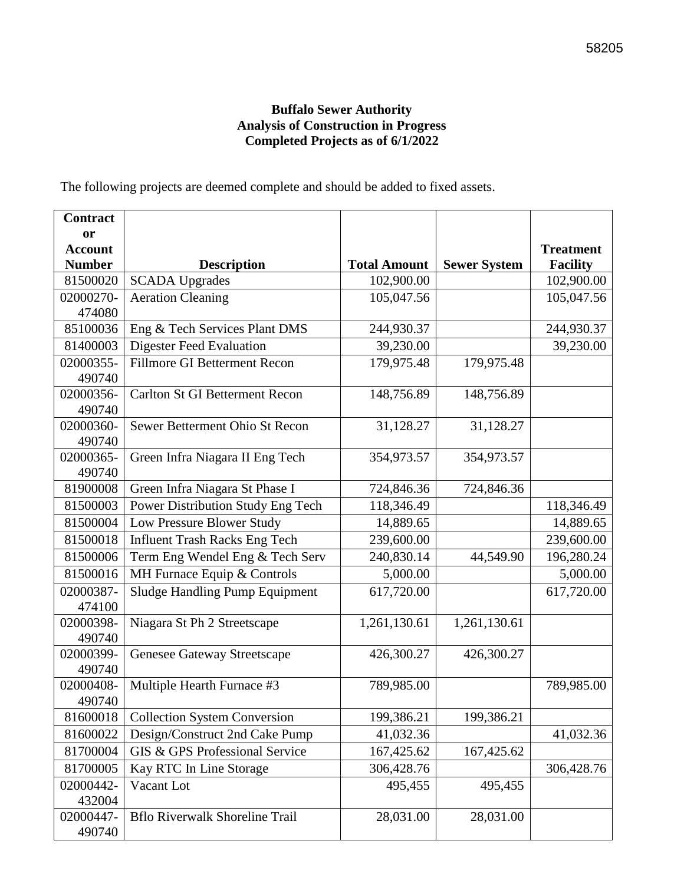#### 58205

#### **Buffalo Sewer Authority Analysis of Construction in Progress Completed Projects as of 6/1/2022**

The following projects are deemed complete and should be added to fixed assets.

| <b>Contract</b>     |                                       |                     |                     |                  |
|---------------------|---------------------------------------|---------------------|---------------------|------------------|
| <sub>or</sub>       |                                       |                     |                     |                  |
| <b>Account</b>      |                                       |                     |                     | <b>Treatment</b> |
| <b>Number</b>       | <b>Description</b>                    | <b>Total Amount</b> | <b>Sewer System</b> | <b>Facility</b>  |
| 81500020            | <b>SCADA Upgrades</b>                 | 102,900.00          |                     | 102,900.00       |
| 02000270-           | <b>Aeration Cleaning</b>              | 105,047.56          |                     | 105,047.56       |
| 474080              |                                       |                     |                     |                  |
| 85100036            | Eng & Tech Services Plant DMS         | 244,930.37          |                     | 244,930.37       |
| 81400003            | <b>Digester Feed Evaluation</b>       | 39,230.00           |                     | 39,230.00        |
| 02000355-           | <b>Fillmore GI Betterment Recon</b>   | 179,975.48          | 179,975.48          |                  |
| 490740              |                                       |                     |                     |                  |
| 02000356-           | <b>Carlton St GI Betterment Recon</b> | 148,756.89          | 148,756.89          |                  |
| 490740              |                                       |                     |                     |                  |
| 02000360-           | Sewer Betterment Ohio St Recon        | 31,128.27           | 31,128.27           |                  |
| 490740              |                                       |                     |                     |                  |
| 02000365-           | Green Infra Niagara II Eng Tech       | 354,973.57          | 354,973.57          |                  |
| 490740<br>81900008  | Green Infra Niagara St Phase I        | 724,846.36          | 724,846.36          |                  |
|                     |                                       |                     |                     |                  |
| 81500003            | Power Distribution Study Eng Tech     | 118,346.49          |                     | 118,346.49       |
| 81500004            | Low Pressure Blower Study             | 14,889.65           |                     | 14,889.65        |
| 81500018            | <b>Influent Trash Racks Eng Tech</b>  | 239,600.00          |                     | 239,600.00       |
| 81500006            | Term Eng Wendel Eng & Tech Serv       | 240,830.14          | 44,549.90           | 196,280.24       |
| 81500016            | MH Furnace Equip & Controls           | 5,000.00            |                     | 5,000.00         |
| 02000387-           | <b>Sludge Handling Pump Equipment</b> | 617,720.00          |                     | 617,720.00       |
| 474100              |                                       |                     |                     |                  |
| 02000398-           | Niagara St Ph 2 Streetscape           | 1,261,130.61        | 1,261,130.61        |                  |
| 490740              |                                       |                     |                     |                  |
| 02000399-           | Genesee Gateway Streetscape           | 426,300.27          | 426,300.27          |                  |
| 490740              |                                       |                     |                     |                  |
| 02000408-<br>490740 | Multiple Hearth Furnace #3            | 789,985.00          |                     | 789,985.00       |
| 81600018            | <b>Collection System Conversion</b>   | 199,386.21          | 199,386.21          |                  |
| 81600022            | Design/Construct 2nd Cake Pump        | 41,032.36           |                     | 41,032.36        |
|                     |                                       |                     |                     |                  |
| 81700004            | GIS & GPS Professional Service        | 167,425.62          | 167,425.62          |                  |
| 81700005            | Kay RTC In Line Storage               | 306,428.76          |                     | 306,428.76       |
| 02000442-           | Vacant Lot                            | 495,455             | 495,455             |                  |
| 432004              |                                       |                     |                     |                  |
| 02000447-           | <b>Bflo Riverwalk Shoreline Trail</b> | 28,031.00           | 28,031.00           |                  |
| 490740              |                                       |                     |                     |                  |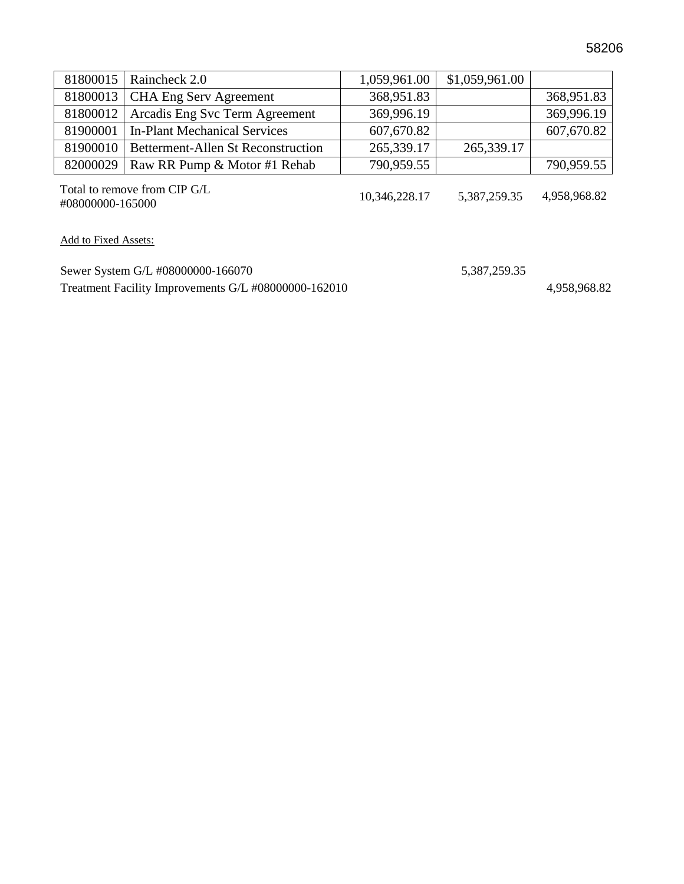|          | 81800015   Raincheck 2.0                  | 1,059,961.00 | \$1,059,961.00 |            |
|----------|-------------------------------------------|--------------|----------------|------------|
|          | 81800013   CHA Eng Serv Agreement         | 368,951.83   |                | 368,951.83 |
|          | 81800012   Arcadis Eng Svc Term Agreement | 369,996.19   |                | 369,996.19 |
|          | 81900001   In-Plant Mechanical Services   | 607,670.82   |                | 607,670.82 |
| 81900010 | <b>Betterment-Allen St Reconstruction</b> | 265,339.17   | 265,339.17     |            |
|          | 82000029   Raw RR Pump & Motor #1 Rehab   | 790,959.55   |                | 790,959.55 |

Total to remove from CIP G/L 4,958,968.82 +08000000-165000 10.346,228.17 10,346,228.17 10,346,228.17 5,387,259.35 4,958,968.82

Add to Fixed Assets:

Sewer System G/L #08000000-166070 5,387,259.35 Treatment Facility Improvements G/L #08000000-162010 4,958,968.82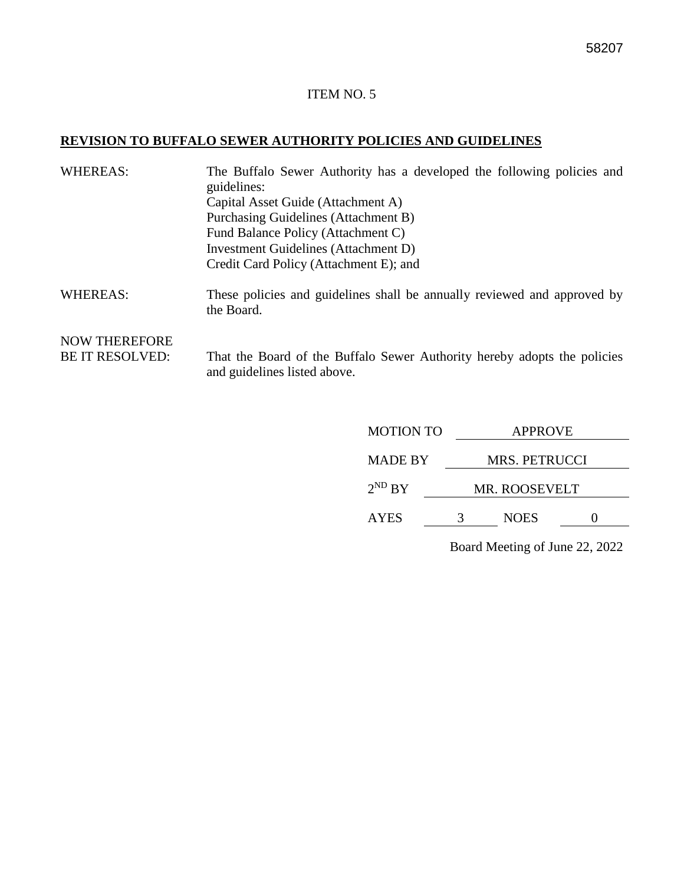#### **REVISION TO BUFFALO SEWER AUTHORITY POLICIES AND GUIDELINES**

| <b>WHEREAS:</b>        | The Buffalo Sewer Authority has a developed the following policies and<br>guidelines:<br>Capital Asset Guide (Attachment A)<br>Purchasing Guidelines (Attachment B)<br>Fund Balance Policy (Attachment C)<br>Investment Guidelines (Attachment D) |
|------------------------|---------------------------------------------------------------------------------------------------------------------------------------------------------------------------------------------------------------------------------------------------|
|                        |                                                                                                                                                                                                                                                   |
|                        | Credit Card Policy (Attachment E); and                                                                                                                                                                                                            |
| <b>WHEREAS:</b>        | These policies and guidelines shall be annually reviewed and approved by<br>the Board.                                                                                                                                                            |
| <b>NOW THEREFORE</b>   |                                                                                                                                                                                                                                                   |
| <b>BE IT RESOLVED:</b> | That the Board of the Buffalo Sewer Authority hereby adopts the policies<br>and guidelines listed above.                                                                                                                                          |

| <b>MOTION TO</b> | <b>APPROVE</b> |                      |  |  |
|------------------|----------------|----------------------|--|--|
| <b>MADE BY</b>   |                | <b>MRS. PETRUCCI</b> |  |  |
| $2^{ND}$ BY      |                | <b>MR. ROOSEVELT</b> |  |  |
| <b>AYES</b>      |                | <b>NOES</b>          |  |  |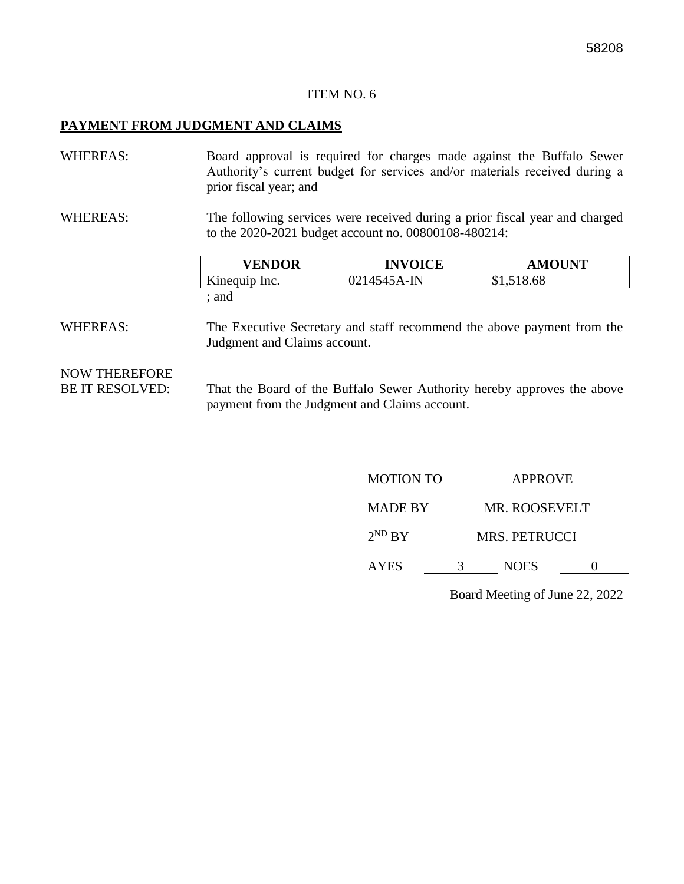#### **PAYMENT FROM JUDGMENT AND CLAIMS**

WHEREAS: Board approval is required for charges made against the Buffalo Sewer Authority's current budget for services and/or materials received during a prior fiscal year; and

WHEREAS: The following services were received during a prior fiscal year and charged to the 2020-2021 budget account no. 00800108-480214:

| <b>VENDOR</b> | <b>INVOICE</b> | <b>AMOUNT</b> |
|---------------|----------------|---------------|
| Kinequip Inc. | 0214545A-IN    | \$1,518.68    |
| : and         |                |               |

WHEREAS: The Executive Secretary and staff recommend the above payment from the Judgment and Claims account.

### NOW THEREFORE

BE IT RESOLVED: That the Board of the Buffalo Sewer Authority hereby approves the above payment from the Judgment and Claims account.

| <b>MOTION TO</b> | <b>APPROVE</b>       |             |  |  |
|------------------|----------------------|-------------|--|--|
| <b>MADE BY</b>   | <b>MR. ROOSEVELT</b> |             |  |  |
| $2^{ND} BY$      | <b>MRS. PETRUCCI</b> |             |  |  |
| <b>AYES</b>      | 3                    | <b>NOES</b> |  |  |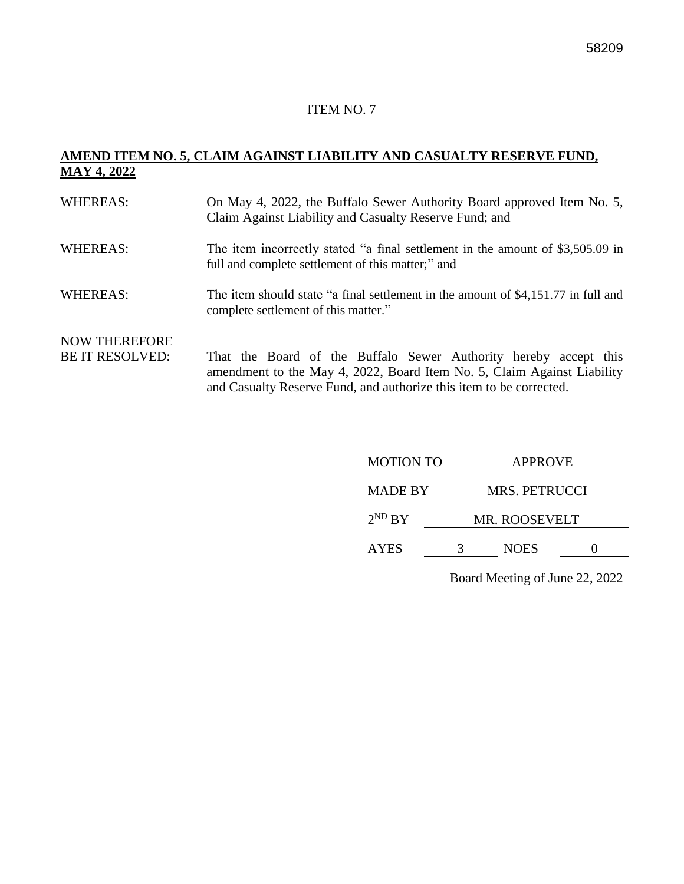#### **AMEND ITEM NO. 5, CLAIM AGAINST LIABILITY AND CASUALTY RESERVE FUND, MAY 4, 2022**

| <b>WHEREAS:</b>                                | On May 4, 2022, the Buffalo Sewer Authority Board approved Item No. 5,<br>Claim Against Liability and Casualty Reserve Fund; and                                                                                   |
|------------------------------------------------|--------------------------------------------------------------------------------------------------------------------------------------------------------------------------------------------------------------------|
| <b>WHEREAS:</b>                                | The item incorrectly stated "a final settlement in the amount of \$3,505.09 in<br>full and complete settlement of this matter;" and                                                                                |
| <b>WHEREAS:</b>                                | The item should state "a final settlement in the amount of \$4,151.77 in full and<br>complete settlement of this matter."                                                                                          |
| <b>NOW THEREFORE</b><br><b>BE IT RESOLVED:</b> | That the Board of the Buffalo Sewer Authority hereby accept this<br>amendment to the May 4, 2022, Board Item No. 5, Claim Against Liability<br>and Casualty Reserve Fund, and authorize this item to be corrected. |

| <b>MOTION TO</b> | <b>APPROVE</b> |                      |  |  |
|------------------|----------------|----------------------|--|--|
| <b>MADE BY</b>   |                | MRS. PETRUCCI        |  |  |
| $2^{ND} BY$      |                | <b>MR. ROOSEVELT</b> |  |  |
| <b>AYES</b>      | 3              | <b>NOES</b>          |  |  |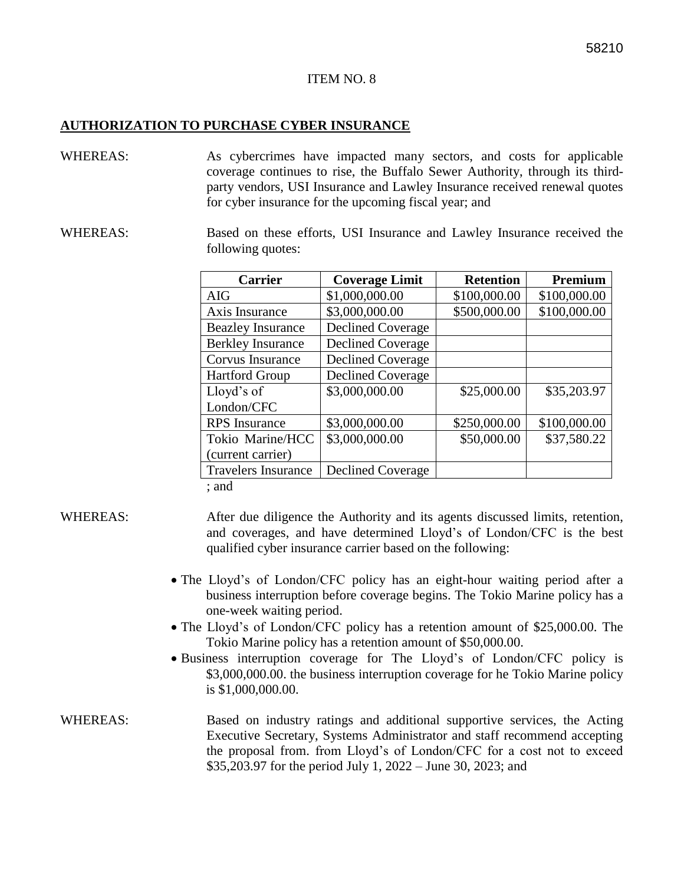#### **AUTHORIZATION TO PURCHASE CYBER INSURANCE**

- WHEREAS: As cybercrimes have impacted many sectors, and costs for applicable coverage continues to rise, the Buffalo Sewer Authority, through its thirdparty vendors, USI Insurance and Lawley Insurance received renewal quotes for cyber insurance for the upcoming fiscal year; and
- WHEREAS: Based on these efforts, USI Insurance and Lawley Insurance received the following quotes:

| <b>Carrier</b>             | <b>Coverage Limit</b>    | <b>Retention</b> | Premium      |
|----------------------------|--------------------------|------------------|--------------|
| <b>AIG</b>                 | \$1,000,000.00           | \$100,000.00     | \$100,000.00 |
| Axis Insurance             | \$3,000,000.00           | \$500,000.00     | \$100,000.00 |
| <b>Beazley Insurance</b>   | <b>Declined Coverage</b> |                  |              |
| <b>Berkley Insurance</b>   | <b>Declined Coverage</b> |                  |              |
| Corvus Insurance           | <b>Declined Coverage</b> |                  |              |
| <b>Hartford Group</b>      | <b>Declined Coverage</b> |                  |              |
| Lloyd's of                 | \$3,000,000.00           | \$25,000.00      | \$35,203.97  |
| London/CFC                 |                          |                  |              |
| <b>RPS</b> Insurance       | \$3,000,000.00           | \$250,000.00     | \$100,000.00 |
| Tokio Marine/HCC           | \$3,000,000.00           | \$50,000.00      | \$37,580.22  |
| (current carrier)          |                          |                  |              |
| <b>Travelers Insurance</b> | <b>Declined Coverage</b> |                  |              |
| $.$ and                    |                          |                  |              |

; and

- WHEREAS: After due diligence the Authority and its agents discussed limits, retention, and coverages, and have determined Lloyd's of London/CFC is the best qualified cyber insurance carrier based on the following:
	- The Lloyd's of London/CFC policy has an eight-hour waiting period after a business interruption before coverage begins. The Tokio Marine policy has a one-week waiting period.
	- The Lloyd's of London/CFC policy has a retention amount of \$25,000.00. The Tokio Marine policy has a retention amount of \$50,000.00.
	- Business interruption coverage for The Lloyd's of London/CFC policy is \$3,000,000.00. the business interruption coverage for he Tokio Marine policy is \$1,000,000.00.
- WHEREAS: Based on industry ratings and additional supportive services, the Acting Executive Secretary, Systems Administrator and staff recommend accepting the proposal from. from Lloyd's of London/CFC for a cost not to exceed \$35,203.97 for the period July 1, 2022 – June 30, 2023; and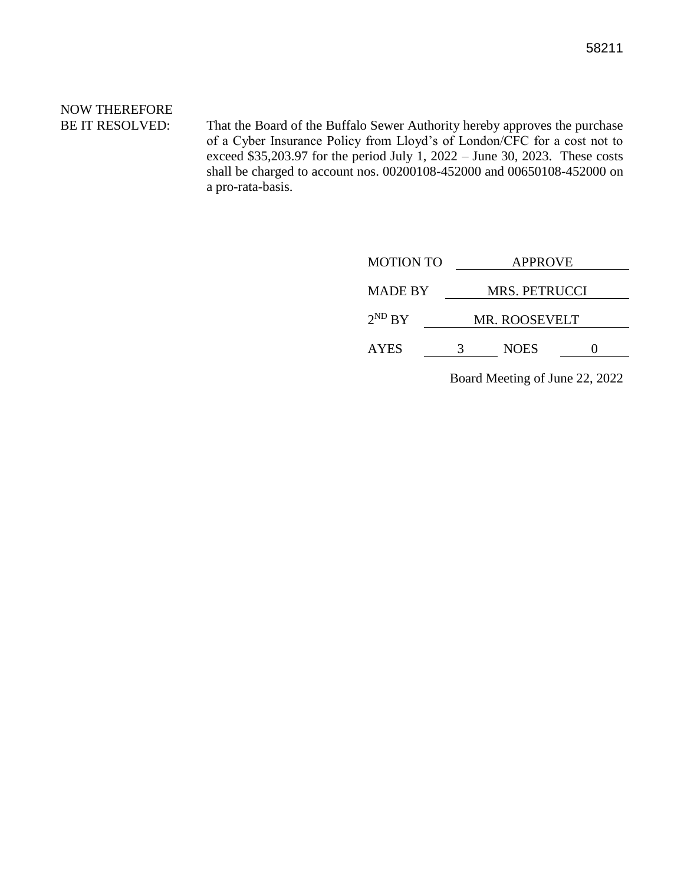# NOW THEREFORE

BE IT RESOLVED: That the Board of the Buffalo Sewer Authority hereby approves the purchase of a Cyber Insurance Policy from Lloyd's of London/CFC for a cost not to exceed \$35,203.97 for the period July 1, 2022 – June 30, 2023. These costs shall be charged to account nos. 00200108-452000 and 00650108-452000 on a pro-rata-basis.

| <b>MOTION TO</b> | <b>APPROVE</b>       |             |  |
|------------------|----------------------|-------------|--|
| <b>MADE BY</b>   | <b>MRS. PETRUCCI</b> |             |  |
| $2^{ND} BY$      | <b>MR. ROOSEVELT</b> |             |  |
| <b>AYES</b>      | 3                    | <b>NOES</b> |  |
|                  |                      |             |  |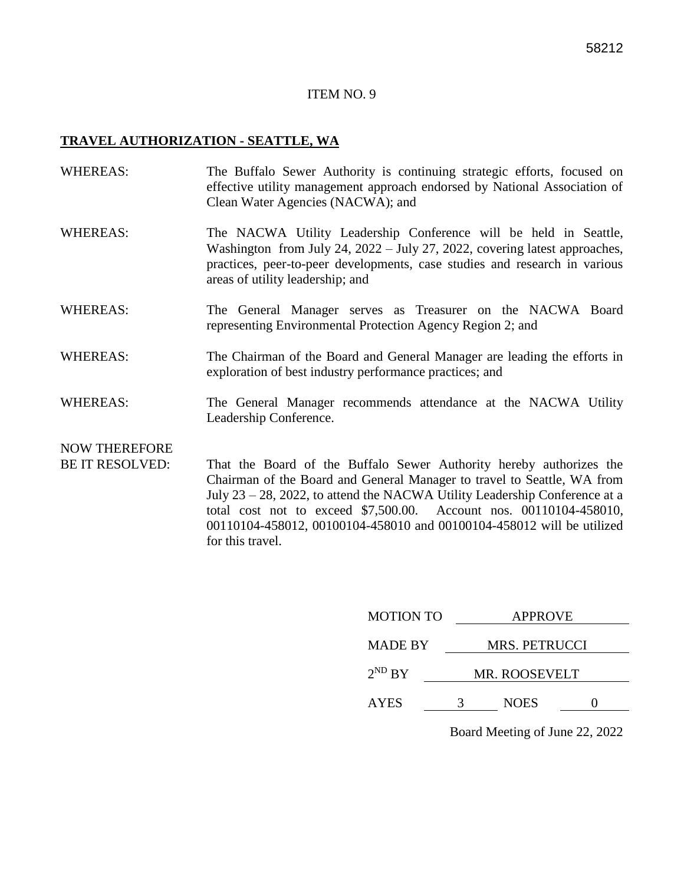#### **TRAVEL AUTHORIZATION - SEATTLE, WA**

- WHEREAS: The Buffalo Sewer Authority is continuing strategic efforts, focused on effective utility management approach endorsed by National Association of Clean Water Agencies (NACWA); and
- WHEREAS: The NACWA Utility Leadership Conference will be held in Seattle, Washington from July 24, 2022 – July 27, 2022, covering latest approaches, practices, peer-to-peer developments, case studies and research in various areas of utility leadership; and
- WHEREAS: The General Manager serves as Treasurer on the NACWA Board representing Environmental Protection Agency Region 2; and
- WHEREAS: The Chairman of the Board and General Manager are leading the efforts in exploration of best industry performance practices; and
- WHEREAS: The General Manager recommends attendance at the NACWA Utility Leadership Conference.

### NOW THEREFORE

BE IT RESOLVED: That the Board of the Buffalo Sewer Authority hereby authorizes the Chairman of the Board and General Manager to travel to Seattle, WA from July 23 – 28, 2022, to attend the NACWA Utility Leadership Conference at a total cost not to exceed \$7,500.00. Account nos. 00110104-458010, 00110104-458012, 00100104-458010 and 00100104-458012 will be utilized for this travel.

| <b>MOTION TO</b> | <b>APPROVE</b>       |             |  |
|------------------|----------------------|-------------|--|
| <b>MADE BY</b>   | MRS. PETRUCCI        |             |  |
| $2^{ND} BY$      | <b>MR. ROOSEVELT</b> |             |  |
| <b>AYES</b>      | 3                    | <b>NOES</b> |  |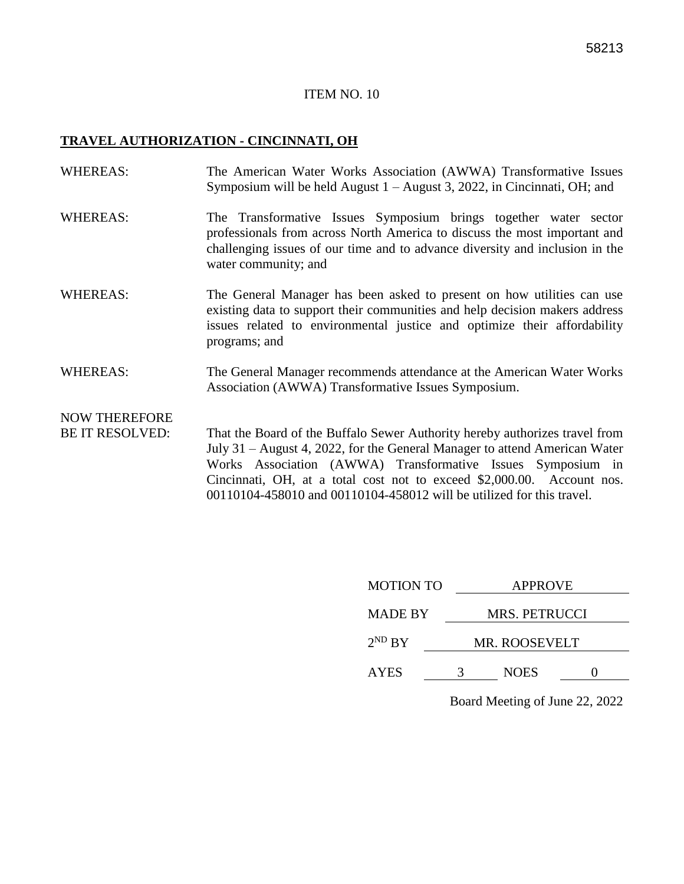#### **TRAVEL AUTHORIZATION - CINCINNATI, OH**

WHEREAS: The American Water Works Association (AWWA) Transformative Issues Symposium will be held August 1 – August 3, 2022, in Cincinnati, OH; and WHEREAS: The Transformative Issues Symposium brings together water sector professionals from across North America to discuss the most important and challenging issues of our time and to advance diversity and inclusion in the water community; and WHEREAS: The General Manager has been asked to present on how utilities can use existing data to support their communities and help decision makers address issues related to environmental justice and optimize their affordability programs; and WHEREAS: The General Manager recommends attendance at the American Water Works Association (AWWA) Transformative Issues Symposium. NOW THEREFORE BE IT RESOLVED: That the Board of the Buffalo Sewer Authority hereby authorizes travel from

July 31 – August 4, 2022, for the General Manager to attend American Water Works Association (AWWA) Transformative Issues Symposium in Cincinnati, OH, at a total cost not to exceed \$2,000.00. Account nos. 00110104-458010 and 00110104-458012 will be utilized for this travel.

| <b>MOTION TO</b> | <b>APPROVE</b>       |             |  |
|------------------|----------------------|-------------|--|
| <b>MADE BY</b>   | MRS. PETRUCCI        |             |  |
| $2^{ND}$ BY      | <b>MR. ROOSEVELT</b> |             |  |
| <b>AYES</b>      |                      | <b>NOES</b> |  |
|                  |                      |             |  |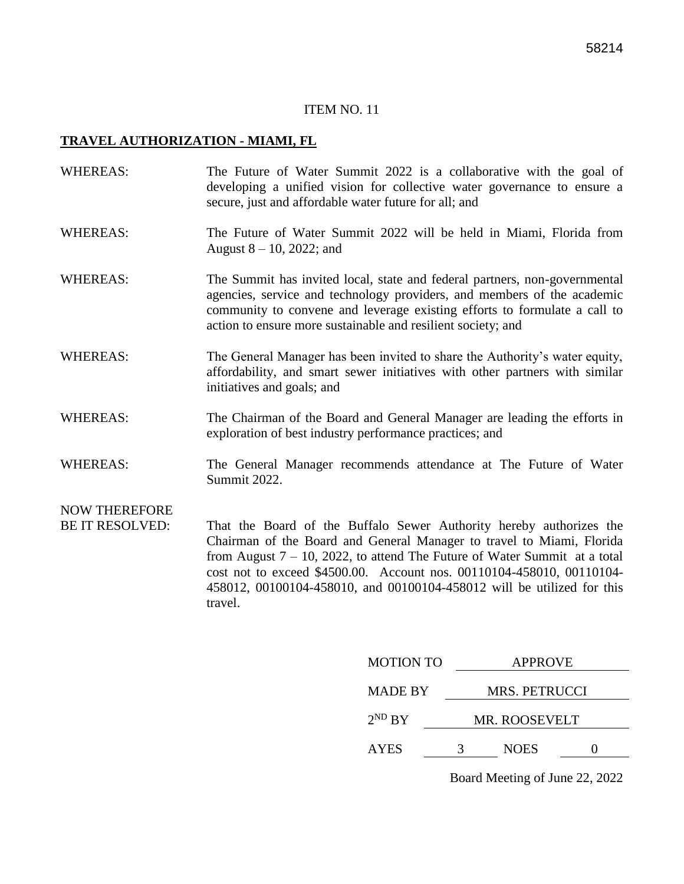#### **TRAVEL AUTHORIZATION - MIAMI, FL**

| <b>WHEREAS:</b>                                | The Future of Water Summit 2022 is a collaborative with the goal of<br>developing a unified vision for collective water governance to ensure a<br>secure, just and affordable water future for all; and                                                                                            |
|------------------------------------------------|----------------------------------------------------------------------------------------------------------------------------------------------------------------------------------------------------------------------------------------------------------------------------------------------------|
| <b>WHEREAS:</b>                                | The Future of Water Summit 2022 will be held in Miami, Florida from<br>August $8 - 10$ , 2022; and                                                                                                                                                                                                 |
| <b>WHEREAS:</b>                                | The Summit has invited local, state and federal partners, non-governmental<br>agencies, service and technology providers, and members of the academic<br>community to convene and leverage existing efforts to formulate a call to<br>action to ensure more sustainable and resilient society; and |
| <b>WHEREAS:</b>                                | The General Manager has been invited to share the Authority's water equity,<br>affordability, and smart sewer initiatives with other partners with similar<br>initiatives and goals; and                                                                                                           |
| <b>WHEREAS:</b>                                | The Chairman of the Board and General Manager are leading the efforts in<br>exploration of best industry performance practices; and                                                                                                                                                                |
| <b>WHEREAS:</b>                                | The General Manager recommends attendance at The Future of Water<br>Summit 2022.                                                                                                                                                                                                                   |
| <b>NOW THEREFORE</b><br><b>BE IT RESOLVED:</b> | That the Board of the Buffalo Sewer Authority hereby authorizes the                                                                                                                                                                                                                                |

Chairman of the Board and General Manager to travel to Miami, Florida from August 7 – 10, 2022, to attend The Future of Water Summit at a total cost not to exceed \$4500.00. Account nos. 00110104-458010, 00110104- 458012, 00100104-458010, and 00100104-458012 will be utilized for this travel.

| <b>MOTION TO</b> | <b>APPROVE</b>       |             |  |
|------------------|----------------------|-------------|--|
| <b>MADE BY</b>   | <b>MRS. PETRUCCI</b> |             |  |
| $2^{ND} BY$      | <b>MR. ROOSEVELT</b> |             |  |
| <b>AYES</b>      | 3                    | <b>NOES</b> |  |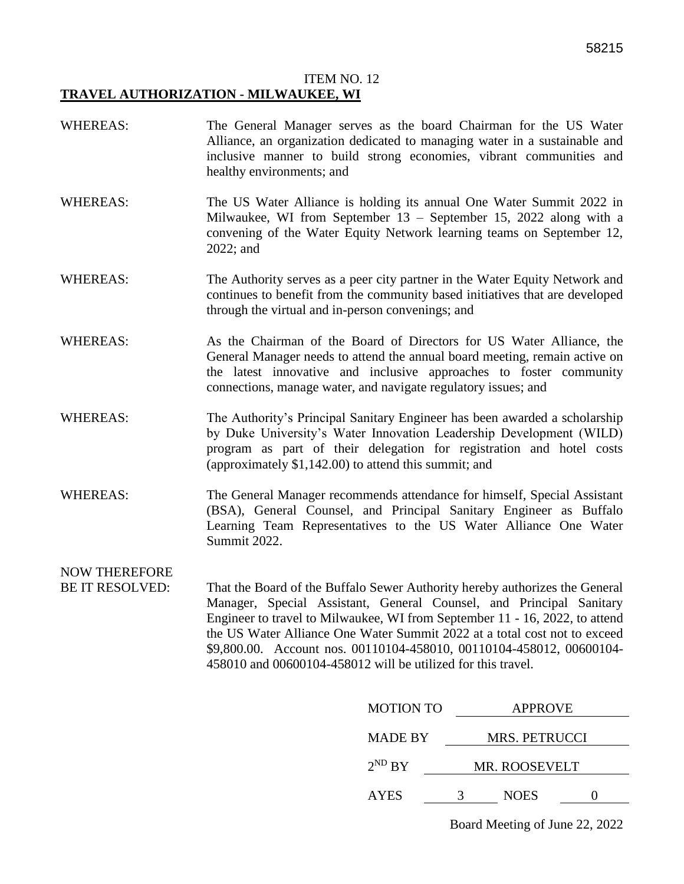#### ITEM NO. 12 **TRAVEL AUTHORIZATION - MILWAUKEE, WI**

- WHEREAS: The General Manager serves as the board Chairman for the US Water Alliance, an organization dedicated to managing water in a sustainable and inclusive manner to build strong economies, vibrant communities and healthy environments; and
- WHEREAS: The US Water Alliance is holding its annual One Water Summit 2022 in Milwaukee, WI from September 13 – September 15, 2022 along with a convening of the Water Equity Network learning teams on September 12, 2022; and
- WHEREAS: The Authority serves as a peer city partner in the Water Equity Network and continues to benefit from the community based initiatives that are developed through the virtual and in-person convenings; and
- WHEREAS: As the Chairman of the Board of Directors for US Water Alliance, the General Manager needs to attend the annual board meeting, remain active on the latest innovative and inclusive approaches to foster community connections, manage water, and navigate regulatory issues; and
- WHEREAS: The Authority's Principal Sanitary Engineer has been awarded a scholarship by Duke University's Water Innovation Leadership Development (WILD) program as part of their delegation for registration and hotel costs (approximately \$1,142.00) to attend this summit; and
- WHEREAS: The General Manager recommends attendance for himself, Special Assistant (BSA), General Counsel, and Principal Sanitary Engineer as Buffalo Learning Team Representatives to the US Water Alliance One Water Summit 2022.

### NOW THEREFORE

BE IT RESOLVED: That the Board of the Buffalo Sewer Authority hereby authorizes the General Manager, Special Assistant, General Counsel, and Principal Sanitary Engineer to travel to Milwaukee, WI from September 11 - 16, 2022, to attend the US Water Alliance One Water Summit 2022 at a total cost not to exceed \$9,800.00. Account nos. 00110104-458010, 00110104-458012, 00600104- 458010 and 00600104-458012 will be utilized for this travel.

| <b>MOTION TO</b> |               | <b>APPROVE</b>       |  |  |
|------------------|---------------|----------------------|--|--|
| <b>MADE BY</b>   |               | <b>MRS. PETRUCCI</b> |  |  |
| $2^{ND}$ BY      | MR. ROOSEVELT |                      |  |  |
| <b>AYES</b>      |               | <b>NOES</b>          |  |  |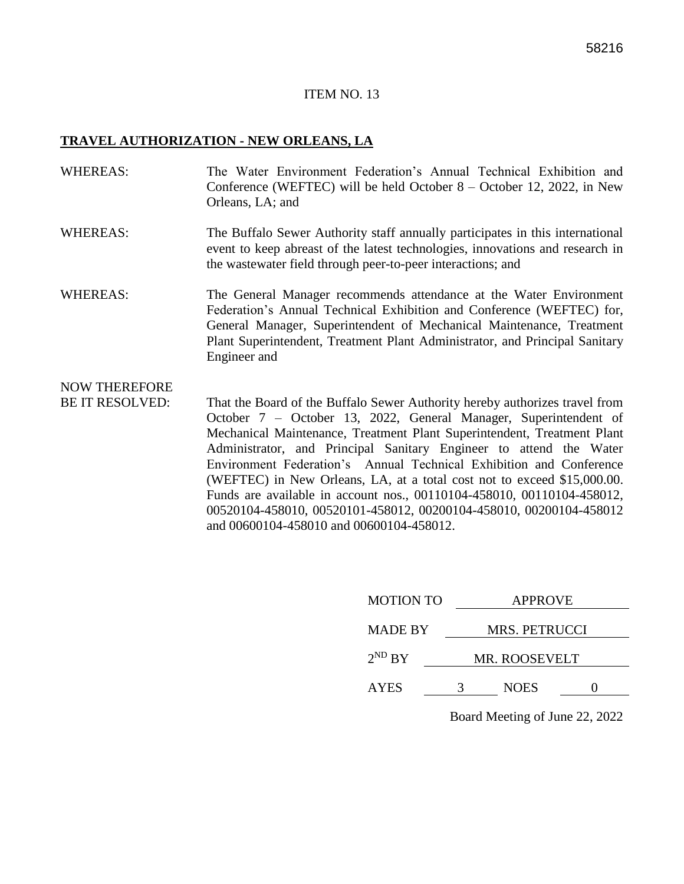#### **TRAVEL AUTHORIZATION - NEW ORLEANS, LA**

- WHEREAS: The Water Environment Federation's Annual Technical Exhibition and Conference (WEFTEC) will be held October 8 – October 12, 2022, in New Orleans, LA; and
- WHEREAS: The Buffalo Sewer Authority staff annually participates in this international event to keep abreast of the latest technologies, innovations and research in the wastewater field through peer-to-peer interactions; and
- WHEREAS: The General Manager recommends attendance at the Water Environment Federation's Annual Technical Exhibition and Conference (WEFTEC) for, General Manager, Superintendent of Mechanical Maintenance, Treatment Plant Superintendent, Treatment Plant Administrator, and Principal Sanitary Engineer and

### NOW THEREFORE

BE IT RESOLVED: That the Board of the Buffalo Sewer Authority hereby authorizes travel from October 7 – October 13, 2022, General Manager, Superintendent of Mechanical Maintenance, Treatment Plant Superintendent, Treatment Plant Administrator, and Principal Sanitary Engineer to attend the Water Environment Federation's Annual Technical Exhibition and Conference (WEFTEC) in New Orleans, LA, at a total cost not to exceed \$15,000.00. Funds are available in account nos., 00110104-458010, 00110104-458012, 00520104-458010, 00520101-458012, 00200104-458010, 00200104-458012 and 00600104-458010 and 00600104-458012.

| <b>MOTION TO</b> | <b>APPROVE</b> |                      |  |  |
|------------------|----------------|----------------------|--|--|
| <b>MADE BY</b>   |                | <b>MRS. PETRUCCI</b> |  |  |
| $2^{ND} BY$      |                | MR. ROOSEVELT        |  |  |
| <b>AYES</b>      | 3              | <b>NOES</b>          |  |  |
|                  |                |                      |  |  |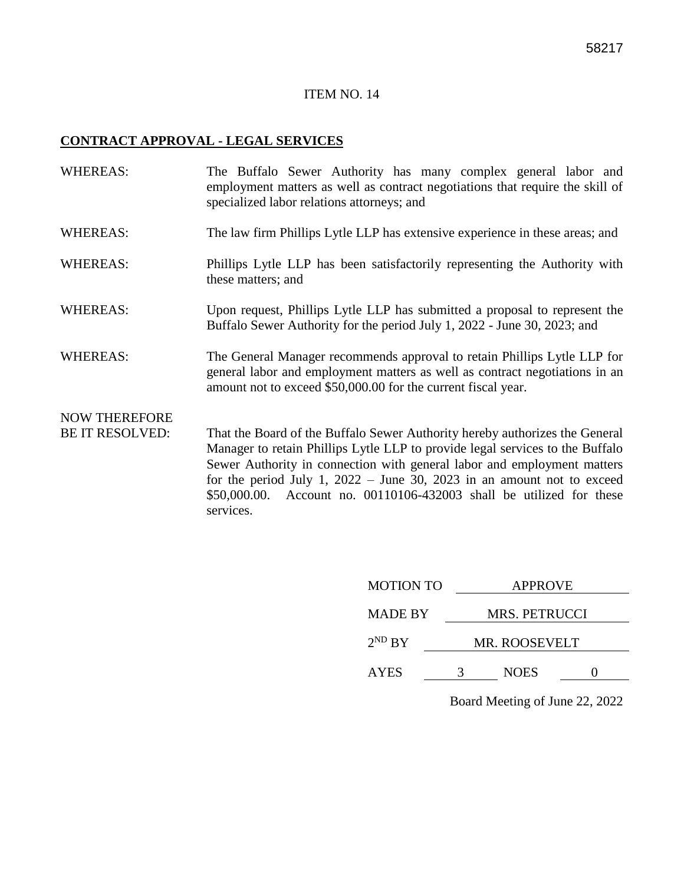#### **CONTRACT APPROVAL - LEGAL SERVICES**

| <b>WHEREAS:</b>                                | The Buffalo Sewer Authority has many complex general labor and<br>employment matters as well as contract negotiations that require the skill of<br>specialized labor relations attorneys; and                                                                                                                                                                                                            |
|------------------------------------------------|----------------------------------------------------------------------------------------------------------------------------------------------------------------------------------------------------------------------------------------------------------------------------------------------------------------------------------------------------------------------------------------------------------|
| <b>WHEREAS:</b>                                | The law firm Phillips Lytle LLP has extensive experience in these areas; and                                                                                                                                                                                                                                                                                                                             |
| <b>WHEREAS:</b>                                | Phillips Lytle LLP has been satisfactorily representing the Authority with<br>these matters; and                                                                                                                                                                                                                                                                                                         |
| <b>WHEREAS:</b>                                | Upon request, Phillips Lytle LLP has submitted a proposal to represent the<br>Buffalo Sewer Authority for the period July 1, 2022 - June 30, 2023; and                                                                                                                                                                                                                                                   |
| <b>WHEREAS:</b>                                | The General Manager recommends approval to retain Phillips Lytle LLP for<br>general labor and employment matters as well as contract negotiations in an<br>amount not to exceed \$50,000.00 for the current fiscal year.                                                                                                                                                                                 |
| <b>NOW THEREFORE</b><br><b>BE IT RESOLVED:</b> | That the Board of the Buffalo Sewer Authority hereby authorizes the General<br>Manager to retain Phillips Lytle LLP to provide legal services to the Buffalo<br>Sewer Authority in connection with general labor and employment matters<br>for the period July 1, $2022 -$ June 30, 2023 in an amount not to exceed<br>\$50,000.00. Account no. 00110106-432003 shall be utilized for these<br>services. |

| <b>MOTION TO</b> | <b>APPROVE</b>       |             |  |
|------------------|----------------------|-------------|--|
| <b>MADE BY</b>   | <b>MRS. PETRUCCI</b> |             |  |
| $2^{ND} BY$      | <b>MR. ROOSEVELT</b> |             |  |
| <b>AYES</b>      |                      | <b>NOES</b> |  |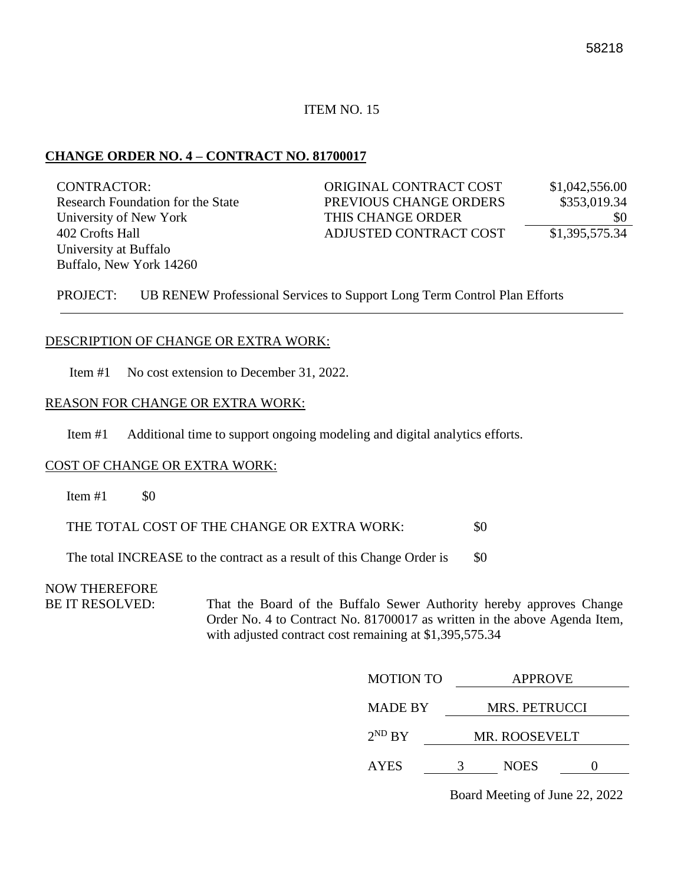#### **CHANGE ORDER NO. 4 – CONTRACT NO. 81700017**

| <b>CONTRACTOR:</b>                | ORIGINAL CONTRACT COST | \$1,042,556.00 |
|-----------------------------------|------------------------|----------------|
| Research Foundation for the State | PREVIOUS CHANGE ORDERS | \$353,019.34   |
| University of New York            | THIS CHANGE ORDER      | \$0            |
| 402 Crofts Hall                   | ADJUSTED CONTRACT COST | \$1,395,575.34 |
| University at Buffalo             |                        |                |
| Buffalo, New York 14260           |                        |                |

PROJECT: UB RENEW Professional Services to Support Long Term Control Plan Efforts

#### DESCRIPTION OF CHANGE OR EXTRA WORK:

Item #1 No cost extension to December 31, 2022.

#### REASON FOR CHANGE OR EXTRA WORK:

Item #1 Additional time to support ongoing modeling and digital analytics efforts.

#### COST OF CHANGE OR EXTRA WORK:

Item  $#1$  \$0

THE TOTAL COST OF THE CHANGE OR EXTRA WORK:  $$0$ 

The total INCREASE to the contract as a result of this Change Order is \$0

#### NOW THEREFORE

BE IT RESOLVED: That the Board of the Buffalo Sewer Authority hereby approves Change Order No. 4 to Contract No. 81700017 as written in the above Agenda Item, with adjusted contract cost remaining at \$1,395,575.34

| <b>MOTION TO</b> |   | <b>APPROVE</b>       |  |  |
|------------------|---|----------------------|--|--|
| <b>MADE BY</b>   |   | MRS. PETRUCCI        |  |  |
| $2^{ND} BY$      |   | <b>MR. ROOSEVELT</b> |  |  |
| <b>AYES</b>      | 3 | <b>NOES</b>          |  |  |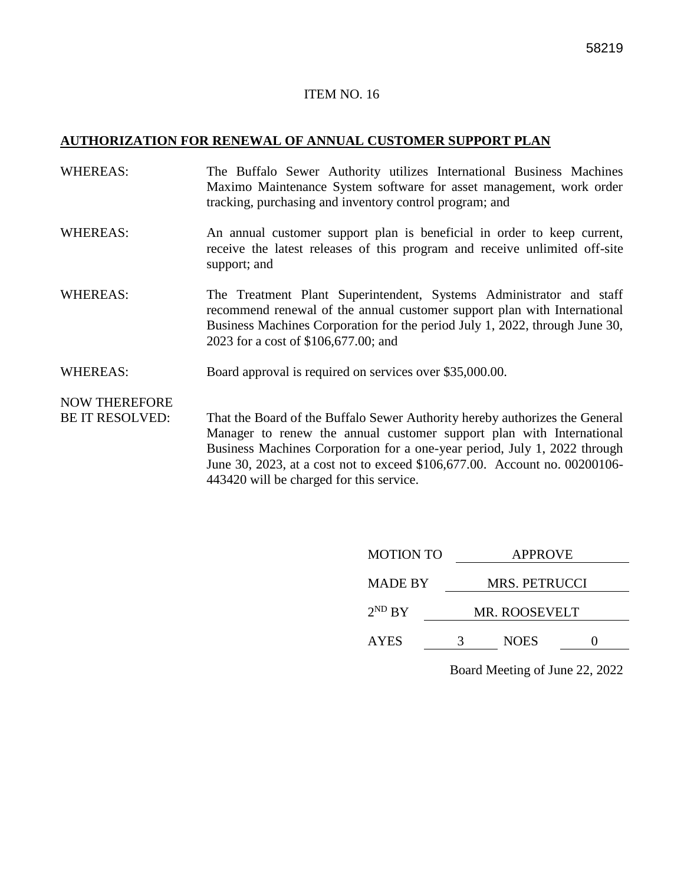#### **AUTHORIZATION FOR RENEWAL OF ANNUAL CUSTOMER SUPPORT PLAN**

- WHEREAS: The Buffalo Sewer Authority utilizes International Business Machines Maximo Maintenance System software for asset management, work order tracking, purchasing and inventory control program; and
- WHEREAS: An annual customer support plan is beneficial in order to keep current, receive the latest releases of this program and receive unlimited off-site support; and
- WHEREAS: The Treatment Plant Superintendent, Systems Administrator and staff recommend renewal of the annual customer support plan with International Business Machines Corporation for the period July 1, 2022, through June 30, 2023 for a cost of \$106,677.00; and
- WHEREAS: Board approval is required on services over \$35,000.00.

NOW THEREFORE

BE IT RESOLVED: That the Board of the Buffalo Sewer Authority hereby authorizes the General Manager to renew the annual customer support plan with International Business Machines Corporation for a one-year period, July 1, 2022 through June 30, 2023, at a cost not to exceed \$106,677.00. Account no. 00200106- 443420 will be charged for this service.

| <b>MOTION TO</b> | <b>APPROVE</b>       |  |  |
|------------------|----------------------|--|--|
| <b>MADE BY</b>   | <b>MRS. PETRUCCI</b> |  |  |
| $2^{ND}$ BY      | <b>MR. ROOSEVELT</b> |  |  |
| <b>AYES</b>      | <b>NOES</b>          |  |  |
|                  |                      |  |  |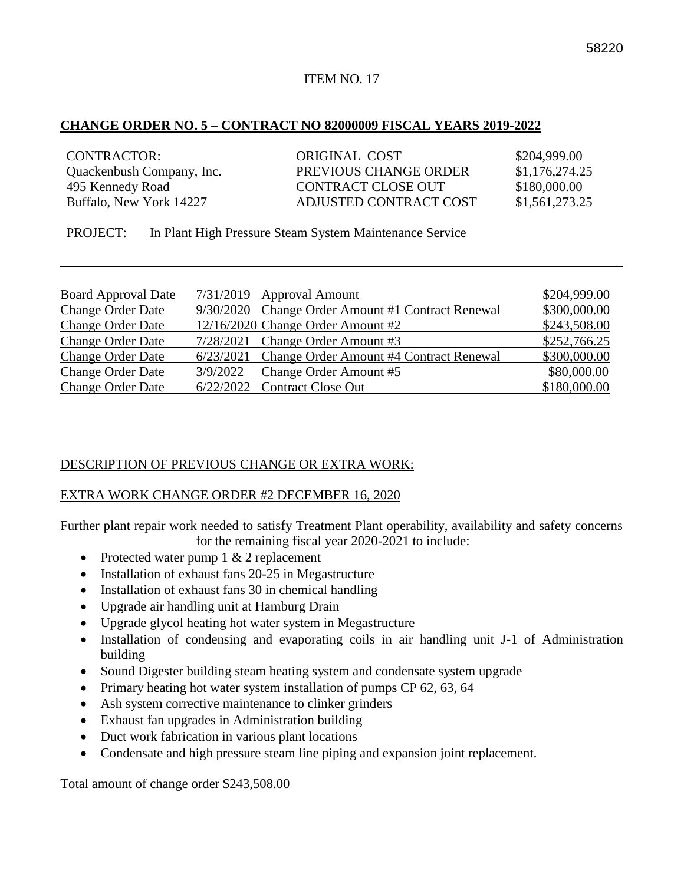#### **CHANGE ORDER NO. 5 – CONTRACT NO 82000009 FISCAL YEARS 2019-2022**

| <b>CONTRACTOR:</b>        | ORIGINAL COST          | \$204,999.00   |
|---------------------------|------------------------|----------------|
| Quackenbush Company, Inc. | PREVIOUS CHANGE ORDER  | \$1,176,274.25 |
| 495 Kennedy Road          | CONTRACT CLOSE OUT     | \$180,000.00   |
| Buffalo, New York 14227   | ADJUSTED CONTRACT COST | \$1,561,273.25 |

PROJECT: In Plant High Pressure Steam System Maintenance Service

| <b>Board Approval Date</b> | 7/31/2019 Approval Amount                         | \$204,999.00 |
|----------------------------|---------------------------------------------------|--------------|
| <b>Change Order Date</b>   | 9/30/2020 Change Order Amount #1 Contract Renewal | \$300,000.00 |
| <b>Change Order Date</b>   | 12/16/2020 Change Order Amount #2                 | \$243,508.00 |
| <b>Change Order Date</b>   | 7/28/2021 Change Order Amount #3                  | \$252,766.25 |
| <b>Change Order Date</b>   | 6/23/2021 Change Order Amount #4 Contract Renewal | \$300,000.00 |
| <b>Change Order Date</b>   | 3/9/2022 Change Order Amount #5                   | \$80,000.00  |
| <b>Change Order Date</b>   | 6/22/2022 Contract Close Out                      | \$180,000.00 |

#### DESCRIPTION OF PREVIOUS CHANGE OR EXTRA WORK:

#### EXTRA WORK CHANGE ORDER #2 DECEMBER 16, 2020

Further plant repair work needed to satisfy Treatment Plant operability, availability and safety concerns for the remaining fiscal year 2020-2021 to include:

- Protected water pump 1 & 2 replacement
- Installation of exhaust fans 20-25 in Megastructure
- Installation of exhaust fans 30 in chemical handling
- Upgrade air handling unit at Hamburg Drain
- Upgrade glycol heating hot water system in Megastructure
- Installation of condensing and evaporating coils in air handling unit J-1 of Administration building
- Sound Digester building steam heating system and condensate system upgrade
- Primary heating hot water system installation of pumps CP 62, 63, 64
- Ash system corrective maintenance to clinker grinders
- Exhaust fan upgrades in Administration building
- Duct work fabrication in various plant locations
- Condensate and high pressure steam line piping and expansion joint replacement.

Total amount of change order \$243,508.00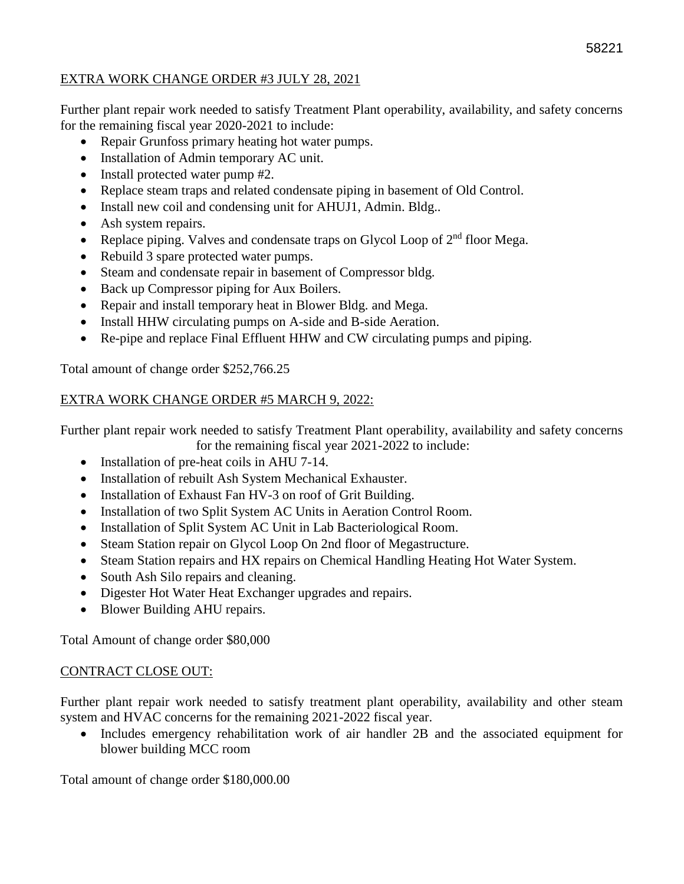#### EXTRA WORK CHANGE ORDER #3 JULY 28, 2021

Further plant repair work needed to satisfy Treatment Plant operability, availability, and safety concerns for the remaining fiscal year 2020-2021 to include:

- Repair Grunfoss primary heating hot water pumps.
- Installation of Admin temporary AC unit.
- Install protected water pump #2.
- Replace steam traps and related condensate piping in basement of Old Control.
- Install new coil and condensing unit for AHUJ1, Admin. Bldg..
- Ash system repairs.
- Replace piping. Valves and condensate traps on Glycol Loop of  $2<sup>nd</sup>$  floor Mega.
- Rebuild 3 spare protected water pumps.
- Steam and condensate repair in basement of Compressor bldg.
- Back up Compressor piping for Aux Boilers.
- Repair and install temporary heat in Blower Bldg. and Mega.
- Install HHW circulating pumps on A-side and B-side Aeration.
- Re-pipe and replace Final Effluent HHW and CW circulating pumps and piping.

Total amount of change order \$252,766.25

#### EXTRA WORK CHANGE ORDER #5 MARCH 9, 2022:

Further plant repair work needed to satisfy Treatment Plant operability, availability and safety concerns

for the remaining fiscal year 2021-2022 to include:

- Installation of pre-heat coils in AHU 7-14.
- Installation of rebuilt Ash System Mechanical Exhauster.
- Installation of Exhaust Fan HV-3 on roof of Grit Building.
- Installation of two Split System AC Units in Aeration Control Room.
- Installation of Split System AC Unit in Lab Bacteriological Room.
- Steam Station repair on Glycol Loop On 2nd floor of Megastructure.
- Steam Station repairs and HX repairs on Chemical Handling Heating Hot Water System.
- South Ash Silo repairs and cleaning.
- Digester Hot Water Heat Exchanger upgrades and repairs.
- Blower Building AHU repairs.

Total Amount of change order \$80,000

#### CONTRACT CLOSE OUT:

Further plant repair work needed to satisfy treatment plant operability, availability and other steam system and HVAC concerns for the remaining 2021-2022 fiscal year.

• Includes emergency rehabilitation work of air handler 2B and the associated equipment for blower building MCC room

Total amount of change order \$180,000.00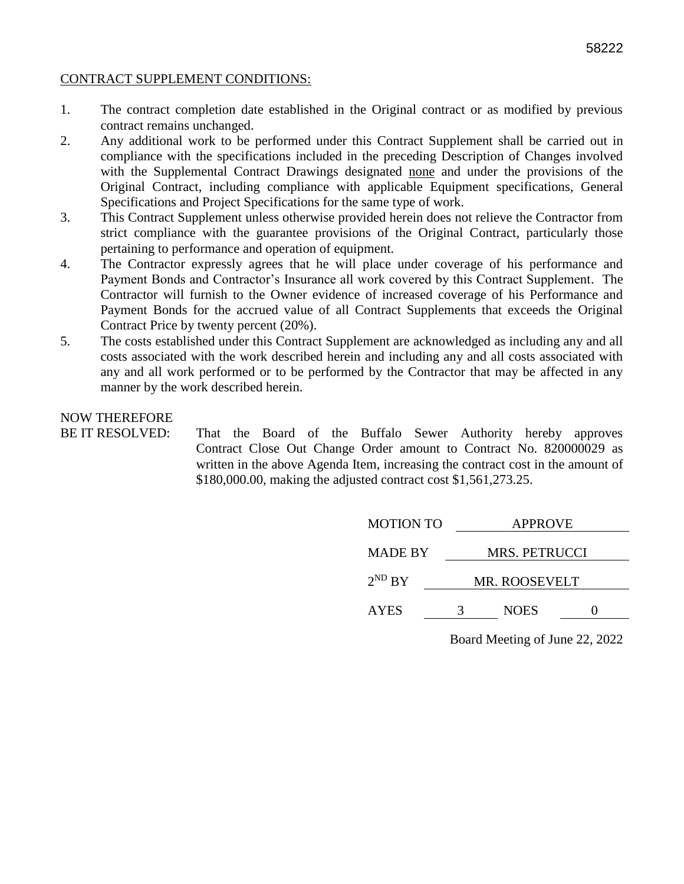#### CONTRACT SUPPLEMENT CONDITIONS:

- 1. The contract completion date established in the Original contract or as modified by previous contract remains unchanged.
- 2. Any additional work to be performed under this Contract Supplement shall be carried out in compliance with the specifications included in the preceding Description of Changes involved with the Supplemental Contract Drawings designated none and under the provisions of the Original Contract, including compliance with applicable Equipment specifications, General Specifications and Project Specifications for the same type of work.
- 3. This Contract Supplement unless otherwise provided herein does not relieve the Contractor from strict compliance with the guarantee provisions of the Original Contract, particularly those pertaining to performance and operation of equipment.
- 4. The Contractor expressly agrees that he will place under coverage of his performance and Payment Bonds and Contractor's Insurance all work covered by this Contract Supplement. The Contractor will furnish to the Owner evidence of increased coverage of his Performance and Payment Bonds for the accrued value of all Contract Supplements that exceeds the Original Contract Price by twenty percent (20%).
- 5. The costs established under this Contract Supplement are acknowledged as including any and all costs associated with the work described herein and including any and all costs associated with any and all work performed or to be performed by the Contractor that may be affected in any manner by the work described herein.

#### NOW THEREFORE

BE IT RESOLVED: That the Board of the Buffalo Sewer Authority hereby approves Contract Close Out Change Order amount to Contract No. 820000029 as written in the above Agenda Item, increasing the contract cost in the amount of \$180,000.00, making the adjusted contract cost \$1,561,273.25.

| <b>MOTION TO</b> | <b>APPROVE</b> |  |  |
|------------------|----------------|--|--|
| <b>MADE BY</b>   | MRS. PETRUCCI  |  |  |
| $2^{ND} BY$      | MR. ROOSEVELT  |  |  |
| <b>AYES</b>      | <b>NOES</b>    |  |  |
|                  |                |  |  |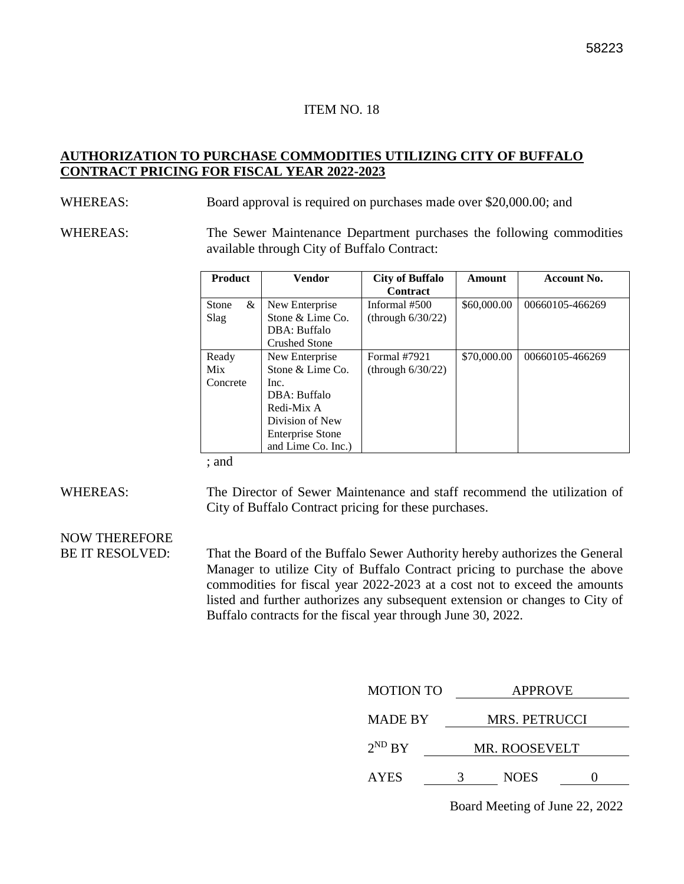#### **AUTHORIZATION TO PURCHASE COMMODITIES UTILIZING CITY OF BUFFALO CONTRACT PRICING FOR FISCAL YEAR 2022-2023**

WHEREAS: Board approval is required on purchases made over \$20,000.00; and

WHEREAS: The Sewer Maintenance Department purchases the following commodities available through City of Buffalo Contract:

| <b>Product</b>                  | Vendor                                                                                                                                       | <b>City of Buffalo</b><br><b>Contract</b> | Amount      | Account No.     |
|---------------------------------|----------------------------------------------------------------------------------------------------------------------------------------------|-------------------------------------------|-------------|-----------------|
| &<br>Stone<br>Slag              | New Enterprise<br>Stone & Lime Co.<br>DBA: Buffalo<br><b>Crushed Stone</b>                                                                   | Informal #500<br>(through $6/30/22$ )     | \$60,000.00 | 00660105-466269 |
| Ready<br><b>Mix</b><br>Concrete | New Enterprise<br>Stone & Lime Co.<br>Inc.<br>DBA: Buffalo<br>Redi-Mix A<br>Division of New<br><b>Enterprise Stone</b><br>and Lime Co. Inc.) | Formal #7921<br>(through $6/30/22$ )      | \$70,000.00 | 00660105-466269 |

; and

WHEREAS: The Director of Sewer Maintenance and staff recommend the utilization of City of Buffalo Contract pricing for these purchases.

NOW THEREFORE

BE IT RESOLVED: That the Board of the Buffalo Sewer Authority hereby authorizes the General Manager to utilize City of Buffalo Contract pricing to purchase the above commodities for fiscal year 2022-2023 at a cost not to exceed the amounts listed and further authorizes any subsequent extension or changes to City of Buffalo contracts for the fiscal year through June 30, 2022.

| <b>MOTION TO</b> | <b>APPROVE</b>       |             |  |
|------------------|----------------------|-------------|--|
| <b>MADE BY</b>   | <b>MRS. PETRUCCI</b> |             |  |
| $2^{ND}$ BY      | <b>MR. ROOSEVELT</b> |             |  |
| <b>AYES</b>      |                      | <b>NOES</b> |  |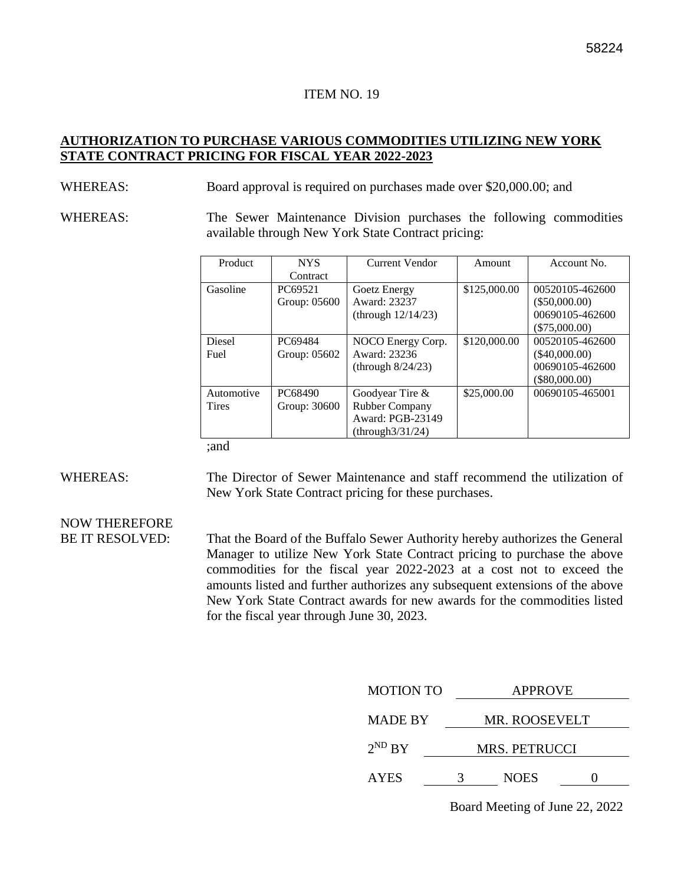#### **AUTHORIZATION TO PURCHASE VARIOUS COMMODITIES UTILIZING NEW YORK STATE CONTRACT PRICING FOR FISCAL YEAR 2022-2023**

#### WHEREAS: Board approval is required on purchases made over \$20,000.00; and

WHEREAS: The Sewer Maintenance Division purchases the following commodities available through New York State Contract pricing:

| Product        | <b>NYS</b>   | Current Vendor        | Amount       | Account No.     |
|----------------|--------------|-----------------------|--------------|-----------------|
|                | Contract     |                       |              |                 |
| Gasoline       | PC69521      | Goetz Energy          | \$125,000.00 | 00520105-462600 |
|                | Group: 05600 | Award: 23237          |              | $(\$50,000.00)$ |
|                |              | (through $12/14/23$ ) |              | 00690105-462600 |
|                |              |                       |              | $(\$75,000.00)$ |
| Diesel         | PC69484      | NOCO Energy Corp.     | \$120,000.00 | 00520105-462600 |
| Fuel           | Group: 05602 | Award: 23236          |              | $(\$40,000.00)$ |
|                |              | (through $8/24/23$ )  |              | 00690105-462600 |
|                |              |                       |              | (\$80,000.00)   |
| Automotive     | PC68490      | Goodyear Tire $&$     | \$25,000.00  | 00690105-465001 |
| <b>Tires</b>   | Group: 30600 | Rubber Company        |              |                 |
|                |              | Award: PGB-23149      |              |                 |
|                |              | (throught3/31/24)     |              |                 |
| $\blacksquare$ |              |                       |              |                 |

;and

WHEREAS: The Director of Sewer Maintenance and staff recommend the utilization of New York State Contract pricing for these purchases.

# NOW THEREFORE

BE IT RESOLVED: That the Board of the Buffalo Sewer Authority hereby authorizes the General Manager to utilize New York State Contract pricing to purchase the above commodities for the fiscal year 2022-2023 at a cost not to exceed the amounts listed and further authorizes any subsequent extensions of the above New York State Contract awards for new awards for the commodities listed for the fiscal year through June 30, 2023.

| <b>MOTION TO</b> | <b>APPROVE</b> |  |  |  |
|------------------|----------------|--|--|--|
| <b>MADE BY</b>   | MR. ROOSEVELT  |  |  |  |
| $2^{ND}$ BY      | MRS. PETRUCCI  |  |  |  |
| <b>AYES</b>      | <b>NOES</b>    |  |  |  |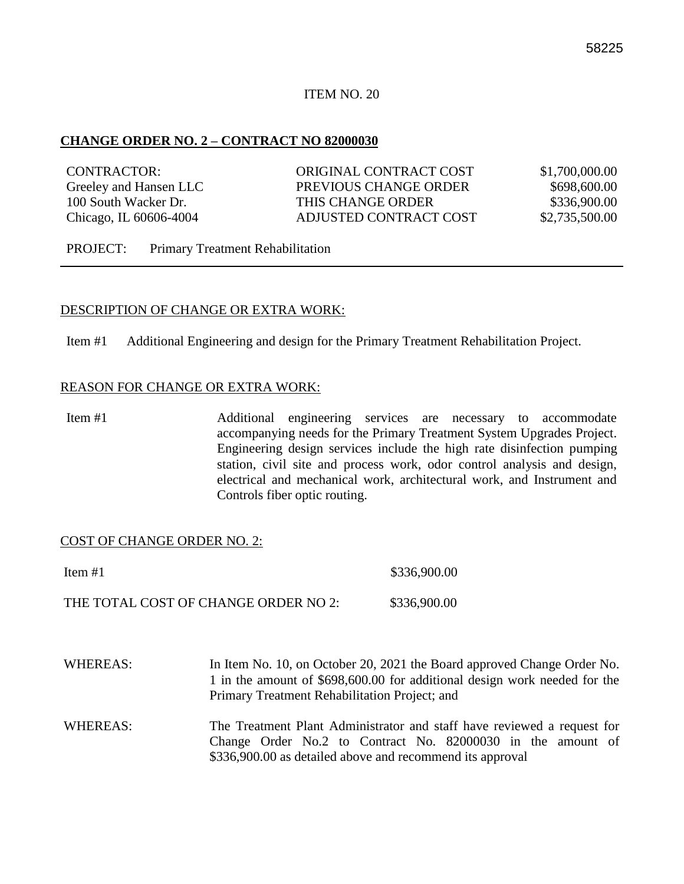#### **CHANGE ORDER NO. 2 – CONTRACT NO 82000030**

| CONTRACTOR:            | ORIGINAL CONTRACT COST | \$1,700,000.00 |
|------------------------|------------------------|----------------|
| Greeley and Hansen LLC | PREVIOUS CHANGE ORDER  | \$698,600.00   |
| 100 South Wacker Dr.   | THIS CHANGE ORDER      | \$336,900.00   |
| Chicago, IL 60606-4004 | ADJUSTED CONTRACT COST | \$2,735,500.00 |
|                        |                        |                |

PROJECT: Primary Treatment Rehabilitation

#### DESCRIPTION OF CHANGE OR EXTRA WORK:

Item #1 Additional Engineering and design for the Primary Treatment Rehabilitation Project.

#### REASON FOR CHANGE OR EXTRA WORK:

Item #1 Additional engineering services are necessary to accommodate accompanying needs for the Primary Treatment System Upgrades Project. Engineering design services include the high rate disinfection pumping station, civil site and process work, odor control analysis and design, electrical and mechanical work, architectural work, and Instrument and Controls fiber optic routing.

#### COST OF CHANGE ORDER NO. 2:

| Item $#1$                            | \$336,900.00 |
|--------------------------------------|--------------|
| THE TOTAL COST OF CHANGE ORDER NO 2: | \$336,900.00 |

- WHEREAS: In Item No. 10, on October 20, 2021 the Board approved Change Order No. 1 in the amount of \$698,600.00 for additional design work needed for the Primary Treatment Rehabilitation Project; and
- WHEREAS: The Treatment Plant Administrator and staff have reviewed a request for Change Order No.2 to Contract No. 82000030 in the amount of \$336,900.00 as detailed above and recommend its approval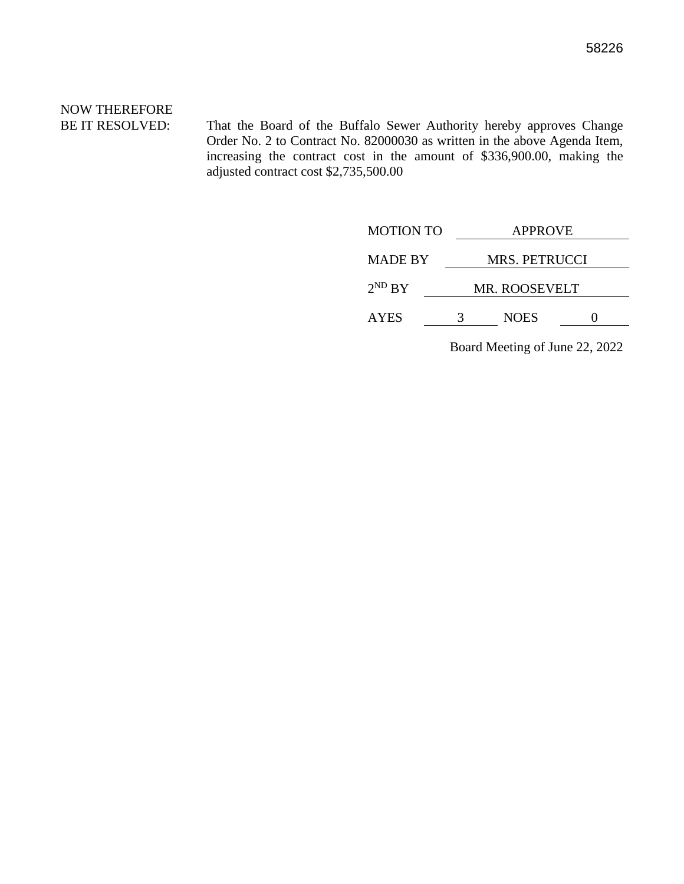# NOW THEREFORE

BE IT RESOLVED: That the Board of the Buffalo Sewer Authority hereby approves Change Order No. 2 to Contract No. 82000030 as written in the above Agenda Item, increasing the contract cost in the amount of \$336,900.00, making the adjusted contract cost \$2,735,500.00

| <b>MOTION TO</b> | <b>APPROVE</b>       |  |  |
|------------------|----------------------|--|--|
| <b>MADE BY</b>   | MRS. PETRUCCI        |  |  |
| $2^{ND}$ BY      | <b>MR. ROOSEVELT</b> |  |  |
| <b>AYES</b>      | <b>NOES</b>          |  |  |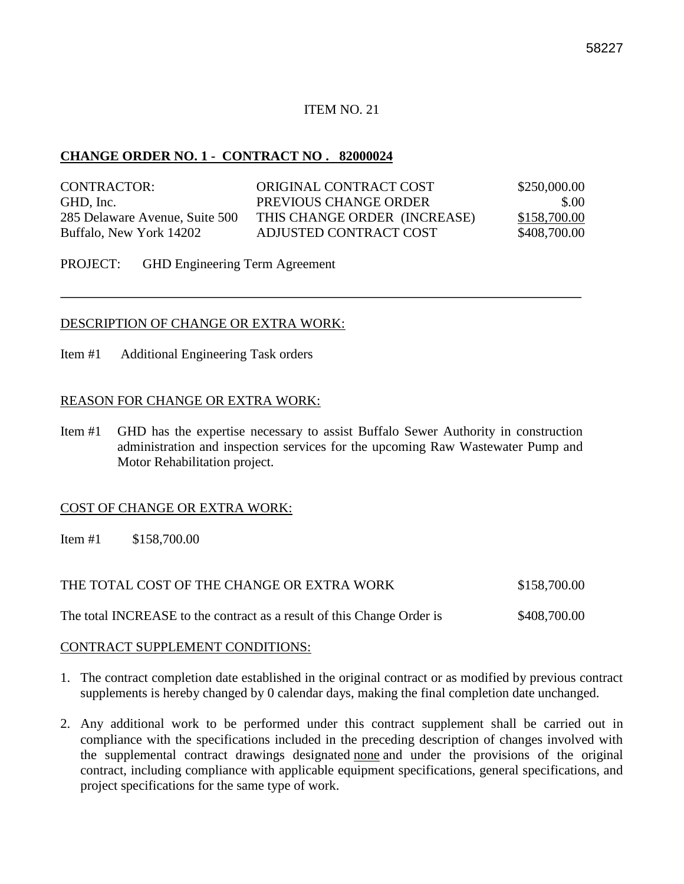#### **CHANGE ORDER NO. 1 - CONTRACT NO . 82000024**

| CONTRACTOR:                    | ORIGINAL CONTRACT COST       | \$250,000.00 |
|--------------------------------|------------------------------|--------------|
| GHD, Inc.                      | PREVIOUS CHANGE ORDER        | \$.00        |
| 285 Delaware Avenue, Suite 500 | THIS CHANGE ORDER (INCREASE) | \$158,700.00 |
| Buffalo, New York 14202        | ADJUSTED CONTRACT COST       | \$408,700.00 |

PROJECT: GHD Engineering Term Agreement

#### DESCRIPTION OF CHANGE OR EXTRA WORK:

Item #1 Additional Engineering Task orders

#### REASON FOR CHANGE OR EXTRA WORK:

Item #1 GHD has the expertise necessary to assist Buffalo Sewer Authority in construction administration and inspection services for the upcoming Raw Wastewater Pump and Motor Rehabilitation project.

#### COST OF CHANGE OR EXTRA WORK:

Item #1 \$158,700.00

THE TOTAL COST OF THE CHANGE OR EXTRA WORK \$158,700.00

The total INCREASE to the contract as a result of this Change Order is  $$408,700.00$ 

#### CONTRACT SUPPLEMENT CONDITIONS:

- 1. The contract completion date established in the original contract or as modified by previous contract supplements is hereby changed by 0 calendar days, making the final completion date unchanged.
- 2. Any additional work to be performed under this contract supplement shall be carried out in compliance with the specifications included in the preceding description of changes involved with the supplemental contract drawings designated none and under the provisions of the original contract, including compliance with applicable equipment specifications, general specifications, and project specifications for the same type of work.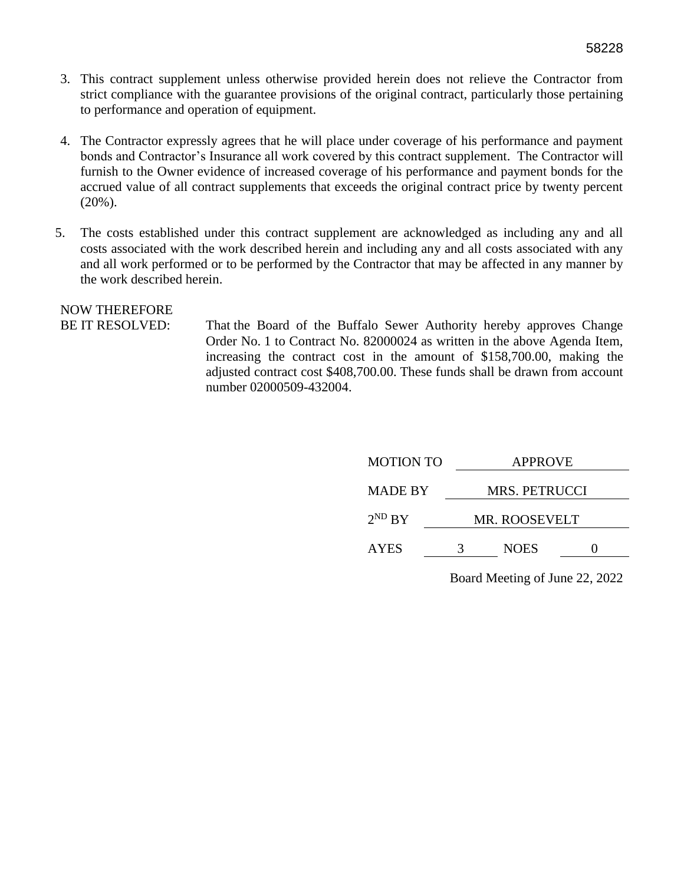- 3. This contract supplement unless otherwise provided herein does not relieve the Contractor from strict compliance with the guarantee provisions of the original contract, particularly those pertaining to performance and operation of equipment.
- 4. The Contractor expressly agrees that he will place under coverage of his performance and payment bonds and Contractor's Insurance all work covered by this contract supplement. The Contractor will furnish to the Owner evidence of increased coverage of his performance and payment bonds for the accrued value of all contract supplements that exceeds the original contract price by twenty percent (20%).
- 5. The costs established under this contract supplement are acknowledged as including any and all costs associated with the work described herein and including any and all costs associated with any and all work performed or to be performed by the Contractor that may be affected in any manner by the work described herein.

# NOW THEREFORE

BE IT RESOLVED: That the Board of the Buffalo Sewer Authority hereby approves Change Order No. 1 to Contract No. 82000024 as written in the above Agenda Item, increasing the contract cost in the amount of \$158,700.00, making the adjusted contract cost \$408,700.00. These funds shall be drawn from account number 02000509-432004.

|   | <b>APPROVE</b> |                      |  |  |
|---|----------------|----------------------|--|--|
|   | MRS. PETRUCCI  |                      |  |  |
|   |                |                      |  |  |
| 3 | <b>NOES</b>    |                      |  |  |
|   |                | <b>MR. ROOSEVELT</b> |  |  |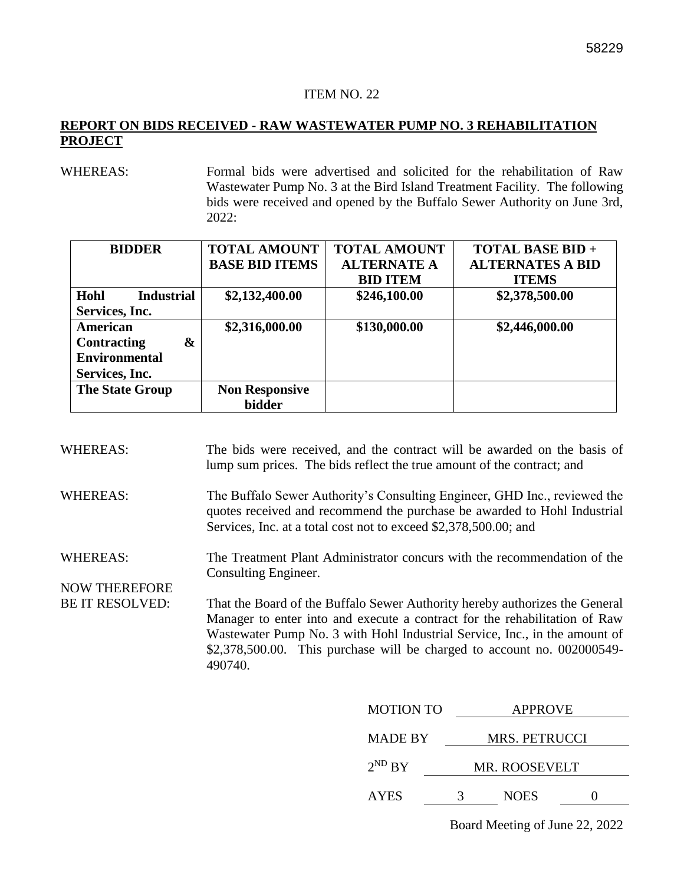#### **REPORT ON BIDS RECEIVED - RAW WASTEWATER PUMP NO. 3 REHABILITATION PROJECT**

WHEREAS: Formal bids were advertised and solicited for the rehabilitation of Raw Wastewater Pump No. 3 at the Bird Island Treatment Facility. The following bids were received and opened by the Buffalo Sewer Authority on June 3rd, 2022:

| <b>BIDDER</b>             | <b>TOTAL AMOUNT</b>   | <b>TOTAL AMOUNT</b> | <b>TOTAL BASE BID +</b> |
|---------------------------|-----------------------|---------------------|-------------------------|
|                           | <b>BASE BID ITEMS</b> | <b>ALTERNATE A</b>  | <b>ALTERNATES A BID</b> |
|                           |                       | <b>BID ITEM</b>     | <b>ITEMS</b>            |
| Hohl<br><b>Industrial</b> | \$2,132,400.00        | \$246,100.00        | \$2,378,500.00          |
| Services, Inc.            |                       |                     |                         |
| <b>American</b>           | \$2,316,000.00        | \$130,000.00        | \$2,446,000.00          |
| <b>Contracting</b><br>&   |                       |                     |                         |
| <b>Environmental</b>      |                       |                     |                         |
| Services, Inc.            |                       |                     |                         |
| <b>The State Group</b>    | <b>Non Responsive</b> |                     |                         |
|                           | <b>bidder</b>         |                     |                         |

| <b>WHEREAS:</b>                         | lump sum prices. The bids reflect the true amount of the contract; and |                  | The bids were received, and the contract will be awarded on the basis of                                                                                                                                                                                                                                           |
|-----------------------------------------|------------------------------------------------------------------------|------------------|--------------------------------------------------------------------------------------------------------------------------------------------------------------------------------------------------------------------------------------------------------------------------------------------------------------------|
| <b>WHEREAS:</b>                         | Services, Inc. at a total cost not to exceed \$2,378,500.00; and       |                  | The Buffalo Sewer Authority's Consulting Engineer, GHD Inc., reviewed the<br>quotes received and recommend the purchase be awarded to Hohl Industrial                                                                                                                                                              |
| <b>WHEREAS:</b><br><b>NOW THEREFORE</b> | Consulting Engineer.                                                   |                  | The Treatment Plant Administrator concurs with the recommendation of the                                                                                                                                                                                                                                           |
| <b>BE IT RESOLVED:</b>                  | 490740.                                                                |                  | That the Board of the Buffalo Sewer Authority hereby authorizes the General<br>Manager to enter into and execute a contract for the rehabilitation of Raw<br>Wastewater Pump No. 3 with Hohl Industrial Service, Inc., in the amount of<br>\$2,378,500.00. This purchase will be charged to account no. 002000549- |
|                                         |                                                                        | <b>MOTION TO</b> | <b>APPROVE</b>                                                                                                                                                                                                                                                                                                     |
|                                         |                                                                        | <b>MADE BY</b>   | MRS. PETRUCCI                                                                                                                                                                                                                                                                                                      |
|                                         |                                                                        | $2^{ND} BY$      | MR. ROOSEVELT                                                                                                                                                                                                                                                                                                      |
|                                         |                                                                        |                  |                                                                                                                                                                                                                                                                                                                    |

AYES 3 NOES 0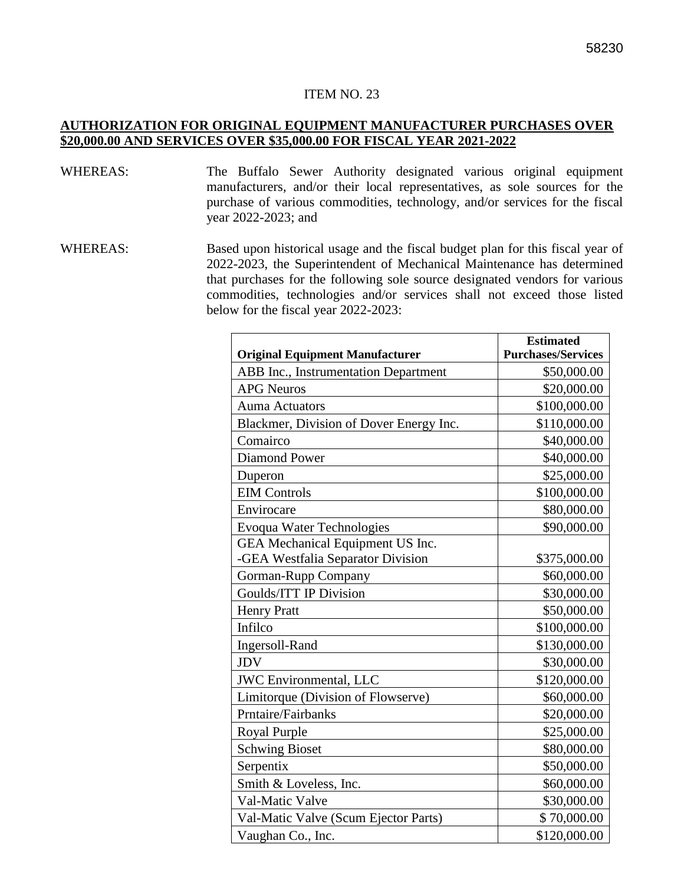#### **AUTHORIZATION FOR ORIGINAL EQUIPMENT MANUFACTURER PURCHASES OVER \$20,000.00 AND SERVICES OVER \$35,000.00 FOR FISCAL YEAR 2021-2022**

- WHEREAS: The Buffalo Sewer Authority designated various original equipment manufacturers, and/or their local representatives, as sole sources for the purchase of various commodities, technology, and/or services for the fiscal year 2022-2023; and
- WHEREAS: Based upon historical usage and the fiscal budget plan for this fiscal year of 2022-2023, the Superintendent of Mechanical Maintenance has determined that purchases for the following sole source designated vendors for various commodities, technologies and/or services shall not exceed those listed below for the fiscal year 2022-2023:

|                                             | <b>Estimated</b>          |
|---------------------------------------------|---------------------------|
| <b>Original Equipment Manufacturer</b>      | <b>Purchases/Services</b> |
| <b>ABB</b> Inc., Instrumentation Department | \$50,000.00               |
| <b>APG Neuros</b>                           | \$20,000.00               |
| <b>Auma Actuators</b>                       | \$100,000.00              |
| Blackmer, Division of Dover Energy Inc.     | \$110,000.00              |
| Comairco                                    | \$40,000.00               |
| <b>Diamond Power</b>                        | \$40,000.00               |
| Duperon                                     | \$25,000.00               |
| <b>EIM Controls</b>                         | \$100,000.00              |
| Envirocare                                  | \$80,000.00               |
| <b>Evoqua Water Technologies</b>            | \$90,000.00               |
| GEA Mechanical Equipment US Inc.            |                           |
| -GEA Westfalia Separator Division           | \$375,000.00              |
| Gorman-Rupp Company                         | \$60,000.00               |
| <b>Goulds/ITT IP Division</b>               | \$30,000.00               |
| <b>Henry Pratt</b>                          | \$50,000.00               |
| Infilco                                     | \$100,000.00              |
| Ingersoll-Rand                              | \$130,000.00              |
| <b>JDV</b>                                  | \$30,000.00               |
| <b>JWC</b> Environmental, LLC               | \$120,000.00              |
| Limitorque (Division of Flowserve)          | \$60,000.00               |
| Prntaire/Fairbanks                          | \$20,000.00               |
| Royal Purple                                | \$25,000.00               |
| <b>Schwing Bioset</b>                       | \$80,000.00               |
| Serpentix                                   | \$50,000.00               |
| Smith & Loveless, Inc.                      | \$60,000.00               |
| Val-Matic Valve                             | \$30,000.00               |
| Val-Matic Valve (Scum Ejector Parts)        | \$70,000.00               |
| Vaughan Co., Inc.                           | \$120,000.00              |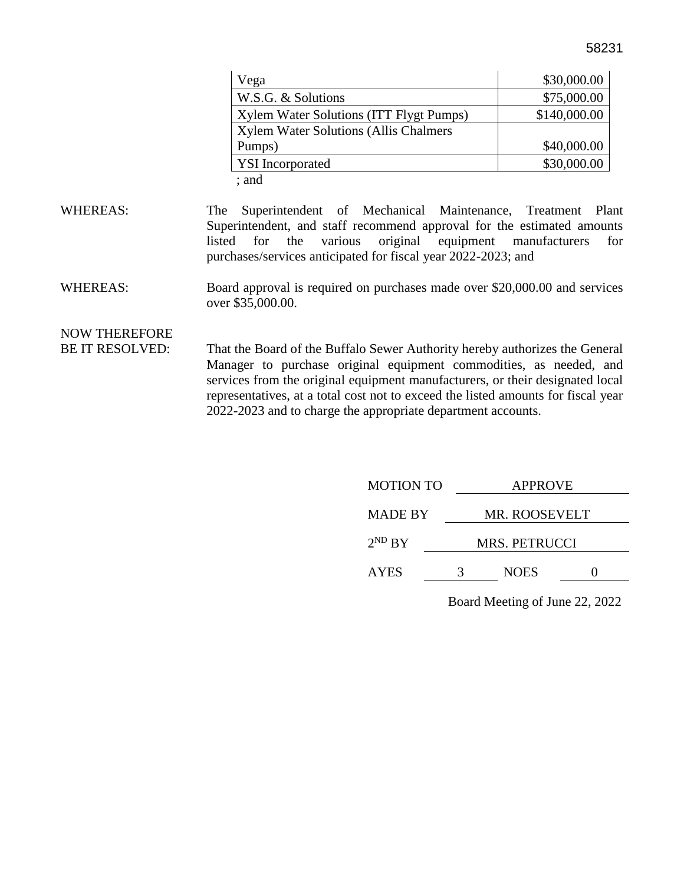|--|

| Vega                                    | \$30,000.00  |
|-----------------------------------------|--------------|
| W.S.G. & Solutions                      | \$75,000.00  |
| Xylem Water Solutions (ITT Flygt Pumps) | \$140,000.00 |
| Xylem Water Solutions (Allis Chalmers   |              |
| Pumps)                                  | \$40,000.00  |
| <b>YSI</b> Incorporated                 | \$30,000.00  |
| $;$ and                                 |              |

- WHEREAS: The Superintendent of Mechanical Maintenance, Treatment Plant Superintendent, and staff recommend approval for the estimated amounts listed for the various original equipment manufacturers for purchases/services anticipated for fiscal year 2022-2023; and
- WHEREAS: Board approval is required on purchases made over \$20,000.00 and services over \$35,000.00.

### NOW THEREFORE

BE IT RESOLVED: That the Board of the Buffalo Sewer Authority hereby authorizes the General Manager to purchase original equipment commodities, as needed, and services from the original equipment manufacturers, or their designated local representatives, at a total cost not to exceed the listed amounts for fiscal year 2022-2023 and to charge the appropriate department accounts.

| <b>MOTION TO</b> | <b>APPROVE</b> |  |
|------------------|----------------|--|
| <b>MADE BY</b>   | MR. ROOSEVELT  |  |
| $2^{ND} BY$      | MRS. PETRUCCI  |  |
| <b>AYES</b>      | <b>NOES</b>    |  |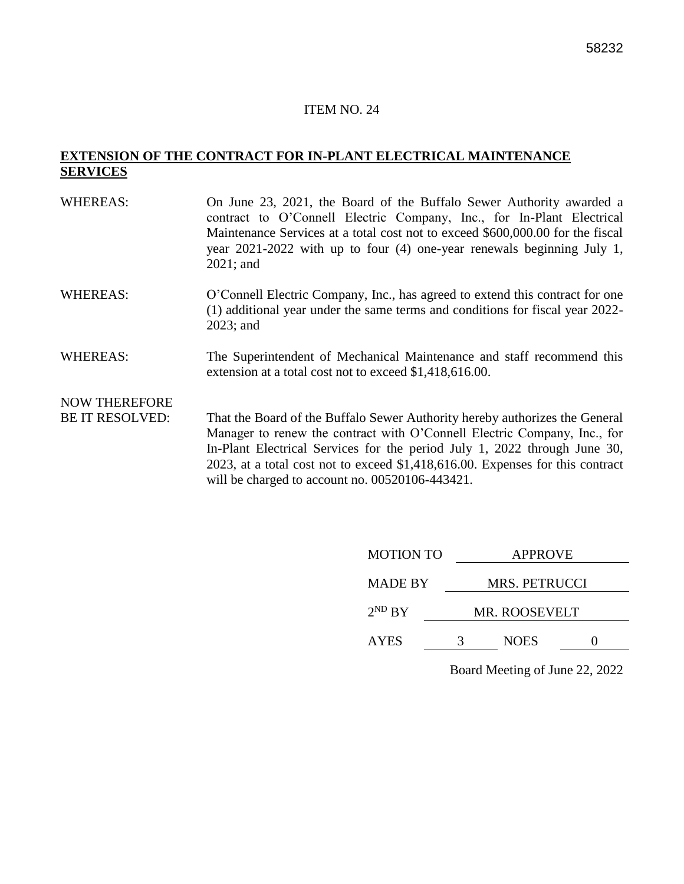#### **EXTENSION OF THE CONTRACT FOR IN-PLANT ELECTRICAL MAINTENANCE SERVICES**

| <b>WHEREAS:</b>        | On June 23, 2021, the Board of the Buffalo Sewer Authority awarded a<br>contract to O'Connell Electric Company, Inc., for In-Plant Electrical<br>Maintenance Services at a total cost not to exceed \$600,000.00 for the fiscal<br>year $2021 - 2022$ with up to four (4) one-year renewals beginning July 1,<br>$2021$ ; and |
|------------------------|-------------------------------------------------------------------------------------------------------------------------------------------------------------------------------------------------------------------------------------------------------------------------------------------------------------------------------|
| <b>WHEREAS:</b>        | O'Connell Electric Company, Inc., has agreed to extend this contract for one<br>(1) additional year under the same terms and conditions for fiscal year 2022-<br>$2023$ ; and                                                                                                                                                 |
| <b>WHEREAS:</b>        | The Superintendent of Mechanical Maintenance and staff recommend this<br>extension at a total cost not to exceed \$1,418,616.00.                                                                                                                                                                                              |
| <b>NOW THEREFORE</b>   |                                                                                                                                                                                                                                                                                                                               |
| <b>BE IT RESOLVED:</b> | That the Board of the Buffalo Sewer Authority hereby authorizes the General<br>Manager to renew the contract with O'Connell Electric Company, Inc., for<br>In-Plant Electrical Services for the period July 1, 2022 through June 30,                                                                                          |

2023, at a total cost not to exceed \$1,418,616.00. Expenses for this contract will be charged to account no. 00520106-443421.

| <b>MOTION TO</b> | <b>APPROVE</b> |                      |  |
|------------------|----------------|----------------------|--|
| <b>MADE BY</b>   |                | <b>MRS. PETRUCCI</b> |  |
| $2^{ND} BY$      |                | <b>MR. ROOSEVELT</b> |  |
| <b>AYES</b>      |                | <b>NOES</b>          |  |
|                  |                |                      |  |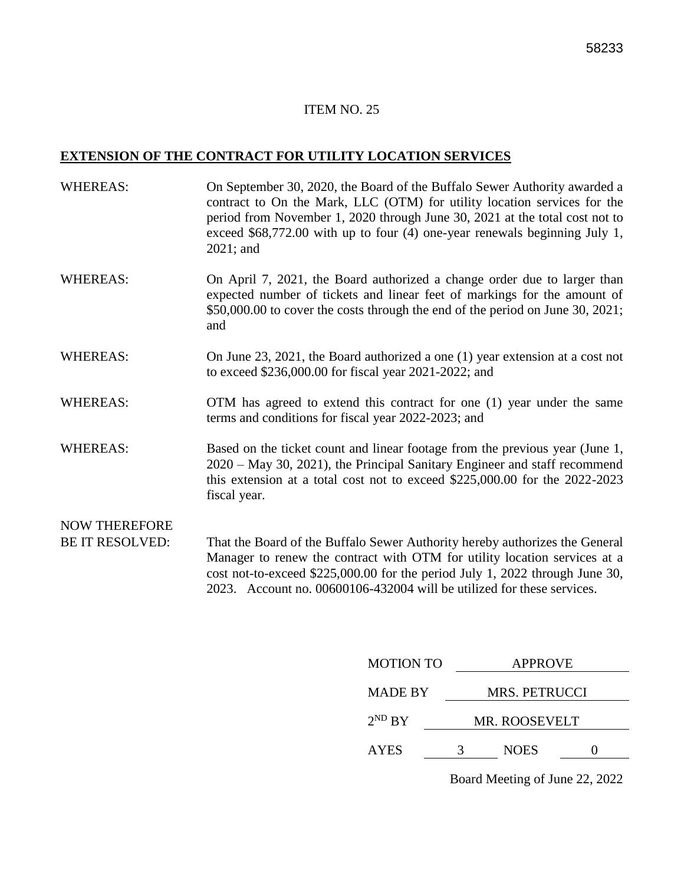### **EXTENSION OF THE CONTRACT FOR UTILITY LOCATION SERVICES**

| <b>WHEREAS:</b>        | On September 30, 2020, the Board of the Buffalo Sewer Authority awarded a<br>contract to On the Mark, LLC (OTM) for utility location services for the<br>period from November 1, 2020 through June 30, 2021 at the total cost not to<br>exceed $$68,772.00$ with up to four (4) one-year renewals beginning July 1,<br>$2021$ ; and |
|------------------------|-------------------------------------------------------------------------------------------------------------------------------------------------------------------------------------------------------------------------------------------------------------------------------------------------------------------------------------|
| <b>WHEREAS:</b>        | On April 7, 2021, the Board authorized a change order due to larger than<br>expected number of tickets and linear feet of markings for the amount of<br>\$50,000.00 to cover the costs through the end of the period on June 30, 2021;<br>and                                                                                       |
| <b>WHEREAS:</b>        | On June 23, 2021, the Board authorized a one $(1)$ year extension at a cost not<br>to exceed \$236,000.00 for fiscal year 2021-2022; and                                                                                                                                                                                            |
| <b>WHEREAS:</b>        | OTM has agreed to extend this contract for one (1) year under the same<br>terms and conditions for fiscal year 2022-2023; and                                                                                                                                                                                                       |
| <b>WHEREAS:</b>        | Based on the ticket count and linear footage from the previous year (June 1,<br>2020 – May 30, 2021), the Principal Sanitary Engineer and staff recommend<br>this extension at a total cost not to exceed $$225,000.00$ for the $2022-2023$<br>fiscal year.                                                                         |
| <b>NOW THEREFORE</b>   |                                                                                                                                                                                                                                                                                                                                     |
| <b>BE IT RESOLVED:</b> | That the Board of the Buffalo Sewer Authority hereby authorizes the General<br>Manager to renew the contract with OTM for utility location services at a<br>cost not-to-exceed \$225,000.00 for the period July 1, 2022 through June 30,<br>2023. Account no. 00600106-432004 will be utilized for these services.                  |
|                        |                                                                                                                                                                                                                                                                                                                                     |

| <b>MOTION TO</b> |               | <b>APPROVE</b>       |  |
|------------------|---------------|----------------------|--|
| <b>MADE BY</b>   | MRS. PETRUCCI |                      |  |
| $2^{ND}$ BY      |               | <b>MR. ROOSEVELT</b> |  |
| <b>AYES</b>      |               | <b>NOES</b>          |  |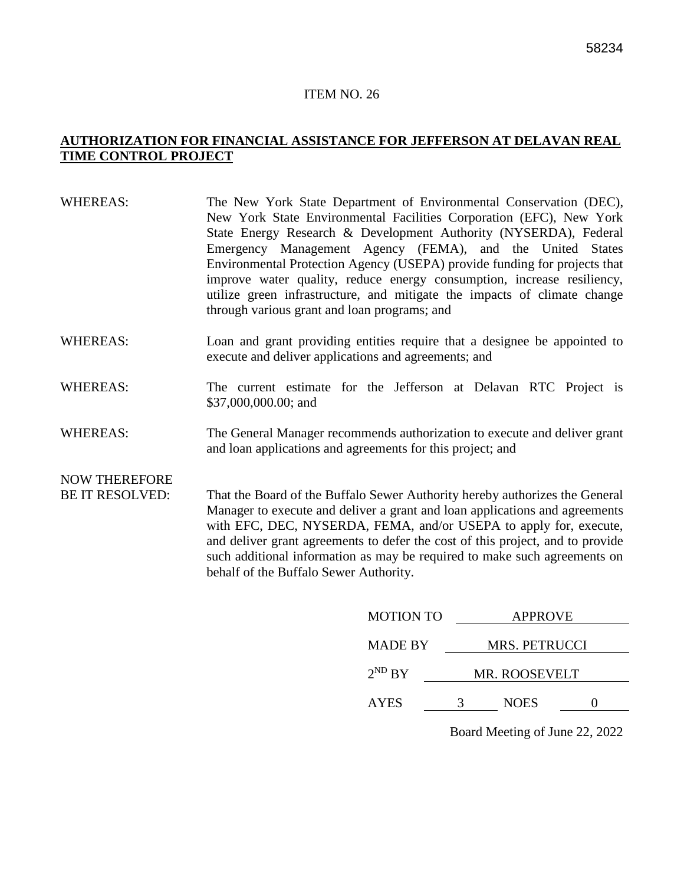#### **AUTHORIZATION FOR FINANCIAL ASSISTANCE FOR JEFFERSON AT DELAVAN REAL TIME CONTROL PROJECT**

| <b>WHEREAS:</b>        | The New York State Department of Environmental Conservation (DEC),<br>New York State Environmental Facilities Corporation (EFC), New York<br>State Energy Research & Development Authority (NYSERDA), Federal<br>Emergency Management Agency (FEMA), and the United States<br>Environmental Protection Agency (USEPA) provide funding for projects that<br>improve water quality, reduce energy consumption, increase resiliency,<br>utilize green infrastructure, and mitigate the impacts of climate change<br>through various grant and loan programs; and |
|------------------------|---------------------------------------------------------------------------------------------------------------------------------------------------------------------------------------------------------------------------------------------------------------------------------------------------------------------------------------------------------------------------------------------------------------------------------------------------------------------------------------------------------------------------------------------------------------|
| <b>WHEREAS:</b>        | Loan and grant providing entities require that a designee be appointed to<br>execute and deliver applications and agreements; and                                                                                                                                                                                                                                                                                                                                                                                                                             |
| <b>WHEREAS:</b>        | The current estimate for the Jefferson at Delavan RTC Project is<br>\$37,000,000.00; and                                                                                                                                                                                                                                                                                                                                                                                                                                                                      |
| <b>WHEREAS:</b>        | The General Manager recommends authorization to execute and deliver grant<br>and loan applications and agreements for this project; and                                                                                                                                                                                                                                                                                                                                                                                                                       |
| <b>NOW THEREFORE</b>   |                                                                                                                                                                                                                                                                                                                                                                                                                                                                                                                                                               |
| <b>BE IT RESOLVED:</b> | That the Board of the Buffalo Sewer Authority hereby authorizes the General<br>Manager to execute and deliver a grant and loan applications and agreements<br>with EFC, DEC, NYSERDA, FEMA, and/or USEPA to apply for, execute,<br>and deliver grant agreements to defer the cost of this project, and to provide                                                                                                                                                                                                                                             |

behalf of the Buffalo Sewer Authority.

| <b>MOTION TO</b> |   | <b>APPROVE</b>       |  |
|------------------|---|----------------------|--|
| <b>MADE BY</b>   |   | <b>MRS. PETRUCCI</b> |  |
| $2^{ND} BY$      |   | MR. ROOSEVELT        |  |
| <b>AYES</b>      | 3 | <b>NOES</b>          |  |
|                  |   |                      |  |

such additional information as may be required to make such agreements on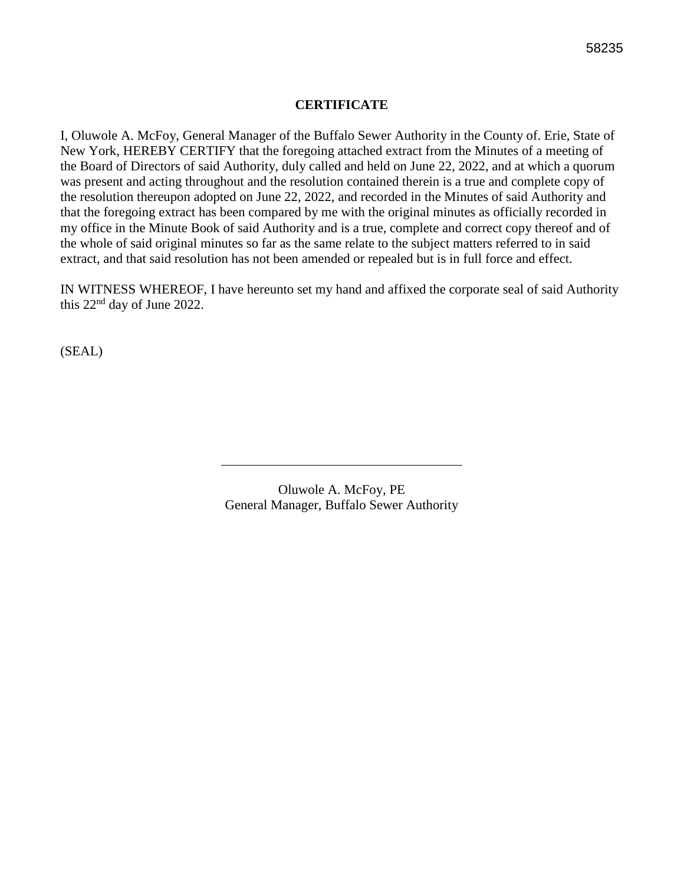#### **CERTIFICATE**

I, Oluwole A. McFoy, General Manager of the Buffalo Sewer Authority in the County of. Erie, State of New York, HEREBY CERTIFY that the foregoing attached extract from the Minutes of a meeting of the Board of Directors of said Authority, duly called and held on June 22, 2022, and at which a quorum was present and acting throughout and the resolution contained therein is a true and complete copy of the resolution thereupon adopted on June 22, 2022, and recorded in the Minutes of said Authority and that the foregoing extract has been compared by me with the original minutes as officially recorded in my office in the Minute Book of said Authority and is a true, complete and correct copy thereof and of the whole of said original minutes so far as the same relate to the subject matters referred to in said extract, and that said resolution has not been amended or repealed but is in full force and effect.

IN WITNESS WHEREOF, I have hereunto set my hand and affixed the corporate seal of said Authority this 22nd day of June 2022.

(SEAL)

Oluwole A. McFoy, PE General Manager, Buffalo Sewer Authority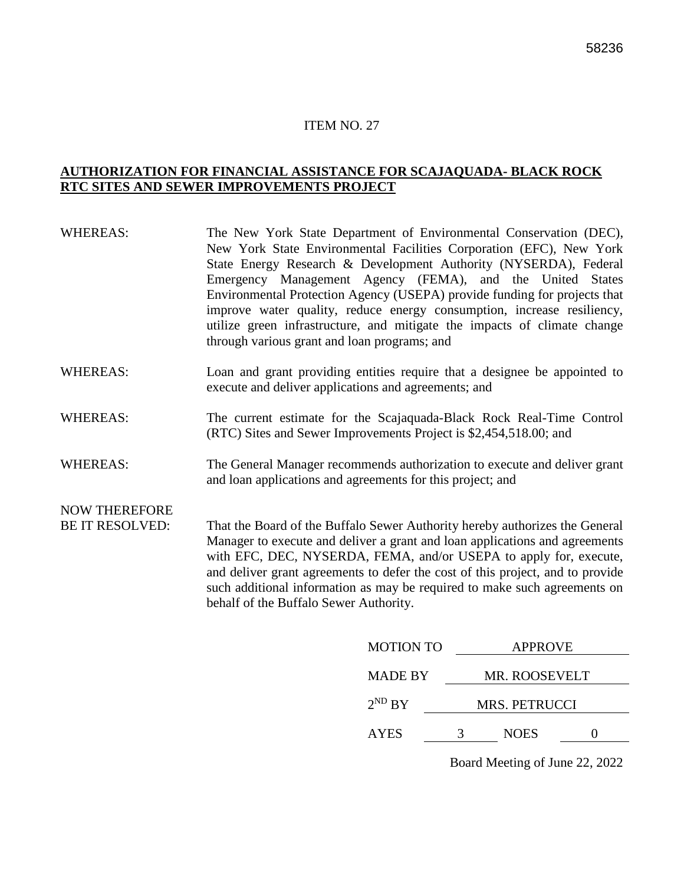#### **AUTHORIZATION FOR FINANCIAL ASSISTANCE FOR SCAJAQUADA- BLACK ROCK RTC SITES AND SEWER IMPROVEMENTS PROJECT**

| <b>WHEREAS:</b>        | The New York State Department of Environmental Conservation (DEC),<br>New York State Environmental Facilities Corporation (EFC), New York<br>State Energy Research & Development Authority (NYSERDA), Federal<br>Emergency Management Agency (FEMA), and the United States<br>Environmental Protection Agency (USEPA) provide funding for projects that<br>improve water quality, reduce energy consumption, increase resiliency,<br>utilize green infrastructure, and mitigate the impacts of climate change<br>through various grant and loan programs; and |
|------------------------|---------------------------------------------------------------------------------------------------------------------------------------------------------------------------------------------------------------------------------------------------------------------------------------------------------------------------------------------------------------------------------------------------------------------------------------------------------------------------------------------------------------------------------------------------------------|
| <b>WHEREAS:</b>        | Loan and grant providing entities require that a designee be appointed to<br>execute and deliver applications and agreements; and                                                                                                                                                                                                                                                                                                                                                                                                                             |
| <b>WHEREAS:</b>        | The current estimate for the Scajaquada-Black Rock Real-Time Control<br>(RTC) Sites and Sewer Improvements Project is \$2,454,518.00; and                                                                                                                                                                                                                                                                                                                                                                                                                     |
| <b>WHEREAS:</b>        | The General Manager recommends authorization to execute and deliver grant<br>and loan applications and agreements for this project; and                                                                                                                                                                                                                                                                                                                                                                                                                       |
| <b>NOW THEREFORE</b>   |                                                                                                                                                                                                                                                                                                                                                                                                                                                                                                                                                               |
| <b>BE IT RESOLVED:</b> | That the Board of the Buffalo Sewer Authority hereby authorizes the General<br>Manager to execute and deliver a grant and loan applications and agreements<br>with EFC, DEC, NYSERDA, FEMA, and/or USEPA to apply for, execute,<br>and deliver grant agreements to defer the cost of this project, and to provide<br>such additional information as may be required to make such agreements on<br>behalf of the Buffalo Sewer Authority.                                                                                                                      |
|                        | <b>MOTION TO</b><br><b>APPROVE</b>                                                                                                                                                                                                                                                                                                                                                                                                                                                                                                                            |

| <b>MOTION TO</b> |   | APPROVE              |  |
|------------------|---|----------------------|--|
| <b>MADE BY</b>   |   | MR. ROOSEVELT        |  |
| $2^{ND} BY$      |   | <b>MRS. PETRUCCI</b> |  |
| <b>AYES</b>      | 3 | <b>NOES</b>          |  |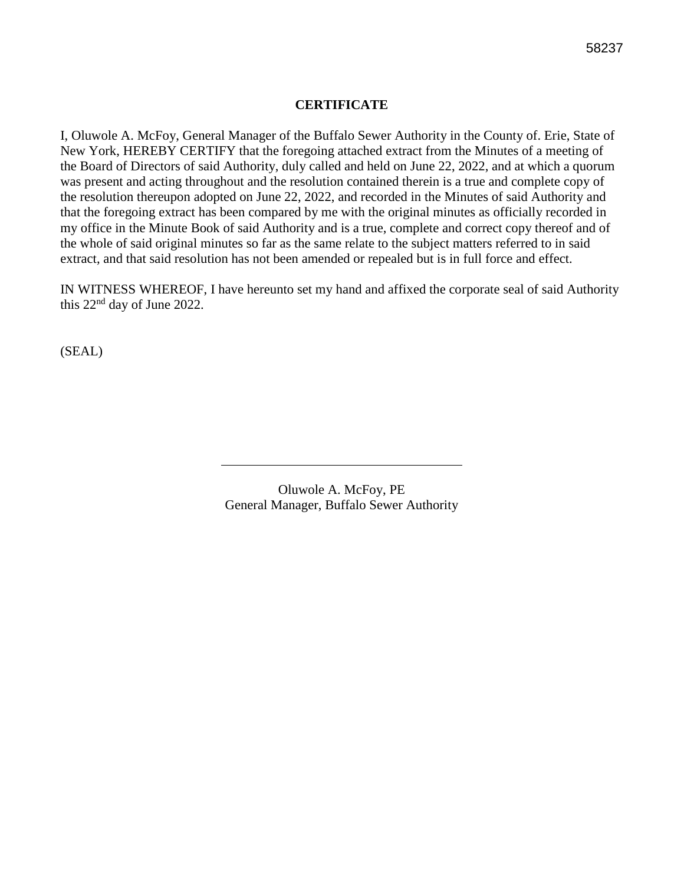#### **CERTIFICATE**

I, Oluwole A. McFoy, General Manager of the Buffalo Sewer Authority in the County of. Erie, State of New York, HEREBY CERTIFY that the foregoing attached extract from the Minutes of a meeting of the Board of Directors of said Authority, duly called and held on June 22, 2022, and at which a quorum was present and acting throughout and the resolution contained therein is a true and complete copy of the resolution thereupon adopted on June 22, 2022, and recorded in the Minutes of said Authority and that the foregoing extract has been compared by me with the original minutes as officially recorded in my office in the Minute Book of said Authority and is a true, complete and correct copy thereof and of the whole of said original minutes so far as the same relate to the subject matters referred to in said extract, and that said resolution has not been amended or repealed but is in full force and effect.

IN WITNESS WHEREOF, I have hereunto set my hand and affixed the corporate seal of said Authority this 22nd day of June 2022.

(SEAL)

Oluwole A. McFoy, PE General Manager, Buffalo Sewer Authority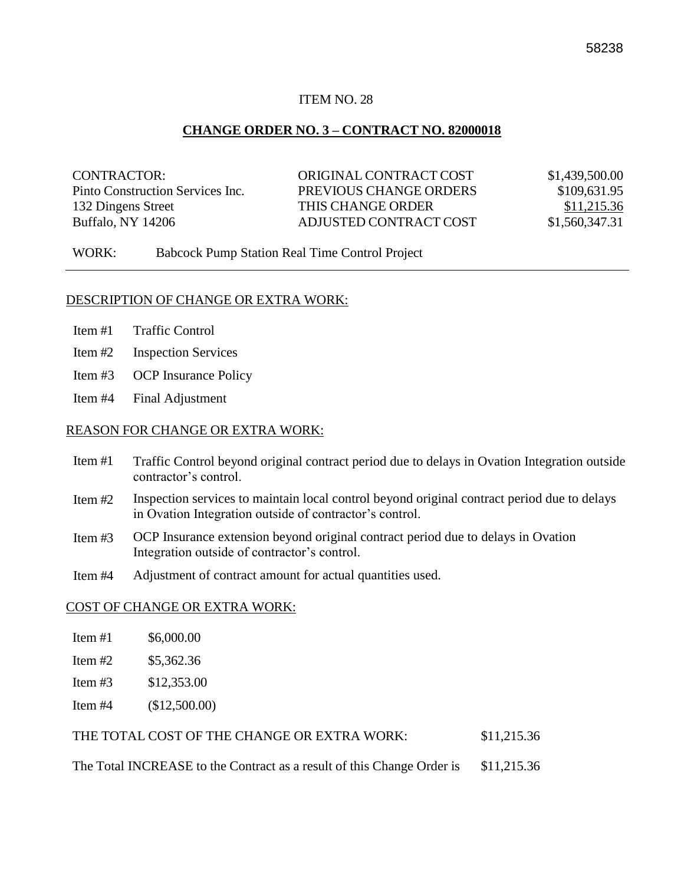#### **CHANGE ORDER NO. 3 – CONTRACT NO. 82000018**

| CONTRACTOR:                      | ORIGINAL CONTRACT COST | \$1,439,500.00 |
|----------------------------------|------------------------|----------------|
| Pinto Construction Services Inc. | PREVIOUS CHANGE ORDERS | \$109,631.95   |
| 132 Dingens Street               | THIS CHANGE ORDER      | \$11,215.36    |
| Buffalo, NY 14206                | ADJUSTED CONTRACT COST | \$1,560,347.31 |

WORK: Babcock Pump Station Real Time Control Project

#### DESCRIPTION OF CHANGE OR EXTRA WORK:

- Item #1 Traffic Control
- Item #2 Inspection Services
- Item #3 OCP Insurance Policy
- Item #4 Final Adjustment

#### REASON FOR CHANGE OR EXTRA WORK:

- Item #1 Traffic Control beyond original contract period due to delays in Ovation Integration outside contractor's control.
- Item #2 Inspection services to maintain local control beyond original contract period due to delays in Ovation Integration outside of contractor's control.
- Item #3 OCP Insurance extension beyond original contract period due to delays in Ovation Integration outside of contractor's control.
- Item #4 Adjustment of contract amount for actual quantities used.

#### COST OF CHANGE OR EXTRA WORK:

| Item $#1$ | \$6,000.00 |
|-----------|------------|
| Item $#2$ | \$5,362.36 |

- Item #3 \$12,353.00
- Item #4 (\$12,500.00)

| \$11,215.36<br>THE TOTAL COST OF THE CHANGE OR EXTRA WORK: |
|------------------------------------------------------------|
|------------------------------------------------------------|

The Total INCREASE to the Contract as a result of this Change Order is \$11,215.36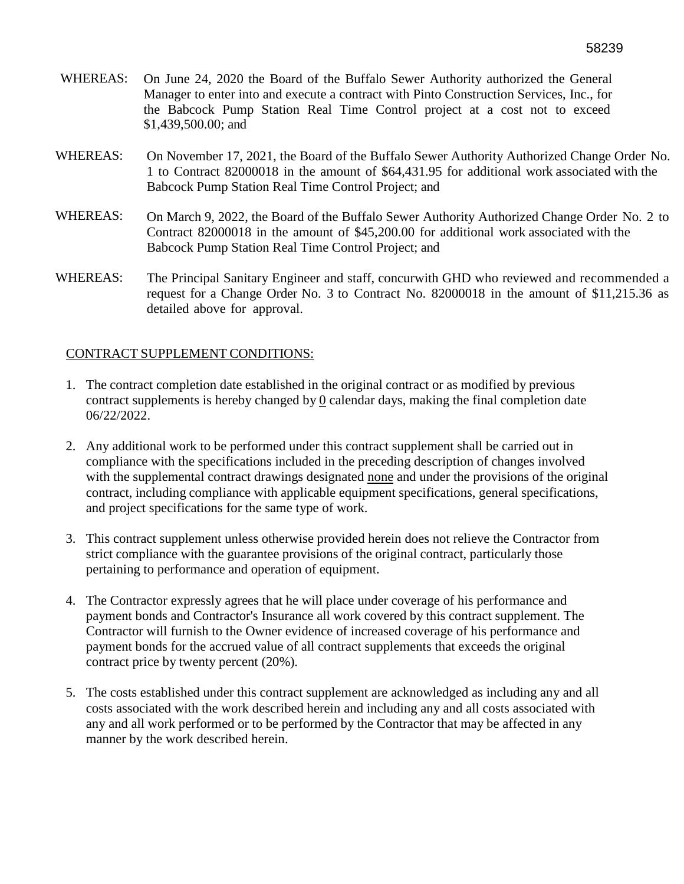- WHEREAS: On June 24, 2020 the Board of the Buffalo Sewer Authority authorized the General Manager to enter into and execute a contract with Pinto Construction Services, Inc., for the Babcock Pump Station Real Time Control project at a cost not to exceed \$1,439,500.00; and
- WHEREAS: On November 17, 2021, the Board of the Buffalo Sewer Authority Authorized Change Order No. 1 to Contract 82000018 in the amount of \$64,431.95 for additional work associated with the Babcock Pump Station Real Time Control Project; and
- WHEREAS: On March 9, 2022, the Board of the Buffalo Sewer Authority Authorized Change Order No. 2 to Contract 82000018 in the amount of \$45,200.00 for additional work associated with the Babcock Pump Station Real Time Control Project; and
- WHEREAS: The Principal Sanitary Engineer and staff, concurwith GHD who reviewed and recommended a request for a Change Order No. 3 to Contract No. 82000018 in the amount of \$11,215.36 as detailed above for approval.

#### CONTRACT SUPPLEMENT CONDITIONS:

- 1. The contract completion date established in the original contract or as modified by previous contract supplements is hereby changed by 0 calendar days, making the final completion date 06/22/2022.
- 2. Any additional work to be performed under this contract supplement shall be carried out in compliance with the specifications included in the preceding description of changes involved with the supplemental contract drawings designated none and under the provisions of the original contract, including compliance with applicable equipment specifications, general specifications, and project specifications for the same type of work.
- 3. This contract supplement unless otherwise provided herein does not relieve the Contractor from strict compliance with the guarantee provisions of the original contract, particularly those pertaining to performance and operation of equipment.
- 4. The Contractor expressly agrees that he will place under coverage of his performance and payment bonds and Contractor's Insurance all work covered by this contract supplement. The Contractor will furnish to the Owner evidence of increased coverage of his performance and payment bonds for the accrued value of all contract supplements that exceeds the original contract price by twenty percent (20%).
- 5. The costs established under this contract supplement are acknowledged as including any and all costs associated with the work described herein and including any and all costs associated with any and all work performed or to be performed by the Contractor that may be affected in any manner by the work described herein.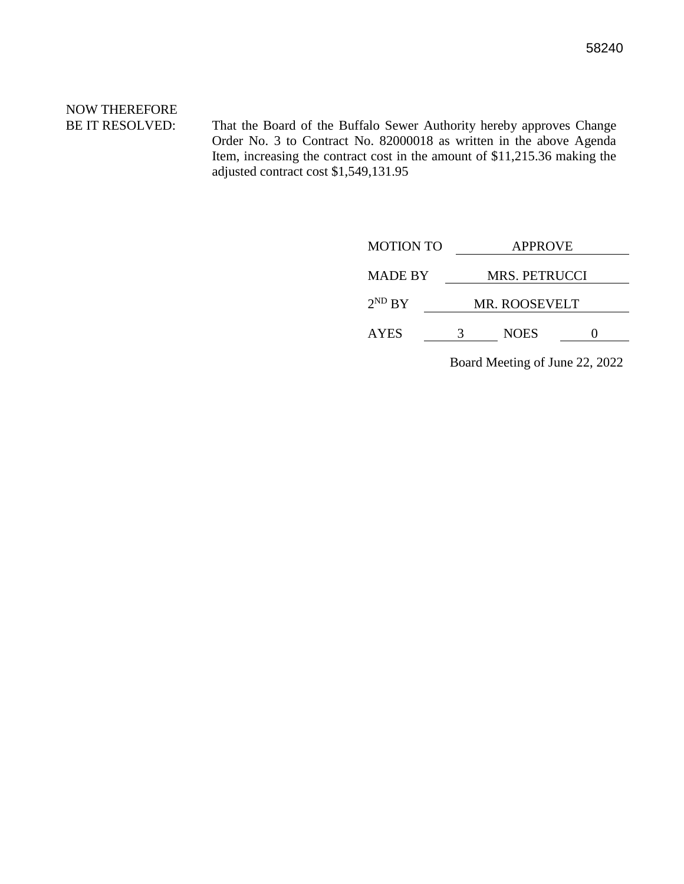# NOW THEREFORE

BE IT RESOLVED: That the Board of the Buffalo Sewer Authority hereby approves Change Order No. 3 to Contract No. 82000018 as written in the above Agenda Item, increasing the contract cost in the amount of \$11,215.36 making the adjusted contract cost \$1,549,131.95

| <b>MOTION TO</b> | <b>APPROVE</b>       |             |  |
|------------------|----------------------|-------------|--|
| <b>MADE BY</b>   | <b>MRS. PETRUCCI</b> |             |  |
| $2^{ND}$ BY      | <b>MR. ROOSEVELT</b> |             |  |
| <b>AYES</b>      |                      | <b>NOES</b> |  |
|                  |                      |             |  |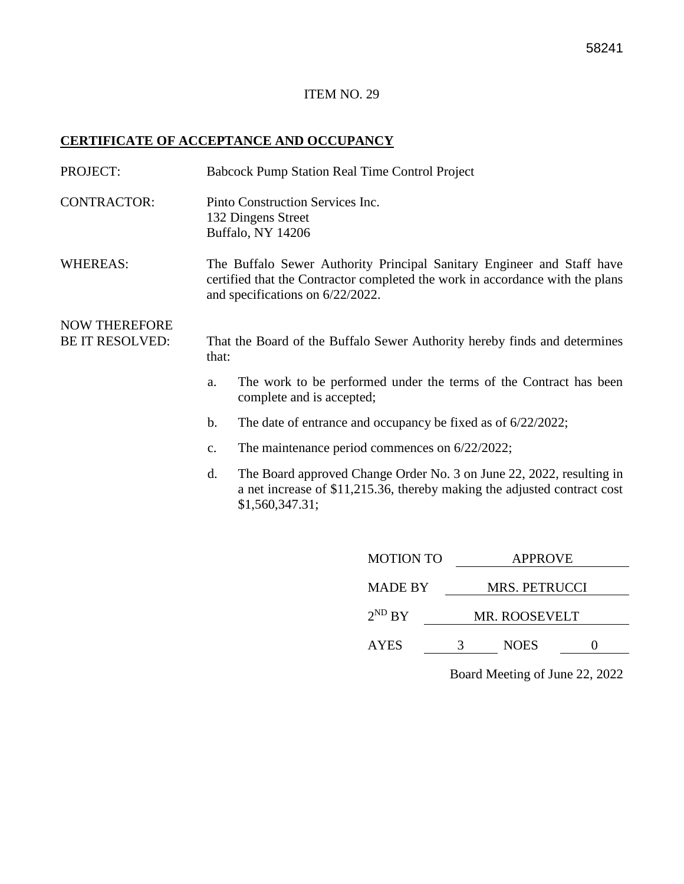#### **CERTIFICATE OF ACCEPTANCE AND OCCUPANCY**

| PROJECT:                                       | <b>Babcock Pump Station Real Time Control Project</b>                       |                                                                                                                                                                                             |  |  |  |
|------------------------------------------------|-----------------------------------------------------------------------------|---------------------------------------------------------------------------------------------------------------------------------------------------------------------------------------------|--|--|--|
| <b>CONTRACTOR:</b>                             | Pinto Construction Services Inc.<br>132 Dingens Street<br>Buffalo, NY 14206 |                                                                                                                                                                                             |  |  |  |
| <b>WHEREAS:</b>                                |                                                                             | The Buffalo Sewer Authority Principal Sanitary Engineer and Staff have<br>certified that the Contractor completed the work in accordance with the plans<br>and specifications on 6/22/2022. |  |  |  |
| <b>NOW THEREFORE</b><br><b>BE IT RESOLVED:</b> | that:                                                                       | That the Board of the Buffalo Sewer Authority hereby finds and determines                                                                                                                   |  |  |  |
|                                                | a.                                                                          | The work to be performed under the terms of the Contract has been<br>complete and is accepted;                                                                                              |  |  |  |
|                                                | b.                                                                          | The date of entrance and occupancy be fixed as of $6/22/2022$ ;                                                                                                                             |  |  |  |
|                                                | c.                                                                          | The maintenance period commences on $6/22/2022$ ;                                                                                                                                           |  |  |  |
|                                                | d.                                                                          | The Board approved Change Order No. 3 on June 22, 2022, resulting in<br>a net increase of \$11,215.36, thereby making the adjusted contract cost<br>\$1,560,347.31;                         |  |  |  |
|                                                |                                                                             |                                                                                                                                                                                             |  |  |  |

| <b>MOTION TO</b> | <b>APPROVE</b> |               |  |
|------------------|----------------|---------------|--|
| <b>MADE BY</b>   |                | MRS. PETRUCCI |  |
| $2^{ND} BY$      | MR. ROOSEVELT  |               |  |
| <b>AYES</b>      |                | <b>NOES</b>   |  |
|                  |                |               |  |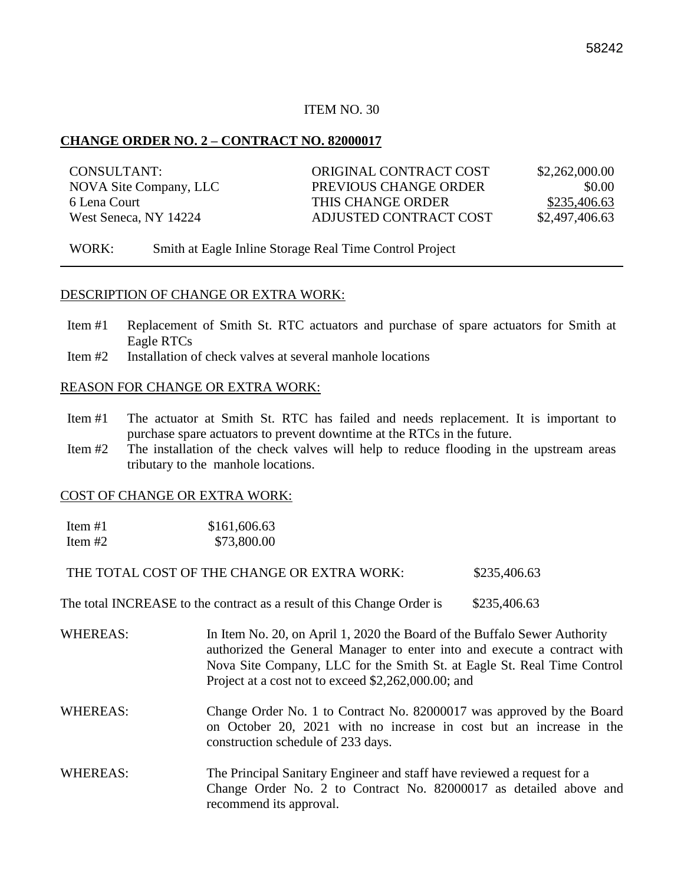#### **CHANGE ORDER NO. 2 – CONTRACT NO. 82000017**

| CONSULTANT:            | ORIGINAL CONTRACT COST | \$2,262,000.00 |
|------------------------|------------------------|----------------|
| NOVA Site Company, LLC | PREVIOUS CHANGE ORDER  | \$0.00         |
| 6 Lena Court           | THIS CHANGE ORDER      | \$235,406.63   |
| West Seneca, NY 14224  | ADJUSTED CONTRACT COST | \$2,497,406.63 |

WORK: Smith at Eagle Inline Storage Real Time Control Project

#### DESCRIPTION OF CHANGE OR EXTRA WORK:

- Item #1 Replacement of Smith St. RTC actuators and purchase of spare actuators for Smith at Eagle RTCs
- Item #2 Installation of check valves at several manhole locations

#### REASON FOR CHANGE OR EXTRA WORK:

- Item #1 The actuator at Smith St. RTC has failed and needs replacement. It is important to purchase spare actuators to prevent downtime at the RTCs in the future.
- Item #2 The installation of the check valves will help to reduce flooding in the upstream areas tributary to the manhole locations.

#### COST OF CHANGE OR EXTRA WORK:

| Item $#1$ | \$161,606.63 |
|-----------|--------------|
| Item $#2$ | \$73,800.00  |

THE TOTAL COST OF THE CHANGE OR EXTRA WORK: \$235,406.63

The total INCREASE to the contract as a result of this Change Order is \$235,406.63

- WHEREAS: In Item No. 20, on April 1, 2020 the Board of the Buffalo Sewer Authority authorized the General Manager to enter into and execute a contract with Nova Site Company, LLC for the Smith St. at Eagle St. Real Time Control Project at a cost not to exceed \$2,262,000.00; and
- WHEREAS: Change Order No. 1 to Contract No. 82000017 was approved by the Board on October 20, 2021 with no increase in cost but an increase in the construction schedule of 233 days.
- WHEREAS: The Principal Sanitary Engineer and staff have reviewed a request for a Change Order No. 2 to Contract No. 82000017 as detailed above and recommend its approval.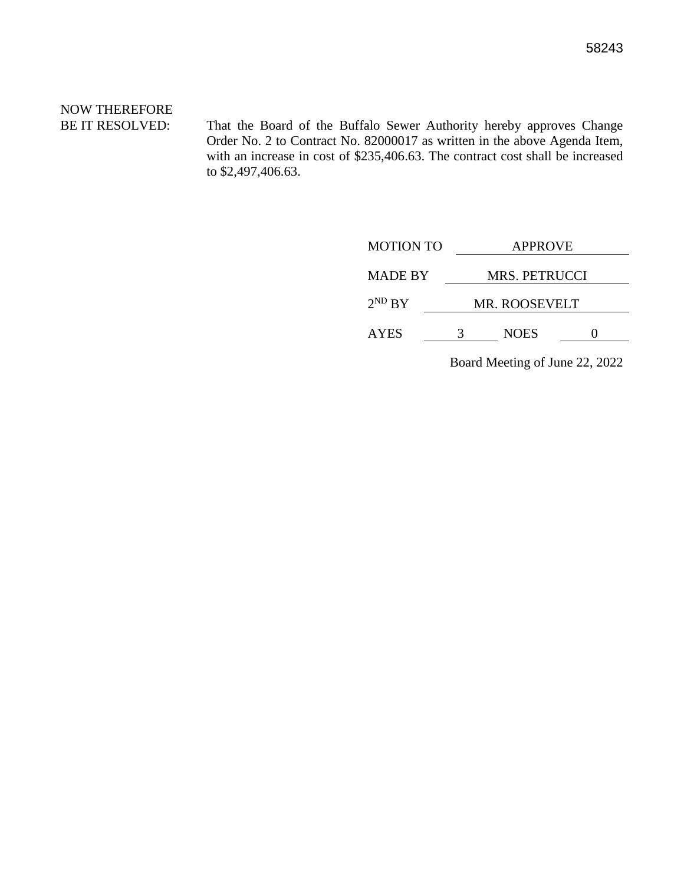# NOW THEREFORE

BE IT RESOLVED: That the Board of the Buffalo Sewer Authority hereby approves Change Order No. 2 to Contract No. 82000017 as written in the above Agenda Item, with an increase in cost of \$235,406.63. The contract cost shall be increased to \$2,497,406.63.

| <b>MOTION TO</b> | <b>APPROVE</b>       |               |  |
|------------------|----------------------|---------------|--|
| <b>MADE BY</b>   |                      | MRS. PETRUCCI |  |
| $2^{ND} BY$      | <b>MR. ROOSEVELT</b> |               |  |
| <b>AYES</b>      |                      | <b>NOES</b>   |  |
|                  |                      |               |  |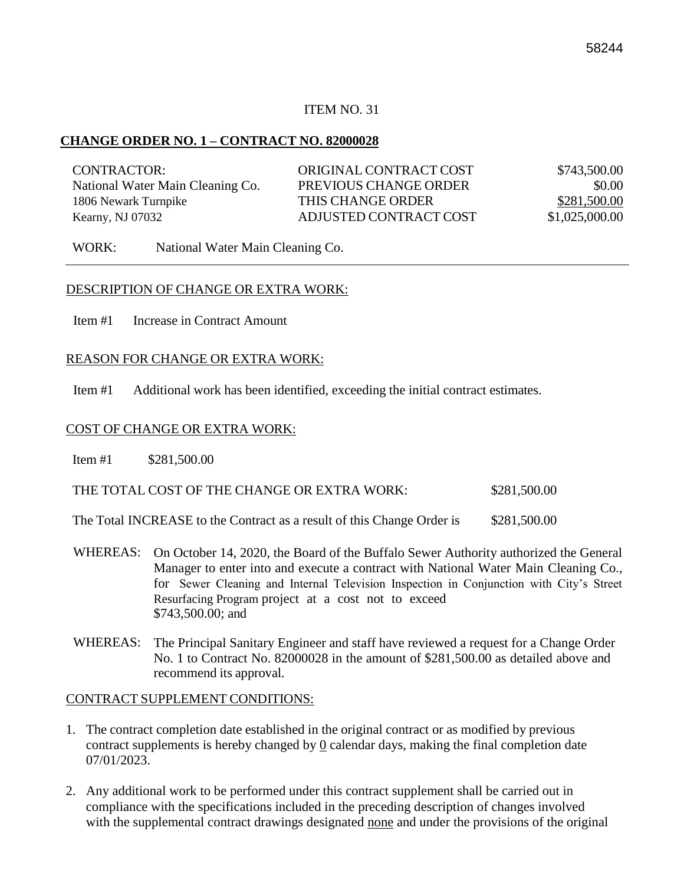#### **CHANGE ORDER NO. 1 – CONTRACT NO. 82000028**

| CONTRACTOR:                      | ORIGINAL CONTRACT COST | \$743,500.00   |
|----------------------------------|------------------------|----------------|
| National Water Main Cleaning Co. | PREVIOUS CHANGE ORDER  | \$0.00         |
| 1806 Newark Turnpike             | THIS CHANGE ORDER      | \$281,500.00   |
| Kearny, NJ 07032                 | ADJUSTED CONTRACT COST | \$1,025,000.00 |

WORK: National Water Main Cleaning Co.

#### DESCRIPTION OF CHANGE OR EXTRA WORK:

Item #1 Increase in Contract Amount

#### REASON FOR CHANGE OR EXTRA WORK:

Item #1 Additional work has been identified, exceeding the initial contract estimates.

#### COST OF CHANGE OR EXTRA WORK:

Item #1 \$281,500.00

| THE TOTAL COST OF THE CHANGE OR EXTRA WORK: | \$281,500.00 |
|---------------------------------------------|--------------|
|---------------------------------------------|--------------|

The Total INCREASE to the Contract as a result of this Change Order is \$281,500.00

- WHEREAS: On October 14, 2020, the Board of the Buffalo Sewer Authority authorized the General Manager to enter into and execute a contract with National Water Main Cleaning Co., for Sewer Cleaning and Internal Television Inspection in Conjunction with City's Street Resurfacing Program project at a cost not to exceed \$743,500.00; and
- WHEREAS: The Principal Sanitary Engineer and staff have reviewed a request for a Change Order No. 1 to Contract No. 82000028 in the amount of \$281,500.00 as detailed above and recommend its approval.

#### CONTRACT SUPPLEMENT CONDITIONS:

- 1. The contract completion date established in the original contract or as modified by previous contract supplements is hereby changed by  $Q$  calendar days, making the final completion date 07/01/2023.
- 2. Any additional work to be performed under this contract supplement shall be carried out in compliance with the specifications included in the preceding description of changes involved with the supplemental contract drawings designated none and under the provisions of the original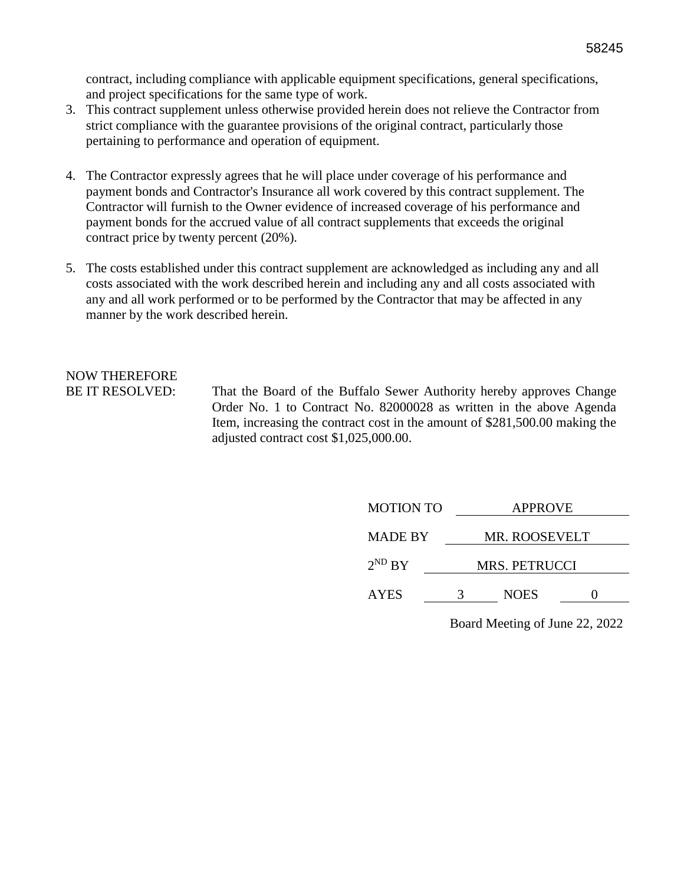contract, including compliance with applicable equipment specifications, general specifications, and project specifications for the same type of work.

- 3. This contract supplement unless otherwise provided herein does not relieve the Contractor from strict compliance with the guarantee provisions of the original contract, particularly those pertaining to performance and operation of equipment.
- 4. The Contractor expressly agrees that he will place under coverage of his performance and payment bonds and Contractor's Insurance all work covered by this contract supplement. The Contractor will furnish to the Owner evidence of increased coverage of his performance and payment bonds for the accrued value of all contract supplements that exceeds the original contract price by twenty percent (20%).
- 5. The costs established under this contract supplement are acknowledged as including any and all costs associated with the work described herein and including any and all costs associated with any and all work performed or to be performed by the Contractor that may be affected in any manner by the work described herein.

# NOW THEREFORE

BE IT RESOLVED: That the Board of the Buffalo Sewer Authority hereby approves Change Order No. 1 to Contract No. 82000028 as written in the above Agenda Item, increasing the contract cost in the amount of \$281,500.00 making the adjusted contract cost \$1,025,000.00.

| <b>MOTION TO</b> | <b>APPROVE</b>       |               |  |
|------------------|----------------------|---------------|--|
| <b>MADE BY</b>   |                      | MR. ROOSEVELT |  |
| $2^{ND} BY$      | <b>MRS. PETRUCCI</b> |               |  |
| <b>AYES</b>      |                      | <b>NOES</b>   |  |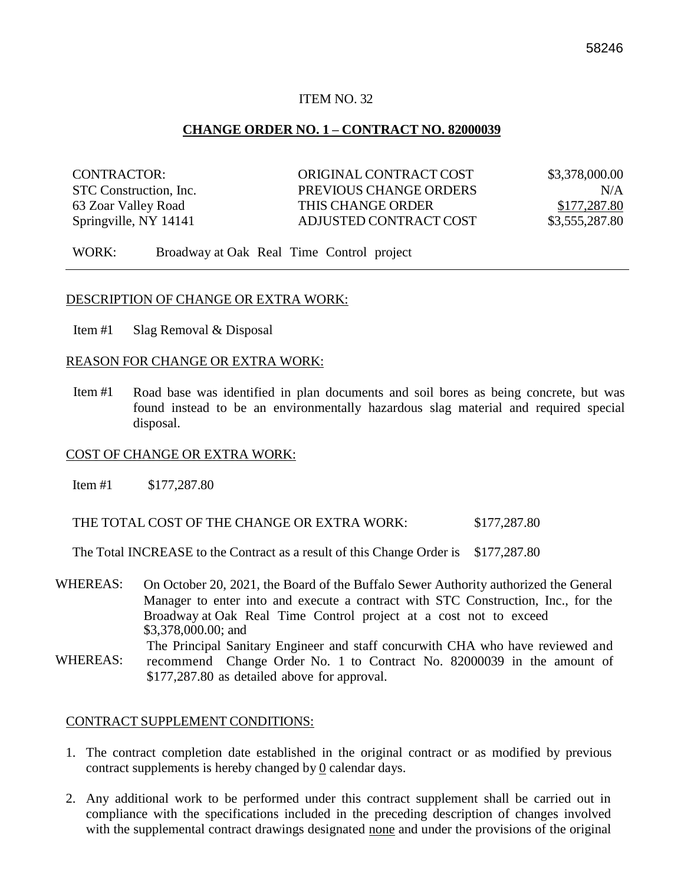#### **CHANGE ORDER NO. 1 – CONTRACT NO. 82000039**

| CONTRACTOR:            | ORIGINAL CONTRACT COST | \$3,378,000.00 |
|------------------------|------------------------|----------------|
| STC Construction, Inc. | PREVIOUS CHANGE ORDERS | N/A            |
| 63 Zoar Valley Road    | THIS CHANGE ORDER      | \$177,287.80   |
| Springville, NY 14141  | ADJUSTED CONTRACT COST | \$3,555,287.80 |

WORK: Broadway at Oak Real Time Control project

#### DESCRIPTION OF CHANGE OR EXTRA WORK:

Item #1 Slag Removal & Disposal

#### REASON FOR CHANGE OR EXTRA WORK:

Item #1 Road base was identified in plan documents and soil bores as being concrete, but was found instead to be an environmentally hazardous slag material and required special disposal.

#### COST OF CHANGE OR EXTRA WORK:

Item #1 \$177,287.80

THE TOTAL COST OF THE CHANGE OR EXTRA WORK:  $$177,287.80$ 

The Total INCREASE to the Contract as a result of this Change Order is \$177,287.80

- WHEREAS: On October 20, 2021, the Board of the Buffalo Sewer Authority authorized the General Manager to enter into and execute a contract with STC Construction, Inc., for the Broadway at Oak Real Time Control project at a cost not to exceed \$3,378,000.00; and The Principal Sanitary Engineer and staff concurwith CHA who have reviewed and
- WHEREAS: recommend Change Order No. 1 to Contract No. 82000039 in the amount of \$177,287.80 as detailed above for approval.

#### CONTRACT SUPPLEMENT CONDITIONS:

- 1. The contract completion date established in the original contract or as modified by previous contract supplements is hereby changed by 0 calendar days.
- 2. Any additional work to be performed under this contract supplement shall be carried out in compliance with the specifications included in the preceding description of changes involved with the supplemental contract drawings designated none and under the provisions of the original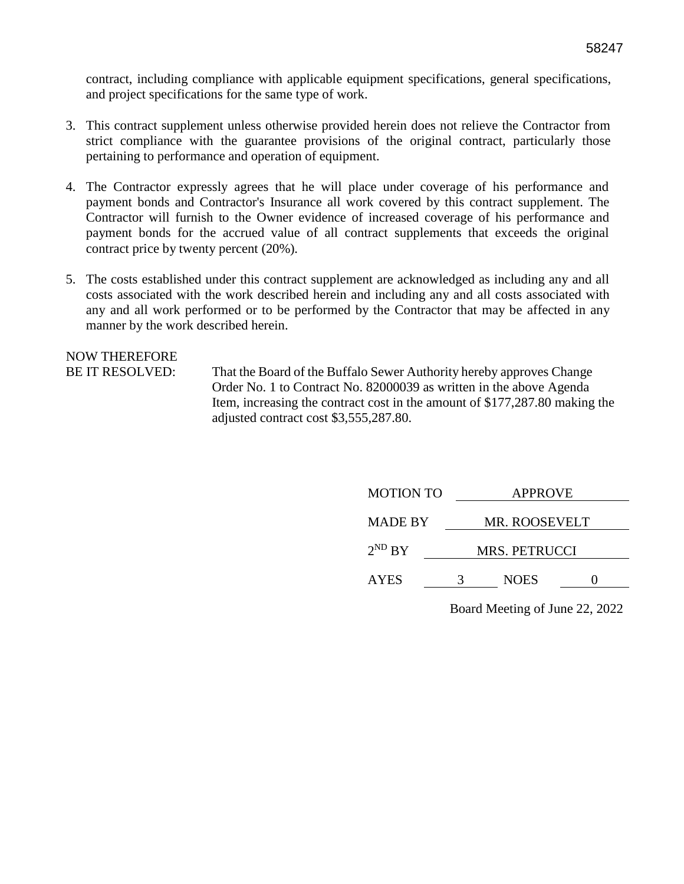contract, including compliance with applicable equipment specifications, general specifications, and project specifications for the same type of work.

- 3. This contract supplement unless otherwise provided herein does not relieve the Contractor from strict compliance with the guarantee provisions of the original contract, particularly those pertaining to performance and operation of equipment.
- 4. The Contractor expressly agrees that he will place under coverage of his performance and payment bonds and Contractor's Insurance all work covered by this contract supplement. The Contractor will furnish to the Owner evidence of increased coverage of his performance and payment bonds for the accrued value of all contract supplements that exceeds the original contract price by twenty percent (20%).
- 5. The costs established under this contract supplement are acknowledged as including any and all costs associated with the work described herein and including any and all costs associated with any and all work performed or to be performed by the Contractor that may be affected in any manner by the work described herein.

NOW THEREFORE

BE IT RESOLVED: That the Board of the Buffalo Sewer Authority hereby approves Change Order No. 1 to Contract No. 82000039 as written in the above Agenda Item, increasing the contract cost in the amount of \$177,287.80 making the adjusted contract cost \$3,555,287.80.

| <b>MOTION TO</b> | <b>APPROVE</b>       |               |  |
|------------------|----------------------|---------------|--|
| <b>MADE BY</b>   |                      | MR. ROOSEVELT |  |
| $2^{ND}$ BY      | <b>MRS. PETRUCCI</b> |               |  |
| <b>AYES</b>      |                      | <b>NOES</b>   |  |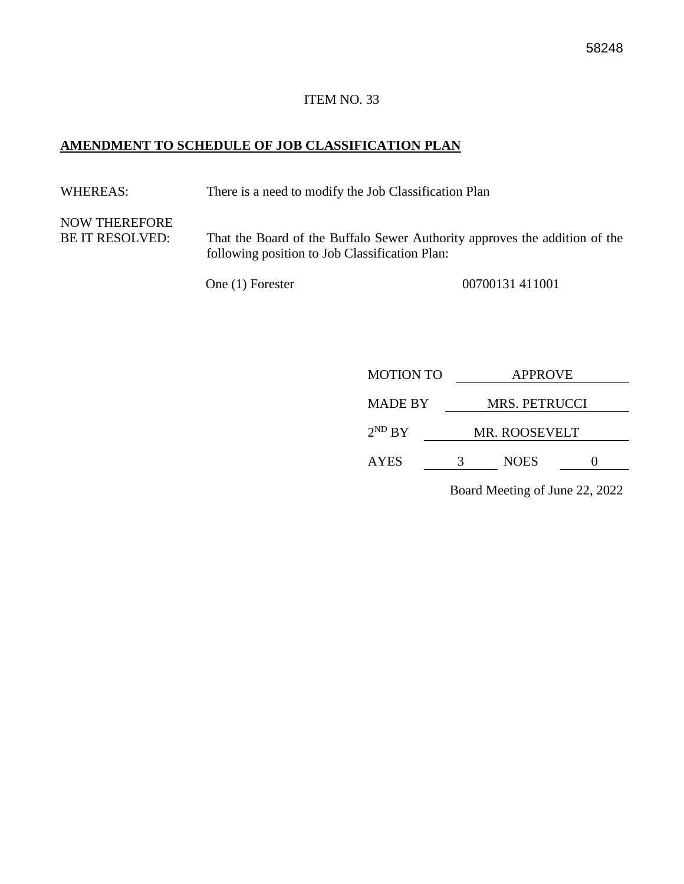#### **AMENDMENT TO SCHEDULE OF JOB CLASSIFICATION PLAN**

WHEREAS: There is a need to modify the Job Classification Plan

NOW THEREFORE

BE IT RESOLVED: That the Board of the Buffalo Sewer Authority approves the addition of the following position to Job Classification Plan:

One (1) Forester 00700131 411001

| <b>MOTION TO</b> | <b>APPROVE</b> |                      |  |
|------------------|----------------|----------------------|--|
| <b>MADE BY</b>   |                | <b>MRS. PETRUCCI</b> |  |
| $2^{ND} BY$      |                | <b>MR. ROOSEVELT</b> |  |
| <b>AYES</b>      | 3              | <b>NOES</b>          |  |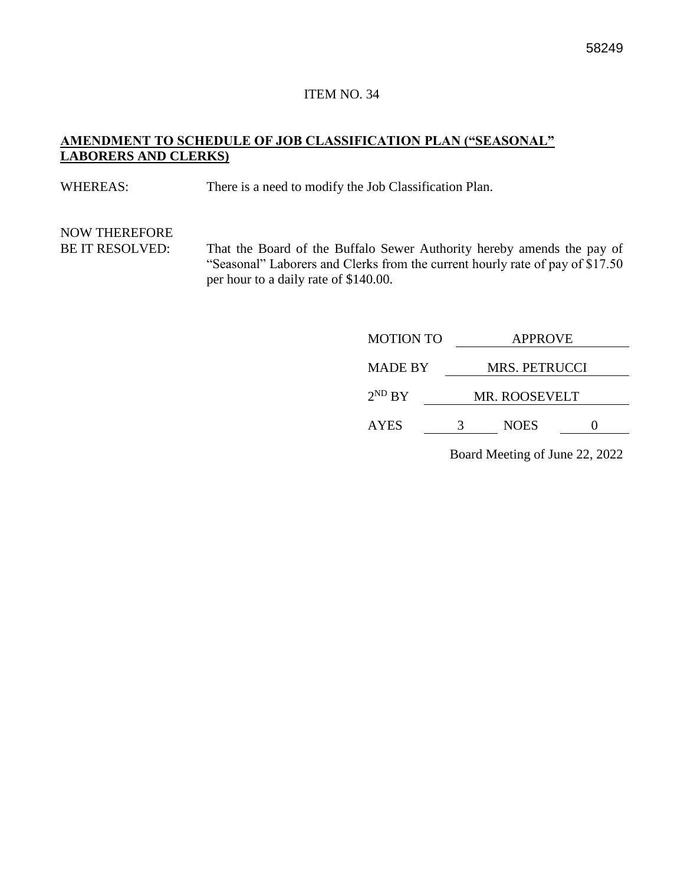#### **AMENDMENT TO SCHEDULE OF JOB CLASSIFICATION PLAN ("SEASONAL" LABORERS AND CLERKS)**

WHEREAS: There is a need to modify the Job Classification Plan.

# NOW THEREFORE

BE IT RESOLVED: That the Board of the Buffalo Sewer Authority hereby amends the pay of "Seasonal" Laborers and Clerks from the current hourly rate of pay of \$17.50 per hour to a daily rate of \$140.00.

| <b>APPROVE</b> |             |  |  |
|----------------|-------------|--|--|
| MRS. PETRUCCI  |             |  |  |
| MR. ROOSEVELT  |             |  |  |
|                | <b>NOES</b> |  |  |
|                |             |  |  |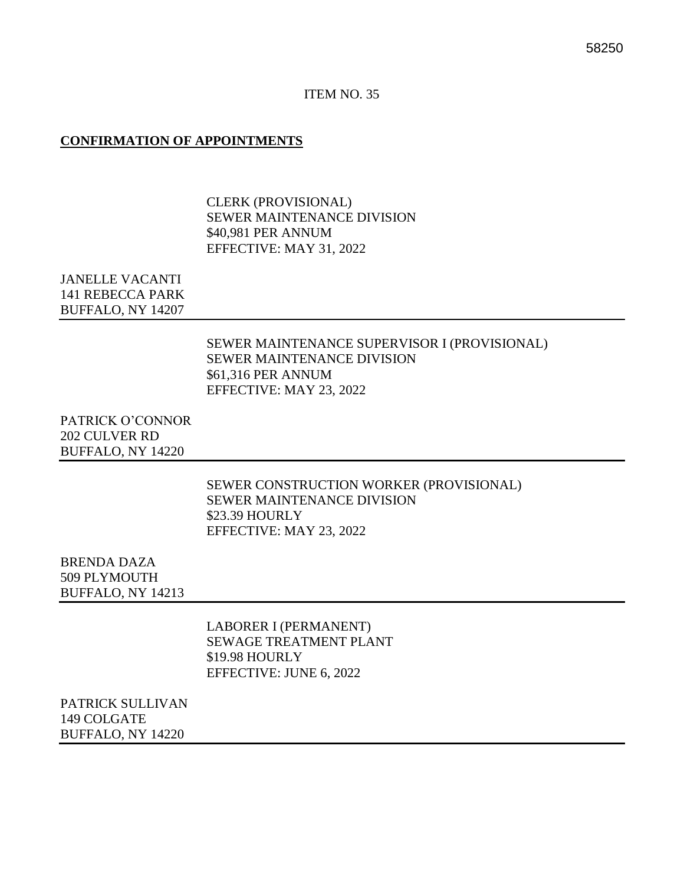#### **CONFIRMATION OF APPOINTMENTS**

CLERK (PROVISIONAL) SEWER MAINTENANCE DIVISION \$40,981 PER ANNUM EFFECTIVE: MAY 31, 2022

JANELLE VACANTI 141 REBECCA PARK BUFFALO, NY 14207

> SEWER MAINTENANCE SUPERVISOR I (PROVISIONAL) SEWER MAINTENANCE DIVISION \$61,316 PER ANNUM EFFECTIVE: MAY 23, 2022

PATRICK O'CONNOR 202 CULVER RD BUFFALO, NY 14220

> SEWER CONSTRUCTION WORKER (PROVISIONAL) SEWER MAINTENANCE DIVISION \$23.39 HOURLY EFFECTIVE: MAY 23, 2022

BRENDA DAZA 509 PLYMOUTH BUFFALO, NY 14213

> LABORER I (PERMANENT) SEWAGE TREATMENT PLANT \$19.98 HOURLY EFFECTIVE: JUNE 6, 2022

PATRICK SULLIVAN 149 COLGATE BUFFALO, NY 14220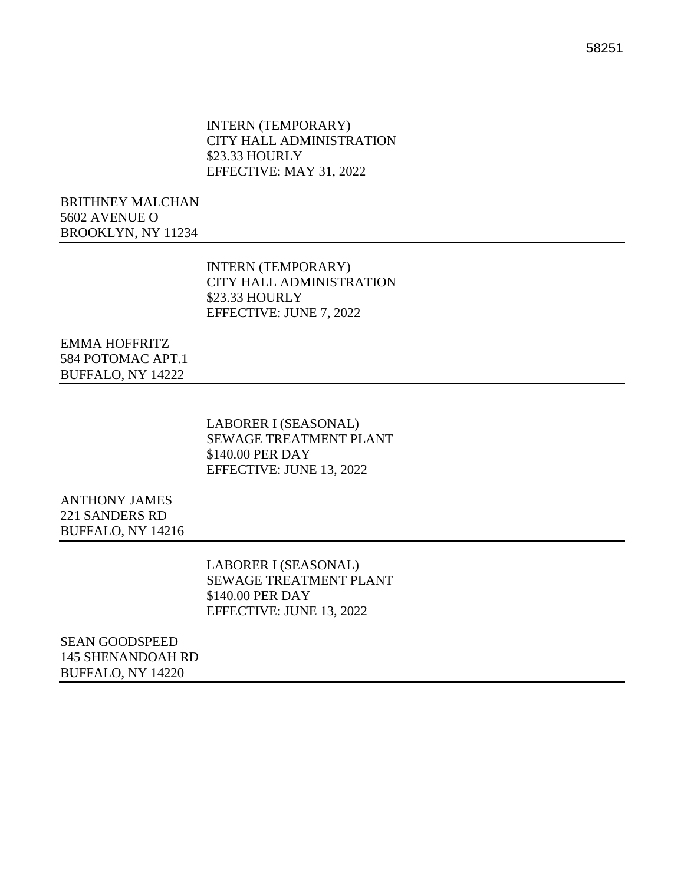INTERN (TEMPORARY) CITY HALL ADMINISTRATION \$23.33 HOURLY EFFECTIVE: MAY 31, 2022

BRITHNEY MALCHAN 5602 AVENUE O BROOKLYN, NY 11234

> INTERN (TEMPORARY) CITY HALL ADMINISTRATION \$23.33 HOURLY EFFECTIVE: JUNE 7, 2022

EMMA HOFFRITZ 584 POTOMAC APT.1 BUFFALO, NY 14222

> LABORER I (SEASONAL) SEWAGE TREATMENT PLANT \$140.00 PER DAY EFFECTIVE: JUNE 13, 2022

ANTHONY JAMES 221 SANDERS RD BUFFALO, NY 14216

> LABORER I (SEASONAL) SEWAGE TREATMENT PLANT \$140.00 PER DAY EFFECTIVE: JUNE 13, 2022

SEAN GOODSPEED 145 SHENANDOAH RD BUFFALO, NY 14220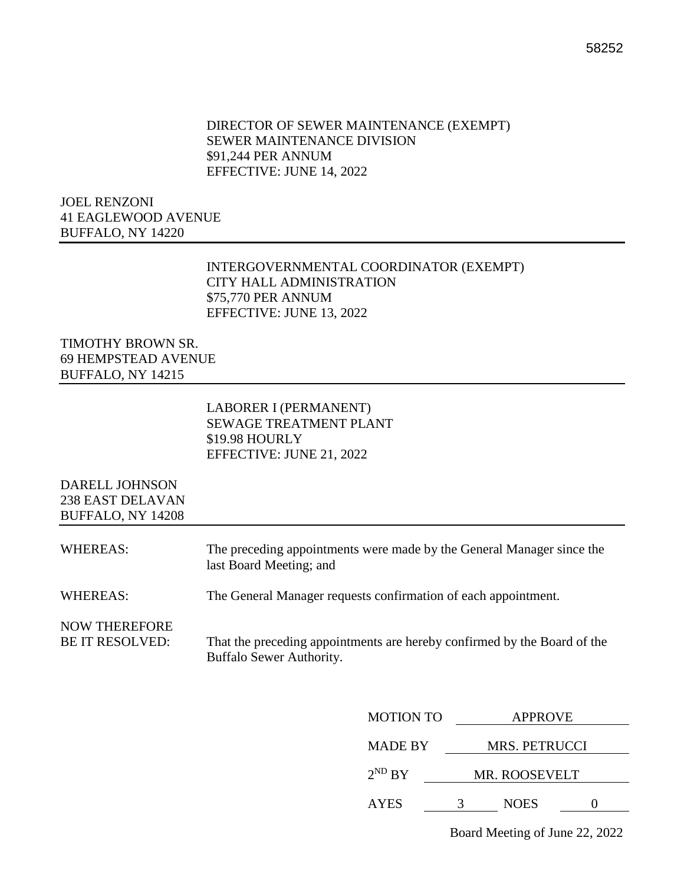#### DIRECTOR OF SEWER MAINTENANCE (EXEMPT) SEWER MAINTENANCE DIVISION \$91,244 PER ANNUM EFFECTIVE: JUNE 14, 2022

JOEL RENZONI 41 EAGLEWOOD AVENUE BUFFALO, NY 14220

#### INTERGOVERNMENTAL COORDINATOR (EXEMPT) CITY HALL ADMINISTRATION \$75,770 PER ANNUM EFFECTIVE: JUNE 13, 2022

TIMOTHY BROWN SR. 69 HEMPSTEAD AVENUE BUFFALO, NY 14215

> LABORER I (PERMANENT) SEWAGE TREATMENT PLANT \$19.98 HOURLY EFFECTIVE: JUNE 21, 2022

DARELL JOHNSON 238 EAST DELAVAN BUFFALO, NY 14208

| WHEREAS:                                       | The preceding appointments were made by the General Manager since the<br>last Board Meeting; and     |
|------------------------------------------------|------------------------------------------------------------------------------------------------------|
| WHEREAS:                                       | The General Manager requests confirmation of each appointment.                                       |
| <b>NOW THEREFORE</b><br><b>BE IT RESOLVED:</b> | That the preceding appointments are hereby confirmed by the Board of the<br>Buffalo Sewer Authority. |

| <b>MOTION TO</b> | <b>APPROVE</b>       |             |  |  |  |
|------------------|----------------------|-------------|--|--|--|
| <b>MADE BY</b>   | <b>MRS. PETRUCCI</b> |             |  |  |  |
| $2^{ND} BY$      | <b>MR. ROOSEVELT</b> |             |  |  |  |
| <b>AYES</b>      |                      | <b>NOES</b> |  |  |  |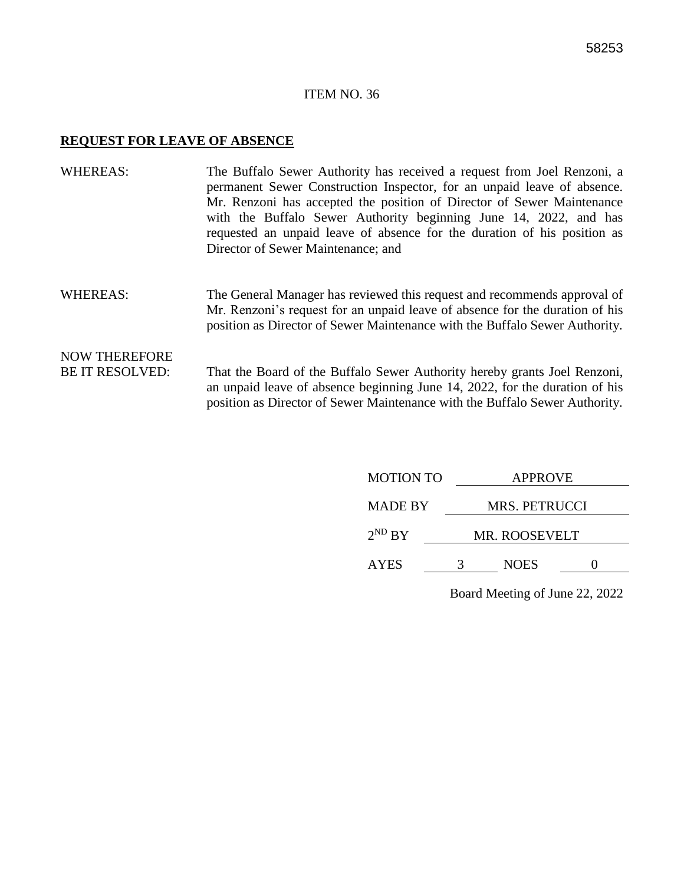#### **REQUEST FOR LEAVE OF ABSENCE**

- WHEREAS: The Buffalo Sewer Authority has received a request from Joel Renzoni, a permanent Sewer Construction Inspector, for an unpaid leave of absence. Mr. Renzoni has accepted the position of Director of Sewer Maintenance with the Buffalo Sewer Authority beginning June 14, 2022, and has requested an unpaid leave of absence for the duration of his position as Director of Sewer Maintenance; and
- WHEREAS: The General Manager has reviewed this request and recommends approval of Mr. Renzoni's request for an unpaid leave of absence for the duration of his position as Director of Sewer Maintenance with the Buffalo Sewer Authority.

#### NOW THEREFORE BE IT RESOLVED: That the Board of the Buffalo Sewer Authority hereby grants Joel Renzoni, an unpaid leave of absence beginning June 14, 2022, for the duration of his position as Director of Sewer Maintenance with the Buffalo Sewer Authority.

| <b>MOTION TO</b> | <b>APPROVE</b>       |  |  |  |
|------------------|----------------------|--|--|--|
| <b>MADE BY</b>   | MRS. PETRUCCI        |  |  |  |
| $2^{ND}$ BY      | <b>MR. ROOSEVELT</b> |  |  |  |
| <b>AYES</b>      | <b>NOES</b>          |  |  |  |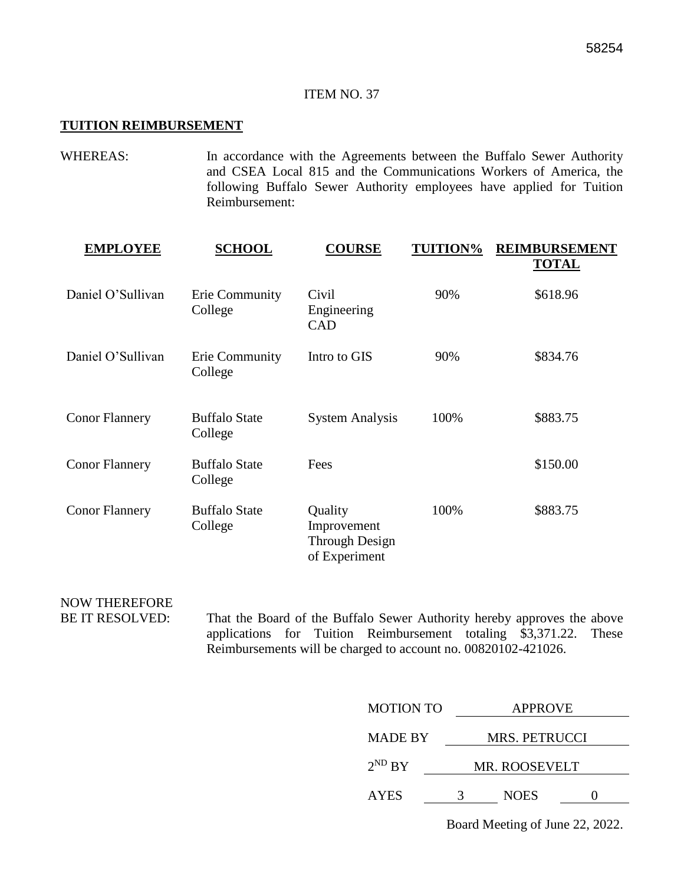#### **TUITION REIMBURSEMENT**

WHEREAS: In accordance with the Agreements between the Buffalo Sewer Authority and CSEA Local 815 and the Communications Workers of America, the following Buffalo Sewer Authority employees have applied for Tuition Reimbursement:

| <b>EMPLOYEE</b>       | <b>SCHOOL</b>                    | <b>COURSE</b>                                             | <b>TUITION%</b> | <b>REIMBURSEMENT</b><br><b>TOTAL</b> |
|-----------------------|----------------------------------|-----------------------------------------------------------|-----------------|--------------------------------------|
| Daniel O'Sullivan     | Erie Community<br>College        | Civil<br>Engineering<br><b>CAD</b>                        | 90%             | \$618.96                             |
| Daniel O'Sullivan     | <b>Erie Community</b><br>College | Intro to GIS                                              | 90%             | \$834.76                             |
| <b>Conor Flannery</b> | <b>Buffalo State</b><br>College  | <b>System Analysis</b>                                    | 100%            | \$883.75                             |
| <b>Conor Flannery</b> | <b>Buffalo State</b><br>College  | Fees                                                      |                 | \$150.00                             |
| <b>Conor Flannery</b> | <b>Buffalo State</b><br>College  | Quality<br>Improvement<br>Through Design<br>of Experiment | 100%            | \$883.75                             |

## NOW THEREFORE

BE IT RESOLVED: That the Board of the Buffalo Sewer Authority hereby approves the above applications for Tuition Reimbursement totaling \$3,371.22. These Reimbursements will be charged to account no. 00820102-421026.

| <b>MOTION TO</b> | <b>APPROVE</b>       |  |  |  |
|------------------|----------------------|--|--|--|
| <b>MADE BY</b>   | MRS. PETRUCCI        |  |  |  |
| $2^{ND} BY$      | <b>MR. ROOSEVELT</b> |  |  |  |
| <b>AYES</b>      | <b>NOES</b>          |  |  |  |

Board Meeting of June 22, 2022.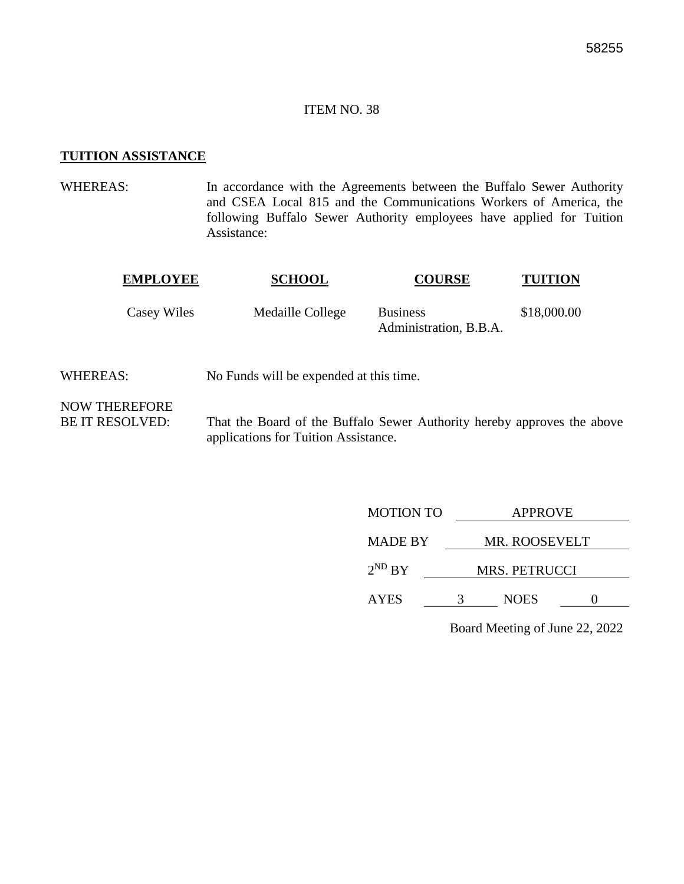#### **TUITION ASSISTANCE**

WHEREAS: In accordance with the Agreements between the Buffalo Sewer Authority and CSEA Local 815 and the Communications Workers of America, the following Buffalo Sewer Authority employees have applied for Tuition Assistance:

| <b>EMPLOYEE</b> | <b>SCHOOL</b>    | <b>COURSE</b>                             | <b>TUITION</b> |
|-----------------|------------------|-------------------------------------------|----------------|
| Casey Wiles     | Medaille College | <b>Business</b><br>Administration, B.B.A. | \$18,000.00    |

WHEREAS: No Funds will be expended at this time.

NOW THEREFORE

BE IT RESOLVED: That the Board of the Buffalo Sewer Authority hereby approves the above applications for Tuition Assistance.

| <b>MOTION TO</b> | <b>APPROVE</b>       |                      |  |  |
|------------------|----------------------|----------------------|--|--|
| <b>MADE BY</b>   |                      | <b>MR. ROOSEVELT</b> |  |  |
| $2^{ND}$ BY      | <b>MRS. PETRUCCI</b> |                      |  |  |
| <b>AYES</b>      |                      | <b>NOES</b>          |  |  |